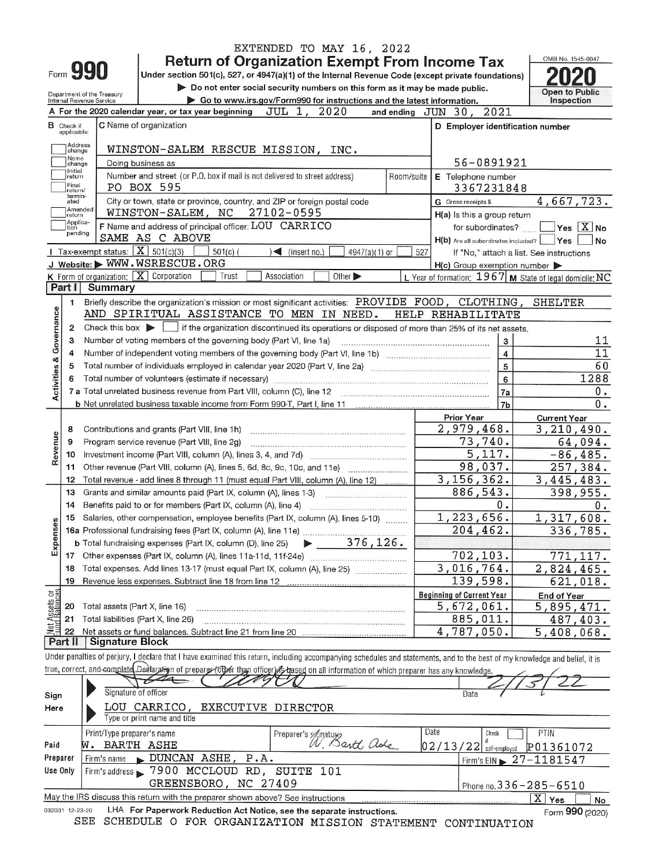|                                |                             |                                                        |                | EXTENDED TO MAY 16, 2022                                                                                                                                                   |                                                         |                |                                          |
|--------------------------------|-----------------------------|--------------------------------------------------------|----------------|----------------------------------------------------------------------------------------------------------------------------------------------------------------------------|---------------------------------------------------------|----------------|------------------------------------------|
|                                |                             |                                                        |                | <b>Return of Organization Exempt From Income Tax</b>                                                                                                                       |                                                         |                | OMB No. 1545-0047                        |
|                                |                             | Form <b>990</b>                                        |                | Under section 501(c), 527, or 4947(a)(1) of the Internal Revenue Code (except private foundations)                                                                         |                                                         |                |                                          |
|                                |                             |                                                        |                | Do not enter social security numbers on this form as it may be made public.                                                                                                |                                                         |                | <b>Open to Public</b>                    |
|                                |                             | Department of the Treasury<br>Internal Revenue Service |                | Go to www.irs.gov/Form990 for instructions and the latest information.                                                                                                     |                                                         |                | Inspection                               |
|                                |                             |                                                        |                | 2020<br>A For the 2020 calendar year, or tax year beginning<br>JUL 1,                                                                                                      | and ending JUN 30, 2021                                 |                |                                          |
|                                | <b>B</b> Check if           |                                                        |                | C Name of organization                                                                                                                                                     | D Employer identification number                        |                |                                          |
|                                | applicable:                 |                                                        |                |                                                                                                                                                                            |                                                         |                |                                          |
|                                | Address<br>change           |                                                        |                | WINSTON-SALEM RESCUE MISSION, INC.                                                                                                                                         |                                                         |                |                                          |
|                                | Name<br>change              |                                                        |                | Doing business as                                                                                                                                                          | 56-0891921                                              |                |                                          |
|                                | Initial<br>return           |                                                        |                | Number and street (or P.O. box if mail is not delivered to street address)<br>Room/suite                                                                                   | E Telephone number                                      |                |                                          |
|                                | Final<br>return/<br>termin- |                                                        |                | PO BOX 595                                                                                                                                                                 | 3367231848                                              |                |                                          |
|                                | ated                        | Amended                                                |                | City or town, state or province, country, and ZIP or foreign postal code                                                                                                   | G Gross receipts \$                                     |                | 4,667,723.                               |
|                                | return<br>Applica-          |                                                        |                | WINSTON-SALEM, NC 27102-0595                                                                                                                                               | $H(a)$ is this a group return                           |                |                                          |
|                                | tion<br>pending             |                                                        |                | F Name and address of principal officer: LOU CARRICO                                                                                                                       | for subordinates?                                       |                | $Yes$ $X$ No                             |
|                                |                             |                                                        |                | SAME AS C ABOVE                                                                                                                                                            | $H(b)$ Are all subordinates included? $Ves$             |                | <b>No</b>                                |
|                                |                             |                                                        |                | Tax-exempt status: $X$ 501(c)(3)<br>$501(c)$ (<br>$\leq$ (insert no.)<br>$4947(a)(1)$ or                                                                                   | 527                                                     |                | If "No," attach a list. See instructions |
|                                |                             |                                                        |                | J Website: WWW.WSRESCUE.ORG                                                                                                                                                | $H(c)$ Group exemption number $\triangleright$          |                |                                          |
|                                | Part I                      |                                                        |                | $K$ Form of organization: $\boxed{X}$ Corporation<br>Other ><br>Trust<br>Association                                                                                       | L Year of formation: 1967 M State of legal domicile: NC |                |                                          |
|                                |                             |                                                        | <b>Summary</b> |                                                                                                                                                                            |                                                         |                |                                          |
|                                | 1.                          |                                                        |                | Briefly describe the organization's mission or most significant activities: PROVIDE FOOD, CLOTHING, SHELTER                                                                |                                                         |                |                                          |
|                                |                             |                                                        |                | AND SPIRITUAL ASSISTANCE TO MEN IN NEED.                                                                                                                                   | HELP REHABILITATE                                       |                |                                          |
| Activities & Governance        | 2                           |                                                        |                | Check this box $\blacktriangleright$ $\Box$ if the organization discontinued its operations or disposed of more than 25% of its net assets.                                |                                                         |                |                                          |
|                                | 3                           |                                                        |                | Number of voting members of the governing body (Part VI, line 1a)                                                                                                          |                                                         | 3              | 11                                       |
|                                | 4                           |                                                        |                |                                                                                                                                                                            |                                                         | $\overline{4}$ | 11                                       |
|                                | 5                           |                                                        |                |                                                                                                                                                                            |                                                         | $\overline{5}$ | 60                                       |
|                                | 6                           |                                                        |                |                                                                                                                                                                            |                                                         | 6              | 1288                                     |
|                                |                             |                                                        |                |                                                                                                                                                                            | 7a                                                      |                | $0$ .                                    |
|                                |                             |                                                        |                |                                                                                                                                                                            | 7 <sub>b</sub>                                          |                | $\overline{0}$ .                         |
|                                | 8                           |                                                        |                | Contributions and grants (Part VIII, line 1h)                                                                                                                              | <b>Prior Year</b><br>2,979,468.                         |                | <b>Current Year</b><br>3,210,490.        |
|                                | 9                           |                                                        |                | Program service revenue (Part VIII, line 2g)                                                                                                                               | 73,740.                                                 |                | 64,094.                                  |
| Revenue                        | 10                          |                                                        |                |                                                                                                                                                                            | 5,117.                                                  |                | $-86, 485.$                              |
|                                | 11                          |                                                        |                |                                                                                                                                                                            | 98,037.                                                 |                | 257,384.                                 |
|                                | 12                          |                                                        |                | Total revenue - add lines 8 through 11 (must equal Part VIII, column (A), line 12)                                                                                         | 3, 156, 362.                                            |                | 3,445,483.                               |
|                                | 13                          |                                                        |                | Grants and similar amounts paid (Part IX, column (A), lines 1-3)                                                                                                           | 886,543.                                                |                | 398,955.                                 |
|                                | 14                          |                                                        |                | Benefits paid to or for members (Part IX, column (A), line 4)                                                                                                              | 0.                                                      |                | 0.                                       |
|                                | 15                          |                                                        |                | Salaries, other compensation, employee benefits (Part IX, column (A), lines 5-10)                                                                                          | 1,223,656.                                              |                | 1,317,608.                               |
| ses                            |                             |                                                        |                | 16a Professional fundraising fees (Part IX, column (A), line 11e)                                                                                                          | 204,462.                                                |                | 336,785.                                 |
| Exper                          |                             |                                                        |                | $\blacktriangleright$ 376, 126.<br><b>b</b> Total fundraising expenses (Part IX, column (D), line 25)                                                                      |                                                         |                |                                          |
|                                | 17                          |                                                        |                |                                                                                                                                                                            | 702,103.                                                |                | 771,117.                                 |
|                                | 18                          |                                                        |                | Total expenses. Add lines 13-17 (must equal Part IX, column (A), line 25)                                                                                                  | 3,016,764.                                              |                | 2,824,465.                               |
|                                | 19                          |                                                        |                | Revenue less expenses. Subtract line 18 from line 12                                                                                                                       | 139,598.                                                |                | 621,018.                                 |
|                                |                             |                                                        |                |                                                                                                                                                                            | <b>Beginning of Current Year</b>                        |                | End of Year                              |
| Net Assets or<br>Fund Balances | 20                          |                                                        |                | Total assets (Part X, line 16)                                                                                                                                             | 5,672,061.                                              |                | 5,895,471.                               |
|                                | 21                          |                                                        |                | Total liabilities (Part X, line 26)                                                                                                                                        | 885,011.                                                |                | 487,403.                                 |
|                                | 22                          |                                                        |                | Net assets or fund balances. Subtract line 21 from line 20<br>.<br>Tanta a la propia de la propia del control de la propia de la propia de                                 | 4,787,050.                                              |                | 5,408,068.                               |
|                                | Part II                     |                                                        |                | <b>Signature Block</b>                                                                                                                                                     |                                                         |                |                                          |
|                                |                             |                                                        |                | Under penalties of perjury, I declare that I have examined this return, including accompanying schedules and statements, and to the best of my knowledge and belief, it is |                                                         |                |                                          |
|                                |                             |                                                        |                | true, correct, and complete Dedlaration of preparer (other than officer) is based on all information of which preparer has any knowledge.                                  |                                                         |                |                                          |
|                                |                             |                                                        |                |                                                                                                                                                                            |                                                         |                |                                          |
| Sign                           |                             |                                                        |                | Signature of officer                                                                                                                                                       | Date                                                    |                |                                          |
| Here                           |                             |                                                        |                | LOU CARRICO,<br>EXECUTIVE DIRECTOR                                                                                                                                         |                                                         |                |                                          |
|                                |                             |                                                        |                | Type or print name and title                                                                                                                                               |                                                         |                |                                          |
|                                |                             |                                                        |                | Print/Type preparer's name<br>Preparer's Anature art ade                                                                                                                   | Date<br>Check                                           |                | PTIN                                     |
| Paid                           |                             |                                                        |                | W. BARTH ASHE                                                                                                                                                              | 02/13/22<br>self-employed                               |                | P01361072                                |
| Preparer                       |                             |                                                        |                | $Firm's name \rightarrow DUNCAN ASHE,$<br>P.A.                                                                                                                             |                                                         |                | Firm's EIN $\geq 27 - 1181547$           |

| Use Only        | Firm's address 7900 MCCLOUD RD, SUITE 101                                       |                              |  |  |  |  |  |
|-----------------|---------------------------------------------------------------------------------|------------------------------|--|--|--|--|--|
|                 | GREENSBORO, NC 27409                                                            | Phone no. $336 - 285 - 6510$ |  |  |  |  |  |
|                 | May the IRS discuss this return with the preparer shown above? See instructions |                              |  |  |  |  |  |
| 032001 12-23-20 | LHA For Paperwork Reduction Act Notice, see the separate instructions.          | Form 990 (2020)              |  |  |  |  |  |

12-23-20 LHA For Paperwork Reduction Act Notice, see the separate instructions.<br>SEE SCHEDULE O FOR ORGANIZATION MISSION STATEMENT CONTINUATION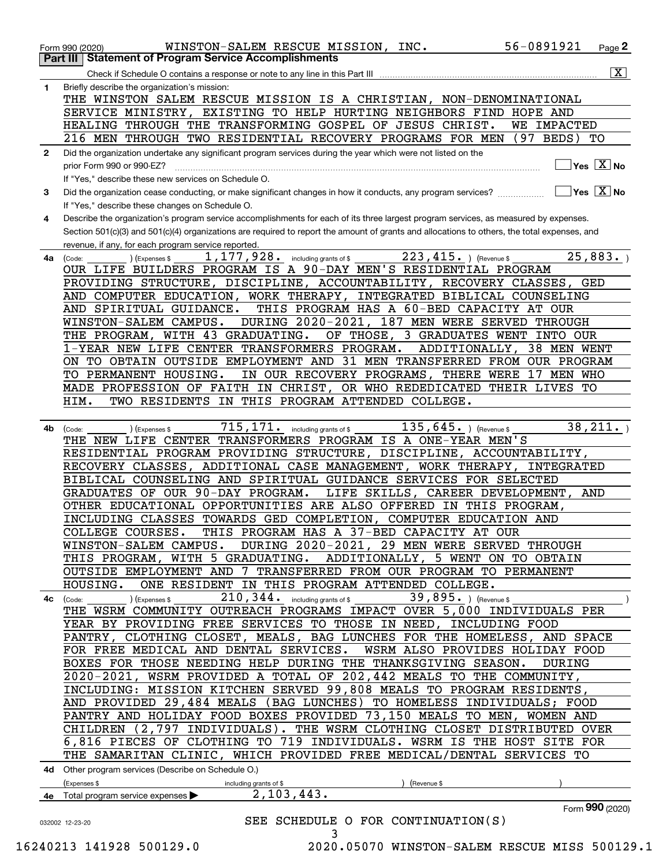|              | 56-0891921<br>WINSTON-SALEM RESCUE MISSION, INC.<br>Page 2<br>Form 990 (2020)                                                                          |                |
|--------------|--------------------------------------------------------------------------------------------------------------------------------------------------------|----------------|
| Part III     | <b>Statement of Program Service Accomplishments</b>                                                                                                    | $ \mathbf{X} $ |
| 1            | Check if Schedule O contains a response or note to any line in this Part III<br>Briefly describe the organization's mission:                           |                |
|              | THE WINSTON SALEM RESCUE MISSION IS A CHRISTIAN, NON-DENOMINATIONAL                                                                                    |                |
|              | SERVICE MINISTRY, EXISTING TO HELP HURTING NEIGHBORS FIND HOPE AND                                                                                     |                |
|              | HEALING THROUGH THE TRANSFORMING GOSPEL OF JESUS CHRIST.<br>WE IMPACTED                                                                                |                |
|              | 216 MEN THROUGH TWO RESIDENTIAL RECOVERY PROGRAMS FOR MEN<br>$(97$ BEDS)<br>TО                                                                         |                |
| $\mathbf{2}$ | Did the organization undertake any significant program services during the year which were not listed on the<br>$\sqrt{}$ Yes $\sqrt{}$ X $\sqrt{}$ No |                |
|              | prior Form 990 or 990-EZ?<br>If "Yes," describe these new services on Schedule O.                                                                      |                |
| З.           | $\sqrt{}$ Yes $\sqrt{}$ X $\sqrt{}$ No<br>Did the organization cease conducting, or make significant changes in how it conducts, any program services? |                |
|              | If "Yes," describe these changes on Schedule O.                                                                                                        |                |
| 4            | Describe the organization's program service accomplishments for each of its three largest program services, as measured by expenses.                   |                |
|              | Section 501(c)(3) and 501(c)(4) organizations are required to report the amount of grants and allocations to others, the total expenses, and           |                |
|              | revenue, if any, for each program service reported.                                                                                                    |                |
| 4a           | 223, 415. ) (Revenue \$<br>25,883.<br>1,177,928.<br>including grants of \$<br>(Code:<br>Expenses \$                                                    |                |
|              | OUR LIFE BUILDERS PROGRAM IS A 90-DAY MEN'S RESIDENTIAL PROGRAM                                                                                        |                |
|              | PROVIDING STRUCTURE, DISCIPLINE, ACCOUNTABILITY, RECOVERY CLASSES,<br>GED<br>AND COMPUTER EDUCATION, WORK THERAPY, INTEGRATED BIBLICAL COUNSELING      |                |
|              | THIS PROGRAM HAS A 60-BED CAPACITY AT OUR<br>AND SPIRITUAL GUIDANCE.                                                                                   |                |
|              | DURING 2020-2021, 187 MEN WERE SERVED THROUGH<br>WINSTON-SALEM CAMPUS.                                                                                 |                |
|              | THE PROGRAM, WITH 43 GRADUATING.<br>OF THOSE, 3 GRADUATES WENT INTO OUR                                                                                |                |
|              | 38 MEN WENT<br>1-YEAR NEW LIFE CENTER TRANSFORMERS PROGRAM.<br>ADDITIONALLY,                                                                           |                |
|              | ON TO OBTAIN OUTSIDE EMPLOYMENT AND 31 MEN TRANSFERRED FROM OUR PROGRAM                                                                                |                |
|              | TO PERMANENT HOUSING.<br>IN OUR RECOVERY PROGRAMS, THERE WERE 17 MEN WHO                                                                               |                |
|              | MADE PROFESSION OF FAITH IN CHRIST, OR WHO REDEDICATED THEIR LIVES<br>TО                                                                               |                |
|              | TWO RESIDENTS IN THIS PROGRAM ATTENDED COLLEGE.<br>HIM.                                                                                                |                |
| 4b           | 38, 211.<br>715, 171.<br>135, 645. ) (Revenue \$<br>including grants of \$<br>(Expenses \$<br>(Code:                                                   |                |
|              | THE NEW LIFE CENTER TRANSFORMERS PROGRAM IS A ONE-YEAR MEN'S                                                                                           |                |
|              | RESIDENTIAL PROGRAM PROVIDING STRUCTURE,<br>DISCIPLINE, ACCOUNTABILITY,                                                                                |                |
|              | ADDITIONAL CASE MANAGEMENT, WORK THERAPY,<br>RECOVERY CLASSES,<br><b>INTEGRATED</b>                                                                    |                |
|              | BIBLICAL COUNSELING AND SPIRITUAL GUIDANCE SERVICES FOR SELECTED                                                                                       |                |
|              | GRADUATES OF OUR 90-DAY PROGRAM.<br>LIFE SKILLS, CAREER DEVELOPMENT, AND                                                                               |                |
|              | OTHER EDUCATIONAL OPPORTUNITIES ARE ALSO OFFERED IN THIS PROGRAM,<br>INCLUDING CLASSES TOWARDS GED COMPLETION, COMPUTER EDUCATION AND                  |                |
|              | COLLEGE COURSES.<br>THIS PROGRAM HAS A 37-BED CAPACITY AT OUR                                                                                          |                |
|              | WINSTON-SALEM CAMPUS. DURING 2020-2021, 29 MEN WERE SERVED THROUGH                                                                                     |                |
|              | THIS PROGRAM, WITH 5 GRADUATING. ADDITIONALLY, 5 WENT ON TO OBTAIN                                                                                     |                |
|              | OUTSIDE EMPLOYMENT AND 7 TRANSFERRED FROM OUR PROGRAM TO PERMANENT                                                                                     |                |
|              | ONE RESIDENT IN THIS PROGRAM ATTENDED COLLEGE.<br>HOUSING.                                                                                             |                |
|              | $_{{\rm{10.344}}}$ (Expenses s and $210$ , $344$ and $_{\rm{including\,grants\,of\,s}}$ and $39$ , $895$ and $_{\rm{10.34}}$<br>4c (Code: ____         |                |
|              | THE WSRM COMMUNITY OUTREACH PROGRAMS IMPACT OVER 5,000 INDIVIDUALS PER<br>YEAR BY PROVIDING FREE SERVICES TO THOSE IN NEED, INCLUDING FOOD             |                |
|              | PANTRY, CLOTHING CLOSET, MEALS, BAG LUNCHES FOR THE HOMELESS, AND SPACE                                                                                |                |
|              | FOR FREE MEDICAL AND DENTAL SERVICES.<br>WSRM ALSO PROVIDES HOLIDAY FOOD                                                                               |                |
|              | BOXES FOR THOSE NEEDING HELP DURING THE THANKSGIVING SEASON.<br>DURING                                                                                 |                |
|              | 2020-2021, WSRM PROVIDED A TOTAL OF 202,442 MEALS TO THE COMMUNITY,                                                                                    |                |
|              | INCLUDING: MISSION KITCHEN SERVED 99,808 MEALS TO PROGRAM RESIDENTS,                                                                                   |                |
|              | AND PROVIDED 29,484 MEALS (BAG LUNCHES) TO HOMELESS INDIVIDUALS; FOOD                                                                                  |                |
|              | PANTRY AND HOLIDAY FOOD BOXES PROVIDED 73,150 MEALS TO MEN, WOMEN AND                                                                                  |                |
|              | CHILDREN (2,797 INDIVIDUALS). THE WSRM CLOTHING CLOSET DISTRIBUTED OVER<br>6,816 PIECES OF CLOTHING TO 719 INDIVIDUALS. WSRM IS THE HOST SITE FOR      |                |
|              | THE SAMARITAN CLINIC, WHICH PROVIDED FREE MEDICAL/DENTAL SERVICES TO                                                                                   |                |
|              | 4d Other program services (Describe on Schedule O.)                                                                                                    |                |
|              | (Expenses \$<br>including grants of \$<br>(Revenue \$                                                                                                  |                |
|              | 2, 103, 443.<br>4e Total program service expenses                                                                                                      |                |
|              | Form 990 (2020)                                                                                                                                        |                |
|              | SEE SCHEDULE O FOR CONTINUATION(S)<br>032002 12-23-20                                                                                                  |                |
|              | 3                                                                                                                                                      |                |

 <sup>16240213 141928 500129.0 2020.05070</sup> WINSTON-SALEM RESCUE MISS 500129.1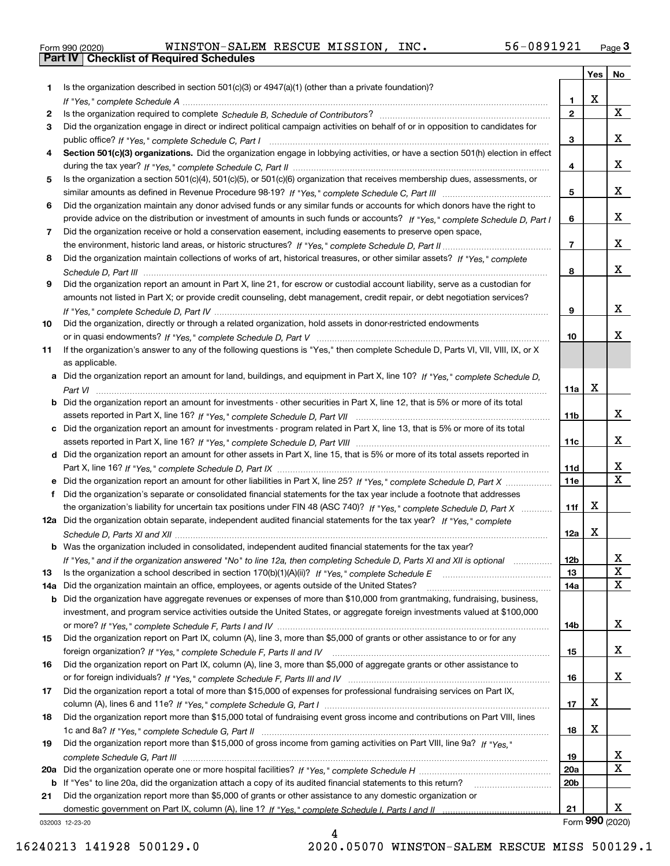|  | Form 990 (2020) |
|--|-----------------|

Form 990 (2020) WINSTON-SALEM RESCUE MISSION, INC. 56-0891921 <sub>Page</sub> 3<br>**Part IV | Checklist of Required Schedules** 

|     |                                                                                                                                       |              | Yes | No               |
|-----|---------------------------------------------------------------------------------------------------------------------------------------|--------------|-----|------------------|
| 1.  | Is the organization described in section $501(c)(3)$ or $4947(a)(1)$ (other than a private foundation)?                               |              |     |                  |
|     |                                                                                                                                       | 1            | X   |                  |
| 2   |                                                                                                                                       | $\mathbf{2}$ |     | X                |
| 3   | Did the organization engage in direct or indirect political campaign activities on behalf of or in opposition to candidates for       |              |     |                  |
|     |                                                                                                                                       | 3            |     | x                |
| 4   | Section 501(c)(3) organizations. Did the organization engage in lobbying activities, or have a section 501(h) election in effect      |              |     | x                |
|     |                                                                                                                                       | 4            |     |                  |
| 5   | Is the organization a section 501(c)(4), 501(c)(5), or 501(c)(6) organization that receives membership dues, assessments, or          | 5            |     | x                |
| 6   | Did the organization maintain any donor advised funds or any similar funds or accounts for which donors have the right to             |              |     |                  |
|     | provide advice on the distribution or investment of amounts in such funds or accounts? If "Yes," complete Schedule D, Part I          | 6            |     | x                |
| 7   | Did the organization receive or hold a conservation easement, including easements to preserve open space,                             |              |     |                  |
|     |                                                                                                                                       | 7            |     | x                |
| 8   | Did the organization maintain collections of works of art, historical treasures, or other similar assets? If "Yes," complete          |              |     |                  |
|     |                                                                                                                                       | 8            |     | x                |
| 9   | Did the organization report an amount in Part X, line 21, for escrow or custodial account liability, serve as a custodian for         |              |     |                  |
|     | amounts not listed in Part X; or provide credit counseling, debt management, credit repair, or debt negotiation services?             |              |     |                  |
|     |                                                                                                                                       | 9            |     | x                |
| 10  | Did the organization, directly or through a related organization, hold assets in donor-restricted endowments                          |              |     |                  |
|     |                                                                                                                                       | 10           |     | x                |
| 11  | If the organization's answer to any of the following questions is "Yes," then complete Schedule D, Parts VI, VII, VIII, IX, or X      |              |     |                  |
|     | as applicable.                                                                                                                        |              |     |                  |
|     | a Did the organization report an amount for land, buildings, and equipment in Part X, line 10? If "Yes," complete Schedule D,         | 11a          | X   |                  |
|     | <b>b</b> Did the organization report an amount for investments - other securities in Part X, line 12, that is 5% or more of its total |              |     |                  |
|     |                                                                                                                                       | 11b          |     | x                |
|     | c Did the organization report an amount for investments - program related in Part X, line 13, that is 5% or more of its total         |              |     |                  |
|     |                                                                                                                                       | 11c          |     | x                |
|     | d Did the organization report an amount for other assets in Part X, line 15, that is 5% or more of its total assets reported in       |              |     |                  |
|     |                                                                                                                                       | 11d          |     | x                |
|     | e Did the organization report an amount for other liabilities in Part X, line 25? If "Yes," complete Schedule D, Part X               | <b>11e</b>   |     | $\mathbf X$      |
| f   | Did the organization's separate or consolidated financial statements for the tax year include a footnote that addresses               |              |     |                  |
|     | the organization's liability for uncertain tax positions under FIN 48 (ASC 740)? If "Yes," complete Schedule D, Part X                | 11f          | х   |                  |
|     | 12a Did the organization obtain separate, independent audited financial statements for the tax year? If "Yes," complete               |              |     |                  |
|     |                                                                                                                                       | 12a          | X   |                  |
|     | <b>b</b> Was the organization included in consolidated, independent audited financial statements for the tax year?                    |              |     |                  |
| 13  | If "Yes," and if the organization answered "No" to line 12a, then completing Schedule D, Parts XI and XII is optional                 | 12b<br>13    |     | X<br>$\mathbf X$ |
| 14a | Did the organization maintain an office, employees, or agents outside of the United States?                                           | 14a          |     | X                |
|     | <b>b</b> Did the organization have aggregate revenues or expenses of more than \$10,000 from grantmaking, fundraising, business,      |              |     |                  |
|     | investment, and program service activities outside the United States, or aggregate foreign investments valued at \$100,000            |              |     |                  |
|     |                                                                                                                                       | 14b          |     | x                |
| 15  | Did the organization report on Part IX, column (A), line 3, more than \$5,000 of grants or other assistance to or for any             |              |     |                  |
|     |                                                                                                                                       | 15           |     | х                |
| 16  | Did the organization report on Part IX, column (A), line 3, more than \$5,000 of aggregate grants or other assistance to              |              |     |                  |
|     |                                                                                                                                       | 16           |     | x                |
| 17  | Did the organization report a total of more than \$15,000 of expenses for professional fundraising services on Part IX,               |              |     |                  |
|     |                                                                                                                                       | 17           | х   |                  |
| 18  | Did the organization report more than \$15,000 total of fundraising event gross income and contributions on Part VIII, lines          |              |     |                  |
|     |                                                                                                                                       | 18           | х   |                  |
| 19  | Did the organization report more than \$15,000 of gross income from gaming activities on Part VIII, line 9a? If "Yes."                |              |     | x                |
|     |                                                                                                                                       | 19<br>20a    |     | X                |
|     | b If "Yes" to line 20a, did the organization attach a copy of its audited financial statements to this return?                        | 20b          |     |                  |
| 21  | Did the organization report more than \$5,000 of grants or other assistance to any domestic organization or                           |              |     |                  |
|     |                                                                                                                                       | 21           |     | x                |
|     | 032003 12-23-20                                                                                                                       |              |     | Form 990 (2020)  |

032003 12-23-20

4 16240213 141928 500129.0 2020.05070 WINSTON-SALEM RESCUE MISS 500129.1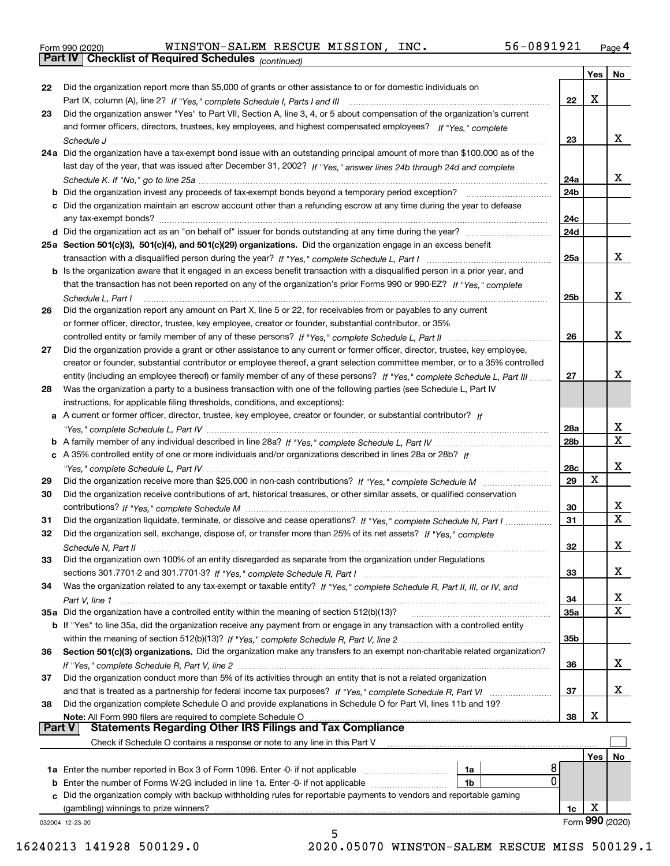|  | Form 990 (2020) |
|--|-----------------|
|  |                 |

*(continued)* Form 990 (2020) WINSTON-SALEM RESCUE MISSION, INC. 56-0891921 <sub>Page</sub> 4<br>**Part IV | Checklist of Required Schedules** <sub>(continued)</sub>

|               |                                                                                                                                  |                 | Yes | No                      |
|---------------|----------------------------------------------------------------------------------------------------------------------------------|-----------------|-----|-------------------------|
| 22            | Did the organization report more than \$5,000 of grants or other assistance to or for domestic individuals on                    |                 |     |                         |
|               |                                                                                                                                  | 22              | х   |                         |
| 23            | Did the organization answer "Yes" to Part VII, Section A, line 3, 4, or 5 about compensation of the organization's current       |                 |     |                         |
|               | and former officers, directors, trustees, key employees, and highest compensated employees? If "Yes," complete                   |                 |     |                         |
|               |                                                                                                                                  | 23              |     | X.                      |
|               | 24a Did the organization have a tax-exempt bond issue with an outstanding principal amount of more than \$100,000 as of the      |                 |     |                         |
|               | last day of the year, that was issued after December 31, 2002? If "Yes," answer lines 24b through 24d and complete               |                 |     |                         |
|               |                                                                                                                                  | 24a             |     | X.                      |
|               | b Did the organization invest any proceeds of tax-exempt bonds beyond a temporary period exception?                              | 24b             |     |                         |
|               | c Did the organization maintain an escrow account other than a refunding escrow at any time during the year to defease           |                 |     |                         |
|               | any tax-exempt bonds?                                                                                                            | 24 <sub>c</sub> |     |                         |
|               | d Did the organization act as an "on behalf of" issuer for bonds outstanding at any time during the year?                        | 24d             |     |                         |
|               | 25a Section 501(c)(3), 501(c)(4), and 501(c)(29) organizations. Did the organization engage in an excess benefit                 |                 |     |                         |
|               |                                                                                                                                  | 25a             |     | X.                      |
|               | b Is the organization aware that it engaged in an excess benefit transaction with a disqualified person in a prior year, and     |                 |     |                         |
|               | that the transaction has not been reported on any of the organization's prior Forms 990 or 990-EZ? If "Yes." complete            |                 |     |                         |
|               | Schedule L, Part I                                                                                                               | 25b             |     | X.                      |
| 26            | Did the organization report any amount on Part X, line 5 or 22, for receivables from or payables to any current                  |                 |     |                         |
|               | or former officer, director, trustee, key employee, creator or founder, substantial contributor, or 35%                          |                 |     |                         |
|               |                                                                                                                                  | 26              |     | x                       |
| 27            | Did the organization provide a grant or other assistance to any current or former officer, director, trustee, key employee,      |                 |     |                         |
|               | creator or founder, substantial contributor or employee thereof, a grant selection committee member, or to a 35% controlled      |                 |     |                         |
|               | entity (including an employee thereof) or family member of any of these persons? If "Yes," complete Schedule L, Part III         | 27              |     | x                       |
| 28            | Was the organization a party to a business transaction with one of the following parties (see Schedule L, Part IV                |                 |     |                         |
|               | instructions, for applicable filing thresholds, conditions, and exceptions):                                                     |                 |     |                         |
|               | a A current or former officer, director, trustee, key employee, creator or founder, or substantial contributor? If               |                 |     |                         |
|               |                                                                                                                                  | 28a             |     | x                       |
|               |                                                                                                                                  | 28b             |     | X                       |
|               | c A 35% controlled entity of one or more individuals and/or organizations described in lines 28a or 28b? If                      |                 |     |                         |
|               |                                                                                                                                  | 28c             |     | x                       |
| 29            |                                                                                                                                  | 29              | X   |                         |
| 30            | Did the organization receive contributions of art, historical treasures, or other similar assets, or qualified conservation      |                 |     |                         |
|               |                                                                                                                                  | 30              |     | X.                      |
| 31            | Did the organization liquidate, terminate, or dissolve and cease operations? If "Yes," complete Schedule N, Part I               | 31              |     | $\overline{\mathbf{x}}$ |
| 32            | Did the organization sell, exchange, dispose of, or transfer more than 25% of its net assets? If "Yes." complete                 |                 |     |                         |
|               | Schedule N, Part II                                                                                                              | 32              |     | x                       |
| 33            | Did the organization own 100% of an entity disregarded as separate from the organization under Regulations                       |                 |     |                         |
|               |                                                                                                                                  | 33              |     | X                       |
| 34            | Was the organization related to any tax-exempt or taxable entity? If "Yes," complete Schedule R, Part II, III, or IV, and        |                 |     |                         |
|               |                                                                                                                                  | 34              |     | х                       |
|               | 35a Did the organization have a controlled entity within the meaning of section 512(b)(13)?                                      | 35a             |     | X                       |
|               | b If "Yes" to line 35a, did the organization receive any payment from or engage in any transaction with a controlled entity      |                 |     |                         |
|               |                                                                                                                                  | 35b             |     |                         |
| 36            | Section 501(c)(3) organizations. Did the organization make any transfers to an exempt non-charitable related organization?       |                 |     |                         |
|               |                                                                                                                                  | 36              |     | x                       |
| 37            | Did the organization conduct more than 5% of its activities through an entity that is not a related organization                 |                 |     |                         |
|               | and that is treated as a partnership for federal income tax purposes? If "Yes," complete Schedule R, Part VI                     | 37              |     | x                       |
| 38            | Did the organization complete Schedule O and provide explanations in Schedule O for Part VI, lines 11b and 19?                   |                 |     |                         |
|               | Note: All Form 990 filers are required to complete Schedule O                                                                    | 38              | х   |                         |
| <b>Part V</b> | <b>Statements Regarding Other IRS Filings and Tax Compliance</b>                                                                 |                 |     |                         |
|               | Check if Schedule O contains a response or note to any line in this Part V                                                       |                 |     |                         |
|               |                                                                                                                                  |                 | Yes | No                      |
|               | 8<br>1a Enter the number reported in Box 3 of Form 1096. Enter -0- if not applicable<br>1a                                       |                 |     |                         |
|               | $\mathbf 0$<br><b>b</b> Enter the number of Forms W-2G included in line 1a. Enter -0- if not applicable <i>manumumumum</i><br>1b |                 |     |                         |
|               | c Did the organization comply with backup withholding rules for reportable payments to vendors and reportable gaming             |                 |     |                         |
|               | (gambling) winnings to prize winners?                                                                                            | 1c              | х   |                         |
|               | 032004 12-23-20                                                                                                                  |                 |     | Form 990 (2020)         |
|               | 5                                                                                                                                |                 |     |                         |

16240213 141928 500129.0 2020.05070 WINSTON-SALEM RESCUE MISS 500129.1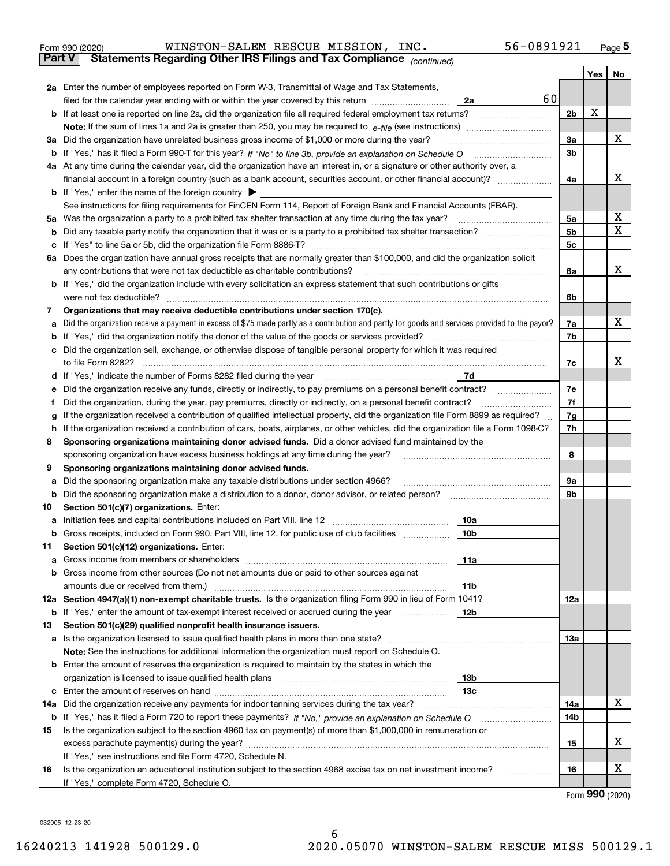| Form 990 (2020) | WINSTON-SALEM RESCUE MISSION,                                                                  |  | INC. | 56-0891921 | Page 5 |
|-----------------|------------------------------------------------------------------------------------------------|--|------|------------|--------|
|                 | <b>Part V</b> Statements Regarding Other IRS Filings and Tax Compliance <sub>(continued)</sub> |  |      |            |        |

|     |                                                                                                                                                                    |     | Yes | No |  |  |  |  |  |  |  |
|-----|--------------------------------------------------------------------------------------------------------------------------------------------------------------------|-----|-----|----|--|--|--|--|--|--|--|
|     | 2a Enter the number of employees reported on Form W-3, Transmittal of Wage and Tax Statements,                                                                     |     |     |    |  |  |  |  |  |  |  |
|     | 60<br>filed for the calendar year ending with or within the year covered by this return<br>2a                                                                      |     |     |    |  |  |  |  |  |  |  |
|     |                                                                                                                                                                    |     |     |    |  |  |  |  |  |  |  |
|     |                                                                                                                                                                    |     |     |    |  |  |  |  |  |  |  |
|     | 3a Did the organization have unrelated business gross income of \$1,000 or more during the year?                                                                   | 3a  |     | х  |  |  |  |  |  |  |  |
|     |                                                                                                                                                                    |     |     |    |  |  |  |  |  |  |  |
|     | 4a At any time during the calendar year, did the organization have an interest in, or a signature or other authority over, a                                       |     |     |    |  |  |  |  |  |  |  |
|     |                                                                                                                                                                    | 4a  |     | х  |  |  |  |  |  |  |  |
|     | <b>b</b> If "Yes," enter the name of the foreign country                                                                                                           |     |     |    |  |  |  |  |  |  |  |
|     | See instructions for filing requirements for FinCEN Form 114, Report of Foreign Bank and Financial Accounts (FBAR).                                                |     |     |    |  |  |  |  |  |  |  |
| 5а  | Was the organization a party to a prohibited tax shelter transaction at any time during the tax year?                                                              |     |     |    |  |  |  |  |  |  |  |
| b   |                                                                                                                                                                    | 5b  |     | X  |  |  |  |  |  |  |  |
|     |                                                                                                                                                                    | 5c  |     |    |  |  |  |  |  |  |  |
| 6а  | Does the organization have annual gross receipts that are normally greater than \$100,000, and did the organization solicit                                        |     |     | х  |  |  |  |  |  |  |  |
|     | any contributions that were not tax deductible as charitable contributions?                                                                                        | 6a  |     |    |  |  |  |  |  |  |  |
|     | b If "Yes," did the organization include with every solicitation an express statement that such contributions or gifts<br>were not tax deductible?                 |     |     |    |  |  |  |  |  |  |  |
| 7   | Organizations that may receive deductible contributions under section 170(c).                                                                                      | 6b  |     |    |  |  |  |  |  |  |  |
| а   | Did the organization receive a payment in excess of \$75 made partly as a contribution and partly for goods and services provided to the payor?                    | 7a  |     | х  |  |  |  |  |  |  |  |
| b   | If "Yes," did the organization notify the donor of the value of the goods or services provided?                                                                    | 7b  |     |    |  |  |  |  |  |  |  |
|     | Did the organization sell, exchange, or otherwise dispose of tangible personal property for which it was required                                                  |     |     |    |  |  |  |  |  |  |  |
|     | to file Form 8282?                                                                                                                                                 | 7c  |     | х  |  |  |  |  |  |  |  |
| d   | 7d                                                                                                                                                                 |     |     |    |  |  |  |  |  |  |  |
| е   | Did the organization receive any funds, directly or indirectly, to pay premiums on a personal benefit contract?                                                    | 7e  |     |    |  |  |  |  |  |  |  |
| Ť   | Did the organization, during the year, pay premiums, directly or indirectly, on a personal benefit contract?                                                       | 7f  |     |    |  |  |  |  |  |  |  |
| g   | If the organization received a contribution of qualified intellectual property, did the organization file Form 8899 as required?                                   | 7g  |     |    |  |  |  |  |  |  |  |
| h.  | If the organization received a contribution of cars, boats, airplanes, or other vehicles, did the organization file a Form 1098-C?                                 | 7h  |     |    |  |  |  |  |  |  |  |
| 8   | Sponsoring organizations maintaining donor advised funds. Did a donor advised fund maintained by the                                                               |     |     |    |  |  |  |  |  |  |  |
|     | sponsoring organization have excess business holdings at any time during the year?                                                                                 | 8   |     |    |  |  |  |  |  |  |  |
| 9   | Sponsoring organizations maintaining donor advised funds.                                                                                                          |     |     |    |  |  |  |  |  |  |  |
| а   | Did the sponsoring organization make any taxable distributions under section 4966?                                                                                 | 9а  |     |    |  |  |  |  |  |  |  |
| b   | Did the sponsoring organization make a distribution to a donor, donor advisor, or related person?                                                                  | 9b  |     |    |  |  |  |  |  |  |  |
| 10  | Section 501(c)(7) organizations. Enter:                                                                                                                            |     |     |    |  |  |  |  |  |  |  |
| а   | 10a                                                                                                                                                                |     |     |    |  |  |  |  |  |  |  |
| b   | Gross receipts, included on Form 990, Part VIII, line 12, for public use of club facilities<br>10b                                                                 |     |     |    |  |  |  |  |  |  |  |
| 11  | Section 501(c)(12) organizations. Enter:                                                                                                                           |     |     |    |  |  |  |  |  |  |  |
|     | 11a<br>Gross income from members or shareholders                                                                                                                   |     |     |    |  |  |  |  |  |  |  |
|     | <b>b</b> Gross income from other sources (Do not net amounts due or paid to other sources against                                                                  |     |     |    |  |  |  |  |  |  |  |
|     | 11b                                                                                                                                                                |     |     |    |  |  |  |  |  |  |  |
|     | 12a Section 4947(a)(1) non-exempt charitable trusts. Is the organization filing Form 990 in lieu of Form 1041?<br>12 <sub>b</sub>                                  | 12a |     |    |  |  |  |  |  |  |  |
| 13  | <b>b</b> If "Yes," enter the amount of tax-exempt interest received or accrued during the year<br>Section 501(c)(29) qualified nonprofit health insurance issuers. |     |     |    |  |  |  |  |  |  |  |
|     | a Is the organization licensed to issue qualified health plans in more than one state?                                                                             | 13a |     |    |  |  |  |  |  |  |  |
|     | Note: See the instructions for additional information the organization must report on Schedule O.                                                                  |     |     |    |  |  |  |  |  |  |  |
|     | <b>b</b> Enter the amount of reserves the organization is required to maintain by the states in which the                                                          |     |     |    |  |  |  |  |  |  |  |
|     | 13 <sub>b</sub>                                                                                                                                                    |     |     |    |  |  |  |  |  |  |  |
|     | 13 <sub>c</sub>                                                                                                                                                    |     |     |    |  |  |  |  |  |  |  |
| 14a | Did the organization receive any payments for indoor tanning services during the tax year?                                                                         | 14a |     | x  |  |  |  |  |  |  |  |
|     | <b>b</b> If "Yes," has it filed a Form 720 to report these payments? If "No," provide an explanation on Schedule O                                                 | 14b |     |    |  |  |  |  |  |  |  |
| 15  | Is the organization subject to the section 4960 tax on payment(s) of more than \$1,000,000 in remuneration or                                                      |     |     |    |  |  |  |  |  |  |  |
|     |                                                                                                                                                                    | 15  |     | х  |  |  |  |  |  |  |  |
|     | If "Yes," see instructions and file Form 4720, Schedule N.                                                                                                         |     |     |    |  |  |  |  |  |  |  |
| 16  | Is the organization an educational institution subject to the section 4968 excise tax on net investment income?                                                    | 16  |     | х  |  |  |  |  |  |  |  |
|     | If "Yes," complete Form 4720, Schedule O.                                                                                                                          |     |     |    |  |  |  |  |  |  |  |

Form (2020) **990**

032005 12-23-20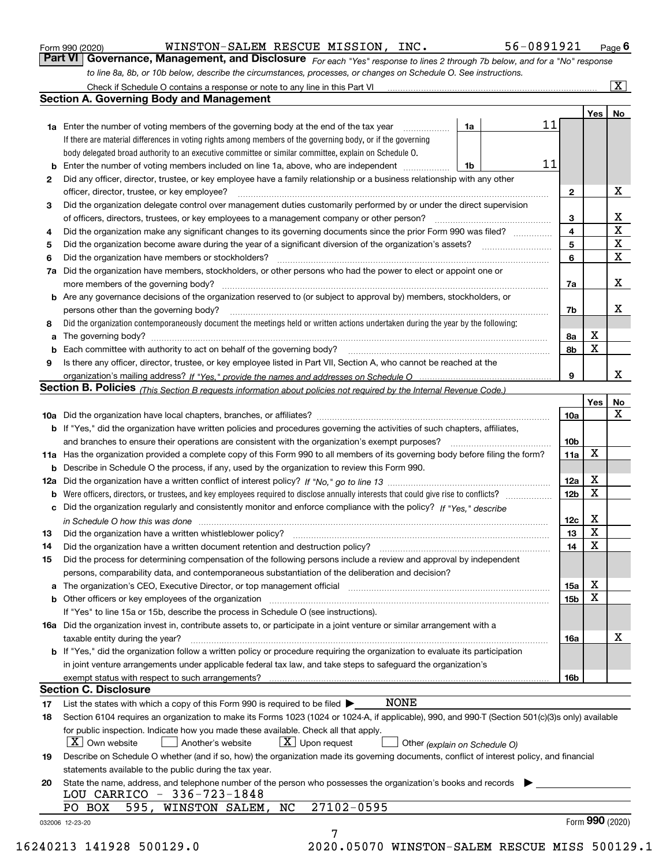|     | rait VI I<br><b>GOVETTRITCE, MariageTriefTt, and Disclosure</b> For each "Yes" response to lines 2 through 7b below, and for a "No" response                                                                                        |                 |                 |                    |  |  |  |  |  |  |  |  |  |
|-----|-------------------------------------------------------------------------------------------------------------------------------------------------------------------------------------------------------------------------------------|-----------------|-----------------|--------------------|--|--|--|--|--|--|--|--|--|
|     | to line 8a, 8b, or 10b below, describe the circumstances, processes, or changes on Schedule O. See instructions.                                                                                                                    |                 |                 | $\boxed{\text{X}}$ |  |  |  |  |  |  |  |  |  |
|     | Check if Schedule O contains a response or note to any line in this Part VI<br><b>Section A. Governing Body and Management</b>                                                                                                      |                 |                 |                    |  |  |  |  |  |  |  |  |  |
|     |                                                                                                                                                                                                                                     |                 |                 |                    |  |  |  |  |  |  |  |  |  |
|     | 11                                                                                                                                                                                                                                  |                 | Yes             | No                 |  |  |  |  |  |  |  |  |  |
|     | 1a Enter the number of voting members of the governing body at the end of the tax year<br>1a<br>.<br>If there are material differences in voting rights among members of the governing body, or if the governing                    |                 |                 |                    |  |  |  |  |  |  |  |  |  |
|     |                                                                                                                                                                                                                                     |                 |                 |                    |  |  |  |  |  |  |  |  |  |
|     | body delegated broad authority to an executive committee or similar committee, explain on Schedule O.<br>11<br><b>b</b> Enter the number of voting members included on line 1a, above, who are independent <i>manument</i> in<br>1b |                 |                 |                    |  |  |  |  |  |  |  |  |  |
|     | Did any officer, director, trustee, or key employee have a family relationship or a business relationship with any other<br>2                                                                                                       |                 |                 |                    |  |  |  |  |  |  |  |  |  |
|     | officer, director, trustee, or key employee?                                                                                                                                                                                        |                 |                 |                    |  |  |  |  |  |  |  |  |  |
|     | Did the organization delegate control over management duties customarily performed by or under the direct supervision<br>з                                                                                                          |                 |                 |                    |  |  |  |  |  |  |  |  |  |
|     | of officers, directors, trustees, or key employees to a management company or other person?                                                                                                                                         |                 |                 |                    |  |  |  |  |  |  |  |  |  |
|     | Did the organization make any significant changes to its governing documents since the prior Form 990 was filed?<br>4                                                                                                               |                 |                 |                    |  |  |  |  |  |  |  |  |  |
| 5   |                                                                                                                                                                                                                                     |                 |                 |                    |  |  |  |  |  |  |  |  |  |
| 6   | Did the organization have members or stockholders?                                                                                                                                                                                  | 5<br>6          |                 | X<br>X             |  |  |  |  |  |  |  |  |  |
| 7a  | Did the organization have members, stockholders, or other persons who had the power to elect or appoint one or                                                                                                                      |                 |                 |                    |  |  |  |  |  |  |  |  |  |
|     | more members of the governing body?                                                                                                                                                                                                 | 7a              |                 | х                  |  |  |  |  |  |  |  |  |  |
|     | b Are any governance decisions of the organization reserved to (or subject to approval by) members, stockholders, or                                                                                                                |                 |                 |                    |  |  |  |  |  |  |  |  |  |
|     | persons other than the governing body?                                                                                                                                                                                              | 7b              |                 | х                  |  |  |  |  |  |  |  |  |  |
| 8   | Did the organization contemporaneously document the meetings held or written actions undertaken during the year by the following:                                                                                                   |                 |                 |                    |  |  |  |  |  |  |  |  |  |
| а   | The governing body?                                                                                                                                                                                                                 | 8а              | х               |                    |  |  |  |  |  |  |  |  |  |
|     | Each committee with authority to act on behalf of the governing body?                                                                                                                                                               | 8b              | X               |                    |  |  |  |  |  |  |  |  |  |
| 9   | Is there any officer, director, trustee, or key employee listed in Part VII, Section A, who cannot be reached at the                                                                                                                |                 |                 |                    |  |  |  |  |  |  |  |  |  |
|     |                                                                                                                                                                                                                                     | 9               |                 | х                  |  |  |  |  |  |  |  |  |  |
|     | <b>Section B. Policies</b> (This Section B requests information about policies not required by the Internal Revenue Code.)                                                                                                          |                 |                 |                    |  |  |  |  |  |  |  |  |  |
|     |                                                                                                                                                                                                                                     |                 | Yes             | No                 |  |  |  |  |  |  |  |  |  |
|     |                                                                                                                                                                                                                                     | 10a             |                 | х                  |  |  |  |  |  |  |  |  |  |
|     | b If "Yes," did the organization have written policies and procedures governing the activities of such chapters, affiliates,                                                                                                        |                 |                 |                    |  |  |  |  |  |  |  |  |  |
|     | and branches to ensure their operations are consistent with the organization's exempt purposes?                                                                                                                                     | 10 <sub>b</sub> |                 |                    |  |  |  |  |  |  |  |  |  |
|     | 11a Has the organization provided a complete copy of this Form 990 to all members of its governing body before filing the form?                                                                                                     | 11a             | X               |                    |  |  |  |  |  |  |  |  |  |
| b   | Describe in Schedule O the process, if any, used by the organization to review this Form 990.                                                                                                                                       |                 |                 |                    |  |  |  |  |  |  |  |  |  |
| 12a |                                                                                                                                                                                                                                     | 12a             | х               |                    |  |  |  |  |  |  |  |  |  |
| b   |                                                                                                                                                                                                                                     | 12 <sub>b</sub> | X               |                    |  |  |  |  |  |  |  |  |  |
|     | c Did the organization regularly and consistently monitor and enforce compliance with the policy? If "Yes." describe                                                                                                                |                 |                 |                    |  |  |  |  |  |  |  |  |  |
|     | in Schedule O how this was done <i>manually contained as a contained a serient</i> and the state of the state of the s                                                                                                              | 12c             | х               |                    |  |  |  |  |  |  |  |  |  |
| 13  | Did the organization have a written whistleblower policy?                                                                                                                                                                           | 13              | X               |                    |  |  |  |  |  |  |  |  |  |
| 14  | Did the organization have a written document retention and destruction policy?                                                                                                                                                      | 14              | X               |                    |  |  |  |  |  |  |  |  |  |
| 15  | Did the process for determining compensation of the following persons include a review and approval by independent                                                                                                                  |                 |                 |                    |  |  |  |  |  |  |  |  |  |
|     | persons, comparability data, and contemporaneous substantiation of the deliberation and decision?                                                                                                                                   |                 |                 |                    |  |  |  |  |  |  |  |  |  |
|     | a The organization's CEO, Executive Director, or top management official manufactured content content of the organization's CEO, Executive Director, or top management official manufactured content of the state of the state      | 15a             | х               |                    |  |  |  |  |  |  |  |  |  |
|     |                                                                                                                                                                                                                                     | 15b             | х               |                    |  |  |  |  |  |  |  |  |  |
|     | If "Yes" to line 15a or 15b, describe the process in Schedule O (see instructions).                                                                                                                                                 |                 |                 |                    |  |  |  |  |  |  |  |  |  |
|     | 16a Did the organization invest in, contribute assets to, or participate in a joint venture or similar arrangement with a                                                                                                           |                 |                 |                    |  |  |  |  |  |  |  |  |  |
|     | taxable entity during the year?                                                                                                                                                                                                     | 16a             |                 | x                  |  |  |  |  |  |  |  |  |  |
|     | <b>b</b> If "Yes," did the organization follow a written policy or procedure requiring the organization to evaluate its participation                                                                                               |                 |                 |                    |  |  |  |  |  |  |  |  |  |
|     | in joint venture arrangements under applicable federal tax law, and take steps to safeguard the organization's                                                                                                                      |                 |                 |                    |  |  |  |  |  |  |  |  |  |
|     | <b>Section C. Disclosure</b>                                                                                                                                                                                                        | 16b             |                 |                    |  |  |  |  |  |  |  |  |  |
|     | NONE                                                                                                                                                                                                                                |                 |                 |                    |  |  |  |  |  |  |  |  |  |
| 17  | List the states with which a copy of this Form 990 is required to be filed $\blacktriangleright$                                                                                                                                    |                 |                 |                    |  |  |  |  |  |  |  |  |  |
| 18  | Section 6104 requires an organization to make its Forms 1023 (1024 or 1024-A, if applicable), 990, and 990-T (Section 501(c)(3)s only) available                                                                                    |                 |                 |                    |  |  |  |  |  |  |  |  |  |
|     | for public inspection. Indicate how you made these available. Check all that apply.<br>$X$ Own website<br>$X$ Upon request<br>Another's website                                                                                     |                 |                 |                    |  |  |  |  |  |  |  |  |  |
| 19  | Other (explain on Schedule O)<br>Describe on Schedule O whether (and if so, how) the organization made its governing documents, conflict of interest policy, and financial                                                          |                 |                 |                    |  |  |  |  |  |  |  |  |  |
|     | statements available to the public during the tax year.                                                                                                                                                                             |                 |                 |                    |  |  |  |  |  |  |  |  |  |
| 20  | State the name, address, and telephone number of the person who possesses the organization's books and records                                                                                                                      |                 |                 |                    |  |  |  |  |  |  |  |  |  |
|     | LOU CARRICO - 336-723-1848                                                                                                                                                                                                          |                 |                 |                    |  |  |  |  |  |  |  |  |  |
|     | 27102-0595<br>595, WINSTON SALEM, NC<br>PO BOX                                                                                                                                                                                      |                 |                 |                    |  |  |  |  |  |  |  |  |  |
|     | 032006 12-23-20                                                                                                                                                                                                                     |                 | Form 990 (2020) |                    |  |  |  |  |  |  |  |  |  |
|     | 7                                                                                                                                                                                                                                   |                 |                 |                    |  |  |  |  |  |  |  |  |  |

Form 990 (2020) **MINSTON-SALEM RESCUE MISSION, INC.** 56-0891921 <sub>Page</sub> 6<br>**Part VI** | Governance, Management, and Disclosure *For each "Yes" response to lines 2 through 7b below, and for a "No" response* 

16240213 141928 500129.0 2020.05070 WINSTON-SALEM RESCUE MISS 500129.1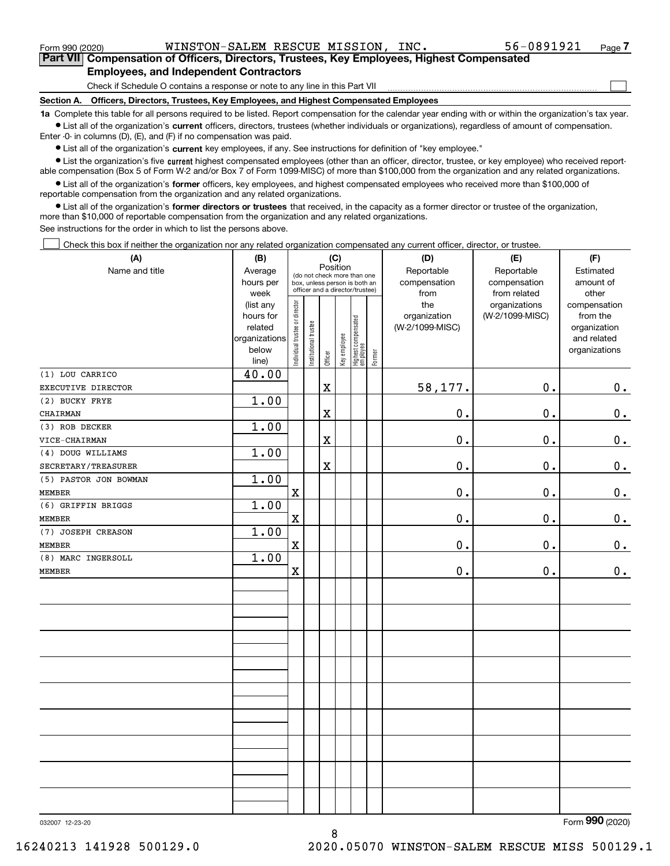Form 990 (2020) WINSTON-SALEM RESCUE MISSION, INC.  $$56-0891921$   $$Page$ 

 $\mathcal{L}^{\text{max}}$ 

**7Part VII Compensation of Officers, Directors, Trustees, Key Employees, Highest Compensated Employees, and Independent Contractors**

Check if Schedule O contains a response or note to any line in this Part VII

**Section A. Officers, Directors, Trustees, Key Employees, and Highest Compensated Employees**

**1a**  Complete this table for all persons required to be listed. Report compensation for the calendar year ending with or within the organization's tax year. **•** List all of the organization's current officers, directors, trustees (whether individuals or organizations), regardless of amount of compensation.

Enter -0- in columns (D), (E), and (F) if no compensation was paid.

 $\bullet$  List all of the organization's  $\,$ current key employees, if any. See instructions for definition of "key employee."

**•** List the organization's five current highest compensated employees (other than an officer, director, trustee, or key employee) who received reportable compensation (Box 5 of Form W-2 and/or Box 7 of Form 1099-MISC) of more than \$100,000 from the organization and any related organizations.

**•** List all of the organization's former officers, key employees, and highest compensated employees who received more than \$100,000 of reportable compensation from the organization and any related organizations.

**former directors or trustees**  ¥ List all of the organization's that received, in the capacity as a former director or trustee of the organization, more than \$10,000 of reportable compensation from the organization and any related organizations.

See instructions for the order in which to list the persons above.

Check this box if neither the organization nor any related organization compensated any current officer, director, or trustee.  $\mathcal{L}^{\text{max}}$ 

| (A)                   | (B)                    | (C)<br>Position                |                       |             |              |                                                              |        | (D)                        | (E)                        | (F)                          |  |  |  |  |
|-----------------------|------------------------|--------------------------------|-----------------------|-------------|--------------|--------------------------------------------------------------|--------|----------------------------|----------------------------|------------------------------|--|--|--|--|
| Name and title        | Average<br>hours per   |                                |                       |             |              | (do not check more than one<br>box, unless person is both an |        | Reportable<br>compensation | Reportable<br>compensation | Estimated<br>amount of       |  |  |  |  |
|                       | week                   |                                |                       |             |              | officer and a director/trustee)                              |        | from                       | from related               | other                        |  |  |  |  |
|                       | (list any              |                                |                       |             |              |                                                              |        | the                        | organizations              | compensation                 |  |  |  |  |
|                       | hours for              |                                |                       |             |              |                                                              |        | organization               | (W-2/1099-MISC)            | from the                     |  |  |  |  |
|                       | related                |                                |                       |             |              |                                                              |        | (W-2/1099-MISC)            |                            | organization                 |  |  |  |  |
|                       | organizations<br>below |                                |                       |             |              |                                                              |        |                            |                            | and related<br>organizations |  |  |  |  |
|                       | line)                  | Individual trustee or director | Institutional trustee | Officer     | Key employee | Highest compensated<br>  employee                            | Former |                            |                            |                              |  |  |  |  |
| (1) LOU CARRICO       | 40.00                  |                                |                       |             |              |                                                              |        |                            |                            |                              |  |  |  |  |
| EXECUTIVE DIRECTOR    |                        |                                |                       | $\mathbf X$ |              |                                                              |        | 58,177.                    | 0.                         | 0.                           |  |  |  |  |
| (2) BUCKY FRYE        | 1.00                   |                                |                       |             |              |                                                              |        |                            |                            |                              |  |  |  |  |
| CHAIRMAN              |                        |                                |                       | X           |              |                                                              |        | $\mathbf 0$ .              | $0$ .                      | 0.                           |  |  |  |  |
| (3) ROB DECKER        | 1.00                   |                                |                       |             |              |                                                              |        |                            |                            |                              |  |  |  |  |
| VICE-CHAIRMAN         |                        |                                |                       | $\mathbf X$ |              |                                                              |        | 0.                         | $\mathbf 0$ .              | $0_{\cdot}$                  |  |  |  |  |
| (4) DOUG WILLIAMS     | 1.00                   |                                |                       |             |              |                                                              |        |                            |                            |                              |  |  |  |  |
| SECRETARY/TREASURER   |                        |                                |                       | $\mathbf X$ |              |                                                              |        | $\mathbf 0$ .              | $0$ .                      | 0.                           |  |  |  |  |
| (5) PASTOR JON BOWMAN | 1.00                   |                                |                       |             |              |                                                              |        |                            |                            |                              |  |  |  |  |
| <b>MEMBER</b>         |                        | $\mathbf X$                    |                       |             |              |                                                              |        | 0.                         | $\mathbf 0$ .              | $0_{\cdot}$                  |  |  |  |  |
| (6) GRIFFIN BRIGGS    | 1.00                   |                                |                       |             |              |                                                              |        |                            |                            |                              |  |  |  |  |
| <b>MEMBER</b>         |                        | $\mathbf X$                    |                       |             |              |                                                              |        | 0.                         | $0$ .                      | $0_{\cdot}$                  |  |  |  |  |
| (7) JOSEPH CREASON    | 1.00                   |                                |                       |             |              |                                                              |        |                            |                            |                              |  |  |  |  |
| <b>MEMBER</b>         |                        | $\mathbf X$                    |                       |             |              |                                                              |        | 0.                         | $\mathbf 0$ .              | 0.                           |  |  |  |  |
| (8) MARC INGERSOLL    | 1.00                   |                                |                       |             |              |                                                              |        |                            |                            |                              |  |  |  |  |
| <b>MEMBER</b>         |                        | $\mathbf X$                    |                       |             |              |                                                              |        | 0.                         | $\mathbf 0$ .              | $0_{.}$                      |  |  |  |  |
|                       |                        |                                |                       |             |              |                                                              |        |                            |                            |                              |  |  |  |  |
|                       |                        |                                |                       |             |              |                                                              |        |                            |                            |                              |  |  |  |  |
|                       |                        |                                |                       |             |              |                                                              |        |                            |                            |                              |  |  |  |  |
|                       |                        |                                |                       |             |              |                                                              |        |                            |                            |                              |  |  |  |  |
|                       |                        |                                |                       |             |              |                                                              |        |                            |                            |                              |  |  |  |  |
|                       |                        |                                |                       |             |              |                                                              |        |                            |                            |                              |  |  |  |  |
|                       |                        |                                |                       |             |              |                                                              |        |                            |                            |                              |  |  |  |  |
|                       |                        |                                |                       |             |              |                                                              |        |                            |                            |                              |  |  |  |  |
|                       |                        |                                |                       |             |              |                                                              |        |                            |                            |                              |  |  |  |  |
|                       |                        |                                |                       |             |              |                                                              |        |                            |                            |                              |  |  |  |  |
|                       |                        |                                |                       |             |              |                                                              |        |                            |                            |                              |  |  |  |  |
|                       |                        |                                |                       |             |              |                                                              |        |                            |                            |                              |  |  |  |  |
|                       |                        |                                |                       |             |              |                                                              |        |                            |                            |                              |  |  |  |  |
|                       |                        |                                |                       |             |              |                                                              |        |                            |                            |                              |  |  |  |  |
|                       |                        |                                |                       |             |              |                                                              |        |                            |                            |                              |  |  |  |  |
|                       |                        |                                |                       |             |              |                                                              |        |                            |                            |                              |  |  |  |  |
|                       |                        |                                |                       |             |              |                                                              |        |                            |                            |                              |  |  |  |  |
|                       |                        |                                |                       |             |              |                                                              |        |                            |                            |                              |  |  |  |  |

8

032007 12-23-20

Form (2020) **990**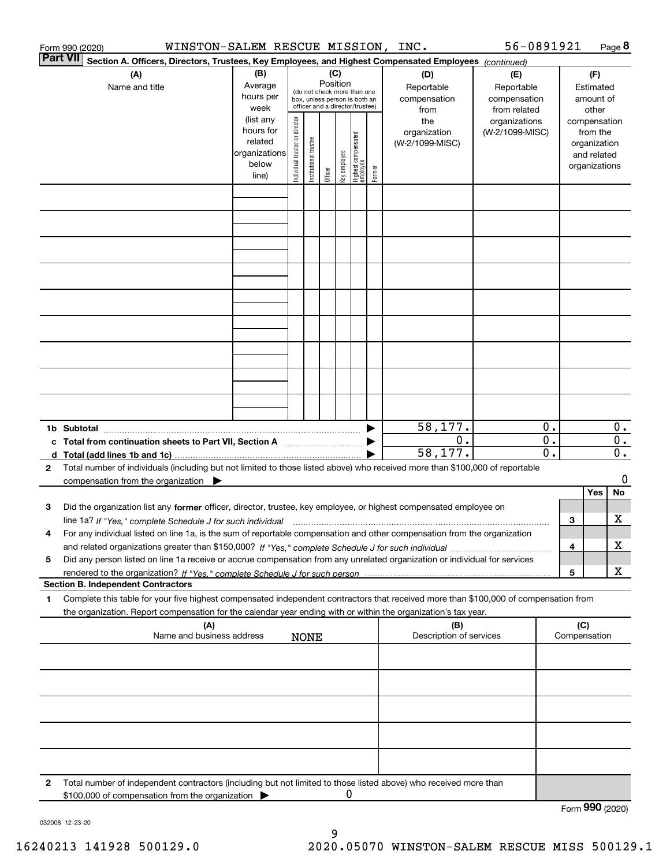|                                                                                                                    | Form 990 (2020)                                                                                                                                                                                                                                                                                                                                                                                  | WINSTON-SALEM RESCUE MISSION, INC.                                   |                                |                                                                                                                    |         |              |                                 |        |                                           | 56-0891921                                        |                        |                                                              |                                        | Page 8                 |
|--------------------------------------------------------------------------------------------------------------------|--------------------------------------------------------------------------------------------------------------------------------------------------------------------------------------------------------------------------------------------------------------------------------------------------------------------------------------------------------------------------------------------------|----------------------------------------------------------------------|--------------------------------|--------------------------------------------------------------------------------------------------------------------|---------|--------------|---------------------------------|--------|-------------------------------------------|---------------------------------------------------|------------------------|--------------------------------------------------------------|----------------------------------------|------------------------|
| Part VII<br>Section A. Officers, Directors, Trustees, Key Employees, and Highest Compensated Employees (continued) |                                                                                                                                                                                                                                                                                                                                                                                                  |                                                                      |                                |                                                                                                                    |         |              |                                 |        |                                           |                                                   |                        |                                                              |                                        |                        |
| (B)<br>(A)<br>Average<br>Name and title<br>hours per<br>week                                                       |                                                                                                                                                                                                                                                                                                                                                                                                  |                                                                      |                                | (C)<br>Position<br>(do not check more than one<br>box, unless person is both an<br>officer and a director/trustee) |         |              |                                 |        | (D)<br>Reportable<br>compensation<br>from | (E)<br>Reportable<br>compensation<br>from related |                        |                                                              | (F)<br>Estimated<br>amount of<br>other |                        |
|                                                                                                                    |                                                                                                                                                                                                                                                                                                                                                                                                  | (list any<br>hours for<br>related<br>organizations<br>below<br>line) | Individual trustee or director | Itustee<br>Institutional t                                                                                         | Officer | key employee | Highest compensated<br>employee | Former | the<br>organization<br>(W-2/1099-MISC)    | organizations<br>(W-2/1099-MISC)                  |                        | compensation<br>organization<br>and related<br>organizations | from the                               |                        |
|                                                                                                                    |                                                                                                                                                                                                                                                                                                                                                                                                  |                                                                      |                                |                                                                                                                    |         |              |                                 |        |                                           |                                                   |                        |                                                              |                                        |                        |
|                                                                                                                    |                                                                                                                                                                                                                                                                                                                                                                                                  |                                                                      |                                |                                                                                                                    |         |              |                                 |        |                                           |                                                   |                        |                                                              |                                        |                        |
|                                                                                                                    |                                                                                                                                                                                                                                                                                                                                                                                                  |                                                                      |                                |                                                                                                                    |         |              |                                 |        |                                           |                                                   |                        |                                                              |                                        |                        |
|                                                                                                                    |                                                                                                                                                                                                                                                                                                                                                                                                  |                                                                      |                                |                                                                                                                    |         |              |                                 |        |                                           |                                                   |                        |                                                              |                                        |                        |
|                                                                                                                    |                                                                                                                                                                                                                                                                                                                                                                                                  |                                                                      |                                |                                                                                                                    |         |              |                                 |        |                                           |                                                   |                        |                                                              |                                        |                        |
|                                                                                                                    |                                                                                                                                                                                                                                                                                                                                                                                                  |                                                                      |                                |                                                                                                                    |         |              |                                 |        |                                           |                                                   |                        |                                                              |                                        |                        |
|                                                                                                                    | 1b Subtotal                                                                                                                                                                                                                                                                                                                                                                                      |                                                                      |                                |                                                                                                                    |         |              |                                 |        | 58,177.                                   |                                                   | 0.                     |                                                              |                                        | $0$ .                  |
| 2                                                                                                                  | c Total from continuation sheets to Part VII, Section A<br>Total number of individuals (including but not limited to those listed above) who received more than \$100,000 of reportable                                                                                                                                                                                                          |                                                                      |                                |                                                                                                                    |         |              |                                 |        | 0.<br>58,177.                             |                                                   | 0.<br>$\overline{0}$ . |                                                              |                                        | 0.<br>$\overline{0}$ . |
|                                                                                                                    | compensation from the organization $\blacktriangleright$                                                                                                                                                                                                                                                                                                                                         |                                                                      |                                |                                                                                                                    |         |              |                                 |        |                                           |                                                   |                        |                                                              | Yes                                    | 0<br>No                |
| з                                                                                                                  | Did the organization list any former officer, director, trustee, key employee, or highest compensated employee on<br>line 1a? If "Yes," complete Schedule J for such individual manufactured contained and the 1a? If "Yes," complete Schedule J for such individual<br>For any individual listed on line 1a, is the sum of reportable compensation and other compensation from the organization |                                                                      |                                |                                                                                                                    |         |              |                                 |        |                                           |                                                   |                        | 3                                                            |                                        | x                      |
| 4<br>5                                                                                                             | Did any person listed on line 1a receive or accrue compensation from any unrelated organization or individual for services                                                                                                                                                                                                                                                                       |                                                                      |                                |                                                                                                                    |         |              |                                 |        |                                           |                                                   |                        | 4                                                            |                                        | x                      |
|                                                                                                                    | <b>Section B. Independent Contractors</b>                                                                                                                                                                                                                                                                                                                                                        |                                                                      |                                |                                                                                                                    |         |              |                                 |        |                                           |                                                   |                        | 5                                                            |                                        | x                      |
| 1                                                                                                                  | Complete this table for your five highest compensated independent contractors that received more than \$100,000 of compensation from<br>the organization. Report compensation for the calendar year ending with or within the organization's tax year.                                                                                                                                           |                                                                      |                                |                                                                                                                    |         |              |                                 |        |                                           |                                                   |                        |                                                              |                                        |                        |
|                                                                                                                    | (A)<br>Name and business address                                                                                                                                                                                                                                                                                                                                                                 |                                                                      |                                | <b>NONE</b>                                                                                                        |         |              |                                 |        | (B)<br>Description of services            |                                                   |                        | (C)<br>Compensation                                          |                                        |                        |
|                                                                                                                    |                                                                                                                                                                                                                                                                                                                                                                                                  |                                                                      |                                |                                                                                                                    |         |              |                                 |        |                                           |                                                   |                        |                                                              |                                        |                        |
|                                                                                                                    |                                                                                                                                                                                                                                                                                                                                                                                                  |                                                                      |                                |                                                                                                                    |         |              |                                 |        |                                           |                                                   |                        |                                                              |                                        |                        |
|                                                                                                                    |                                                                                                                                                                                                                                                                                                                                                                                                  |                                                                      |                                |                                                                                                                    |         |              |                                 |        |                                           |                                                   |                        |                                                              |                                        |                        |
| 2                                                                                                                  | Total number of independent contractors (including but not limited to those listed above) who received more than                                                                                                                                                                                                                                                                                 |                                                                      |                                |                                                                                                                    |         |              |                                 |        |                                           |                                                   |                        |                                                              |                                        |                        |
|                                                                                                                    | \$100,000 of compensation from the organization                                                                                                                                                                                                                                                                                                                                                  |                                                                      |                                |                                                                                                                    |         | 0            |                                 |        |                                           |                                                   |                        | Form 990 (2020)                                              |                                        |                        |

032008 12-23-20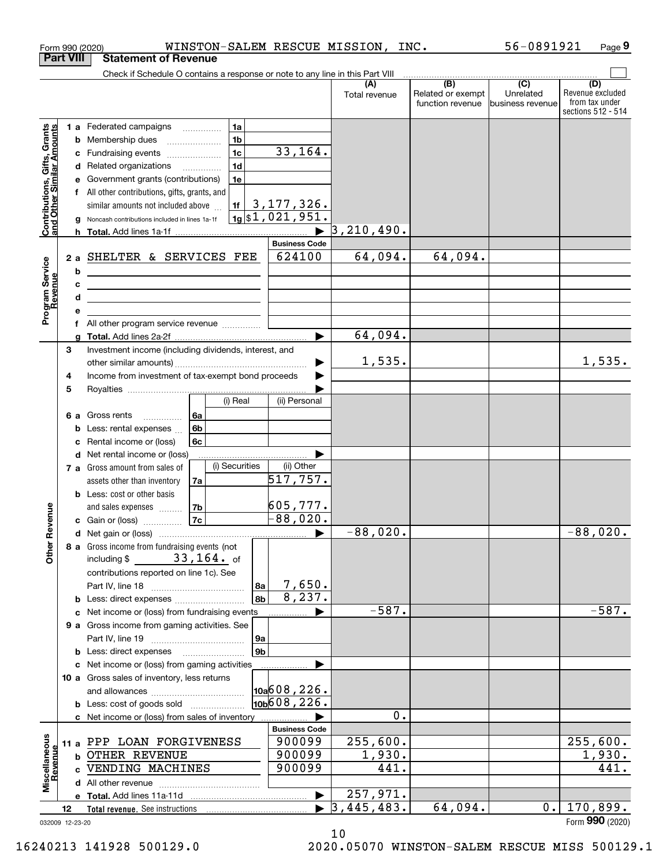| <b>Part VIII</b><br><b>Statement of Revenue</b><br>Check if Schedule O contains a response or note to any line in this Part VIII<br>$\overline{(\mathsf{B})}$ $\overline{(\mathsf{C})}$<br>(A)<br>Related or exempt<br>Unrelated<br>Total revenue<br>function revenue<br>business revenue<br>1a<br><b>Contributions, Gifts, Grants</b><br>and Other Similar Amounts<br>1 a Federated campaigns<br>1 <sub>b</sub><br>Membership dues<br>b<br>33, 164.<br>1 <sub>c</sub><br>Fundraising events<br>с<br>1 <sub>d</sub><br>Related organizations <i>mimiming</i><br>d<br>1e<br>Government grants (contributions)<br>е<br>All other contributions, gifts, grants, and<br>3, 177, 326.<br>1f<br>similar amounts not included above<br>$1g$ \$1,021,951.<br>Noncash contributions included in lines 1a-1f<br>3, 210, 490.<br><b>Business Code</b><br>64,094.<br>64,094.<br>624100<br>SHELTER & SERVICES FEE<br>2 a<br>Program Service<br>Revenue<br>b<br><u> 1980 - Johann Barn, mars ann an t-Amhain Aonaich an t-Aonaich an t-Aonaich ann an t-Aonaich ann an t-Aonaich</u><br>c<br><u> 1989 - Andrea Stadt Britain, amerikansk politiker (</u><br>d<br><u> 1989 - Johann Stein, marwolaethau (b. 1989)</u><br>е<br>All other program service revenue<br>f<br>64,094.<br>a<br>3<br>Investment income (including dividends, interest, and<br>1,535.<br>Income from investment of tax-exempt bond proceeds<br>4<br>5<br>(i) Real<br>(ii) Personal<br>6a<br>Gross rents<br>6а<br>6b<br>Less: rental expenses<br>b<br>6c<br>Rental income or (loss)<br>c<br><b>d</b> Net rental income or (loss)<br>(i) Securities<br>(ii) Other<br>7 a Gross amount from sales of<br>517,757.<br>assets other than inventory<br>7a<br><b>b</b> Less: cost or other basis<br>605,777.<br>evenue<br>7 <sub>b</sub><br>and sales expenses<br>$-88,020.$<br>7c<br>c Gain or (loss)<br>$-88,020$ .<br>Œ<br>Other<br>8 a Gross income from fundraising events (not<br>including $$33,164.$ of<br>contributions reported on line 1c). See<br>7,650.<br>8а<br>8,237.<br>8b<br><b>b</b> Less: direct expenses <i>manually contained</i><br>$-587.$<br>c Net income or (loss) from fundraising events<br>9 a Gross income from gaming activities. See<br>9a<br>9 <sub>b</sub><br><b>b</b> Less: direct expenses <b>manually</b><br>c Net income or (loss) from gaming activities<br>10 a Gross sales of inventory, less returns<br>$\vert$ 10a $\vert$ 608, 226.<br>10b608,226.<br><b>b</b> Less: cost of goods sold<br>0. | Form 990 (2020) | WINSTON-SALEM RESCUE MISSION,                  |  | INC. | 56-0891921 | Page 9                                                   |
|------------------------------------------------------------------------------------------------------------------------------------------------------------------------------------------------------------------------------------------------------------------------------------------------------------------------------------------------------------------------------------------------------------------------------------------------------------------------------------------------------------------------------------------------------------------------------------------------------------------------------------------------------------------------------------------------------------------------------------------------------------------------------------------------------------------------------------------------------------------------------------------------------------------------------------------------------------------------------------------------------------------------------------------------------------------------------------------------------------------------------------------------------------------------------------------------------------------------------------------------------------------------------------------------------------------------------------------------------------------------------------------------------------------------------------------------------------------------------------------------------------------------------------------------------------------------------------------------------------------------------------------------------------------------------------------------------------------------------------------------------------------------------------------------------------------------------------------------------------------------------------------------------------------------------------------------------------------------------------------------------------------------------------------------------------------------------------------------------------------------------------------------------------------------------------------------------------------------------------------------------------------------------------------------------------------------------------------------------------------------------------------------------------------------------------------------------------------------------------------|-----------------|------------------------------------------------|--|------|------------|----------------------------------------------------------|
|                                                                                                                                                                                                                                                                                                                                                                                                                                                                                                                                                                                                                                                                                                                                                                                                                                                                                                                                                                                                                                                                                                                                                                                                                                                                                                                                                                                                                                                                                                                                                                                                                                                                                                                                                                                                                                                                                                                                                                                                                                                                                                                                                                                                                                                                                                                                                                                                                                                                                          |                 |                                                |  |      |            |                                                          |
|                                                                                                                                                                                                                                                                                                                                                                                                                                                                                                                                                                                                                                                                                                                                                                                                                                                                                                                                                                                                                                                                                                                                                                                                                                                                                                                                                                                                                                                                                                                                                                                                                                                                                                                                                                                                                                                                                                                                                                                                                                                                                                                                                                                                                                                                                                                                                                                                                                                                                          |                 |                                                |  |      |            | (D)                                                      |
|                                                                                                                                                                                                                                                                                                                                                                                                                                                                                                                                                                                                                                                                                                                                                                                                                                                                                                                                                                                                                                                                                                                                                                                                                                                                                                                                                                                                                                                                                                                                                                                                                                                                                                                                                                                                                                                                                                                                                                                                                                                                                                                                                                                                                                                                                                                                                                                                                                                                                          |                 |                                                |  |      |            | Revenue excluded<br>from tax under<br>sections 512 - 514 |
|                                                                                                                                                                                                                                                                                                                                                                                                                                                                                                                                                                                                                                                                                                                                                                                                                                                                                                                                                                                                                                                                                                                                                                                                                                                                                                                                                                                                                                                                                                                                                                                                                                                                                                                                                                                                                                                                                                                                                                                                                                                                                                                                                                                                                                                                                                                                                                                                                                                                                          |                 |                                                |  |      |            |                                                          |
|                                                                                                                                                                                                                                                                                                                                                                                                                                                                                                                                                                                                                                                                                                                                                                                                                                                                                                                                                                                                                                                                                                                                                                                                                                                                                                                                                                                                                                                                                                                                                                                                                                                                                                                                                                                                                                                                                                                                                                                                                                                                                                                                                                                                                                                                                                                                                                                                                                                                                          |                 |                                                |  |      |            |                                                          |
|                                                                                                                                                                                                                                                                                                                                                                                                                                                                                                                                                                                                                                                                                                                                                                                                                                                                                                                                                                                                                                                                                                                                                                                                                                                                                                                                                                                                                                                                                                                                                                                                                                                                                                                                                                                                                                                                                                                                                                                                                                                                                                                                                                                                                                                                                                                                                                                                                                                                                          |                 |                                                |  |      |            |                                                          |
|                                                                                                                                                                                                                                                                                                                                                                                                                                                                                                                                                                                                                                                                                                                                                                                                                                                                                                                                                                                                                                                                                                                                                                                                                                                                                                                                                                                                                                                                                                                                                                                                                                                                                                                                                                                                                                                                                                                                                                                                                                                                                                                                                                                                                                                                                                                                                                                                                                                                                          |                 |                                                |  |      |            |                                                          |
|                                                                                                                                                                                                                                                                                                                                                                                                                                                                                                                                                                                                                                                                                                                                                                                                                                                                                                                                                                                                                                                                                                                                                                                                                                                                                                                                                                                                                                                                                                                                                                                                                                                                                                                                                                                                                                                                                                                                                                                                                                                                                                                                                                                                                                                                                                                                                                                                                                                                                          |                 |                                                |  |      |            |                                                          |
|                                                                                                                                                                                                                                                                                                                                                                                                                                                                                                                                                                                                                                                                                                                                                                                                                                                                                                                                                                                                                                                                                                                                                                                                                                                                                                                                                                                                                                                                                                                                                                                                                                                                                                                                                                                                                                                                                                                                                                                                                                                                                                                                                                                                                                                                                                                                                                                                                                                                                          |                 |                                                |  |      |            |                                                          |
|                                                                                                                                                                                                                                                                                                                                                                                                                                                                                                                                                                                                                                                                                                                                                                                                                                                                                                                                                                                                                                                                                                                                                                                                                                                                                                                                                                                                                                                                                                                                                                                                                                                                                                                                                                                                                                                                                                                                                                                                                                                                                                                                                                                                                                                                                                                                                                                                                                                                                          |                 |                                                |  |      |            |                                                          |
|                                                                                                                                                                                                                                                                                                                                                                                                                                                                                                                                                                                                                                                                                                                                                                                                                                                                                                                                                                                                                                                                                                                                                                                                                                                                                                                                                                                                                                                                                                                                                                                                                                                                                                                                                                                                                                                                                                                                                                                                                                                                                                                                                                                                                                                                                                                                                                                                                                                                                          |                 |                                                |  |      |            |                                                          |
|                                                                                                                                                                                                                                                                                                                                                                                                                                                                                                                                                                                                                                                                                                                                                                                                                                                                                                                                                                                                                                                                                                                                                                                                                                                                                                                                                                                                                                                                                                                                                                                                                                                                                                                                                                                                                                                                                                                                                                                                                                                                                                                                                                                                                                                                                                                                                                                                                                                                                          |                 |                                                |  |      |            |                                                          |
|                                                                                                                                                                                                                                                                                                                                                                                                                                                                                                                                                                                                                                                                                                                                                                                                                                                                                                                                                                                                                                                                                                                                                                                                                                                                                                                                                                                                                                                                                                                                                                                                                                                                                                                                                                                                                                                                                                                                                                                                                                                                                                                                                                                                                                                                                                                                                                                                                                                                                          |                 |                                                |  |      |            |                                                          |
|                                                                                                                                                                                                                                                                                                                                                                                                                                                                                                                                                                                                                                                                                                                                                                                                                                                                                                                                                                                                                                                                                                                                                                                                                                                                                                                                                                                                                                                                                                                                                                                                                                                                                                                                                                                                                                                                                                                                                                                                                                                                                                                                                                                                                                                                                                                                                                                                                                                                                          |                 |                                                |  |      |            |                                                          |
|                                                                                                                                                                                                                                                                                                                                                                                                                                                                                                                                                                                                                                                                                                                                                                                                                                                                                                                                                                                                                                                                                                                                                                                                                                                                                                                                                                                                                                                                                                                                                                                                                                                                                                                                                                                                                                                                                                                                                                                                                                                                                                                                                                                                                                                                                                                                                                                                                                                                                          |                 |                                                |  |      |            |                                                          |
|                                                                                                                                                                                                                                                                                                                                                                                                                                                                                                                                                                                                                                                                                                                                                                                                                                                                                                                                                                                                                                                                                                                                                                                                                                                                                                                                                                                                                                                                                                                                                                                                                                                                                                                                                                                                                                                                                                                                                                                                                                                                                                                                                                                                                                                                                                                                                                                                                                                                                          |                 |                                                |  |      |            |                                                          |
|                                                                                                                                                                                                                                                                                                                                                                                                                                                                                                                                                                                                                                                                                                                                                                                                                                                                                                                                                                                                                                                                                                                                                                                                                                                                                                                                                                                                                                                                                                                                                                                                                                                                                                                                                                                                                                                                                                                                                                                                                                                                                                                                                                                                                                                                                                                                                                                                                                                                                          |                 |                                                |  |      |            |                                                          |
|                                                                                                                                                                                                                                                                                                                                                                                                                                                                                                                                                                                                                                                                                                                                                                                                                                                                                                                                                                                                                                                                                                                                                                                                                                                                                                                                                                                                                                                                                                                                                                                                                                                                                                                                                                                                                                                                                                                                                                                                                                                                                                                                                                                                                                                                                                                                                                                                                                                                                          |                 |                                                |  |      |            |                                                          |
|                                                                                                                                                                                                                                                                                                                                                                                                                                                                                                                                                                                                                                                                                                                                                                                                                                                                                                                                                                                                                                                                                                                                                                                                                                                                                                                                                                                                                                                                                                                                                                                                                                                                                                                                                                                                                                                                                                                                                                                                                                                                                                                                                                                                                                                                                                                                                                                                                                                                                          |                 |                                                |  |      |            |                                                          |
|                                                                                                                                                                                                                                                                                                                                                                                                                                                                                                                                                                                                                                                                                                                                                                                                                                                                                                                                                                                                                                                                                                                                                                                                                                                                                                                                                                                                                                                                                                                                                                                                                                                                                                                                                                                                                                                                                                                                                                                                                                                                                                                                                                                                                                                                                                                                                                                                                                                                                          |                 |                                                |  |      |            |                                                          |
|                                                                                                                                                                                                                                                                                                                                                                                                                                                                                                                                                                                                                                                                                                                                                                                                                                                                                                                                                                                                                                                                                                                                                                                                                                                                                                                                                                                                                                                                                                                                                                                                                                                                                                                                                                                                                                                                                                                                                                                                                                                                                                                                                                                                                                                                                                                                                                                                                                                                                          |                 |                                                |  |      |            | 1,535.                                                   |
|                                                                                                                                                                                                                                                                                                                                                                                                                                                                                                                                                                                                                                                                                                                                                                                                                                                                                                                                                                                                                                                                                                                                                                                                                                                                                                                                                                                                                                                                                                                                                                                                                                                                                                                                                                                                                                                                                                                                                                                                                                                                                                                                                                                                                                                                                                                                                                                                                                                                                          |                 |                                                |  |      |            |                                                          |
|                                                                                                                                                                                                                                                                                                                                                                                                                                                                                                                                                                                                                                                                                                                                                                                                                                                                                                                                                                                                                                                                                                                                                                                                                                                                                                                                                                                                                                                                                                                                                                                                                                                                                                                                                                                                                                                                                                                                                                                                                                                                                                                                                                                                                                                                                                                                                                                                                                                                                          |                 |                                                |  |      |            |                                                          |
|                                                                                                                                                                                                                                                                                                                                                                                                                                                                                                                                                                                                                                                                                                                                                                                                                                                                                                                                                                                                                                                                                                                                                                                                                                                                                                                                                                                                                                                                                                                                                                                                                                                                                                                                                                                                                                                                                                                                                                                                                                                                                                                                                                                                                                                                                                                                                                                                                                                                                          |                 |                                                |  |      |            |                                                          |
|                                                                                                                                                                                                                                                                                                                                                                                                                                                                                                                                                                                                                                                                                                                                                                                                                                                                                                                                                                                                                                                                                                                                                                                                                                                                                                                                                                                                                                                                                                                                                                                                                                                                                                                                                                                                                                                                                                                                                                                                                                                                                                                                                                                                                                                                                                                                                                                                                                                                                          |                 |                                                |  |      |            |                                                          |
|                                                                                                                                                                                                                                                                                                                                                                                                                                                                                                                                                                                                                                                                                                                                                                                                                                                                                                                                                                                                                                                                                                                                                                                                                                                                                                                                                                                                                                                                                                                                                                                                                                                                                                                                                                                                                                                                                                                                                                                                                                                                                                                                                                                                                                                                                                                                                                                                                                                                                          |                 |                                                |  |      |            |                                                          |
|                                                                                                                                                                                                                                                                                                                                                                                                                                                                                                                                                                                                                                                                                                                                                                                                                                                                                                                                                                                                                                                                                                                                                                                                                                                                                                                                                                                                                                                                                                                                                                                                                                                                                                                                                                                                                                                                                                                                                                                                                                                                                                                                                                                                                                                                                                                                                                                                                                                                                          |                 |                                                |  |      |            |                                                          |
|                                                                                                                                                                                                                                                                                                                                                                                                                                                                                                                                                                                                                                                                                                                                                                                                                                                                                                                                                                                                                                                                                                                                                                                                                                                                                                                                                                                                                                                                                                                                                                                                                                                                                                                                                                                                                                                                                                                                                                                                                                                                                                                                                                                                                                                                                                                                                                                                                                                                                          |                 |                                                |  |      |            |                                                          |
|                                                                                                                                                                                                                                                                                                                                                                                                                                                                                                                                                                                                                                                                                                                                                                                                                                                                                                                                                                                                                                                                                                                                                                                                                                                                                                                                                                                                                                                                                                                                                                                                                                                                                                                                                                                                                                                                                                                                                                                                                                                                                                                                                                                                                                                                                                                                                                                                                                                                                          |                 |                                                |  |      |            |                                                          |
|                                                                                                                                                                                                                                                                                                                                                                                                                                                                                                                                                                                                                                                                                                                                                                                                                                                                                                                                                                                                                                                                                                                                                                                                                                                                                                                                                                                                                                                                                                                                                                                                                                                                                                                                                                                                                                                                                                                                                                                                                                                                                                                                                                                                                                                                                                                                                                                                                                                                                          |                 |                                                |  |      |            |                                                          |
|                                                                                                                                                                                                                                                                                                                                                                                                                                                                                                                                                                                                                                                                                                                                                                                                                                                                                                                                                                                                                                                                                                                                                                                                                                                                                                                                                                                                                                                                                                                                                                                                                                                                                                                                                                                                                                                                                                                                                                                                                                                                                                                                                                                                                                                                                                                                                                                                                                                                                          |                 |                                                |  |      |            |                                                          |
|                                                                                                                                                                                                                                                                                                                                                                                                                                                                                                                                                                                                                                                                                                                                                                                                                                                                                                                                                                                                                                                                                                                                                                                                                                                                                                                                                                                                                                                                                                                                                                                                                                                                                                                                                                                                                                                                                                                                                                                                                                                                                                                                                                                                                                                                                                                                                                                                                                                                                          |                 |                                                |  |      |            |                                                          |
|                                                                                                                                                                                                                                                                                                                                                                                                                                                                                                                                                                                                                                                                                                                                                                                                                                                                                                                                                                                                                                                                                                                                                                                                                                                                                                                                                                                                                                                                                                                                                                                                                                                                                                                                                                                                                                                                                                                                                                                                                                                                                                                                                                                                                                                                                                                                                                                                                                                                                          |                 |                                                |  |      |            | $-88,020.$                                               |
|                                                                                                                                                                                                                                                                                                                                                                                                                                                                                                                                                                                                                                                                                                                                                                                                                                                                                                                                                                                                                                                                                                                                                                                                                                                                                                                                                                                                                                                                                                                                                                                                                                                                                                                                                                                                                                                                                                                                                                                                                                                                                                                                                                                                                                                                                                                                                                                                                                                                                          |                 |                                                |  |      |            |                                                          |
|                                                                                                                                                                                                                                                                                                                                                                                                                                                                                                                                                                                                                                                                                                                                                                                                                                                                                                                                                                                                                                                                                                                                                                                                                                                                                                                                                                                                                                                                                                                                                                                                                                                                                                                                                                                                                                                                                                                                                                                                                                                                                                                                                                                                                                                                                                                                                                                                                                                                                          |                 |                                                |  |      |            |                                                          |
|                                                                                                                                                                                                                                                                                                                                                                                                                                                                                                                                                                                                                                                                                                                                                                                                                                                                                                                                                                                                                                                                                                                                                                                                                                                                                                                                                                                                                                                                                                                                                                                                                                                                                                                                                                                                                                                                                                                                                                                                                                                                                                                                                                                                                                                                                                                                                                                                                                                                                          |                 |                                                |  |      |            |                                                          |
|                                                                                                                                                                                                                                                                                                                                                                                                                                                                                                                                                                                                                                                                                                                                                                                                                                                                                                                                                                                                                                                                                                                                                                                                                                                                                                                                                                                                                                                                                                                                                                                                                                                                                                                                                                                                                                                                                                                                                                                                                                                                                                                                                                                                                                                                                                                                                                                                                                                                                          |                 |                                                |  |      |            |                                                          |
|                                                                                                                                                                                                                                                                                                                                                                                                                                                                                                                                                                                                                                                                                                                                                                                                                                                                                                                                                                                                                                                                                                                                                                                                                                                                                                                                                                                                                                                                                                                                                                                                                                                                                                                                                                                                                                                                                                                                                                                                                                                                                                                                                                                                                                                                                                                                                                                                                                                                                          |                 |                                                |  |      |            | $-587.$                                                  |
|                                                                                                                                                                                                                                                                                                                                                                                                                                                                                                                                                                                                                                                                                                                                                                                                                                                                                                                                                                                                                                                                                                                                                                                                                                                                                                                                                                                                                                                                                                                                                                                                                                                                                                                                                                                                                                                                                                                                                                                                                                                                                                                                                                                                                                                                                                                                                                                                                                                                                          |                 |                                                |  |      |            |                                                          |
|                                                                                                                                                                                                                                                                                                                                                                                                                                                                                                                                                                                                                                                                                                                                                                                                                                                                                                                                                                                                                                                                                                                                                                                                                                                                                                                                                                                                                                                                                                                                                                                                                                                                                                                                                                                                                                                                                                                                                                                                                                                                                                                                                                                                                                                                                                                                                                                                                                                                                          |                 |                                                |  |      |            |                                                          |
|                                                                                                                                                                                                                                                                                                                                                                                                                                                                                                                                                                                                                                                                                                                                                                                                                                                                                                                                                                                                                                                                                                                                                                                                                                                                                                                                                                                                                                                                                                                                                                                                                                                                                                                                                                                                                                                                                                                                                                                                                                                                                                                                                                                                                                                                                                                                                                                                                                                                                          |                 |                                                |  |      |            |                                                          |
|                                                                                                                                                                                                                                                                                                                                                                                                                                                                                                                                                                                                                                                                                                                                                                                                                                                                                                                                                                                                                                                                                                                                                                                                                                                                                                                                                                                                                                                                                                                                                                                                                                                                                                                                                                                                                                                                                                                                                                                                                                                                                                                                                                                                                                                                                                                                                                                                                                                                                          |                 |                                                |  |      |            |                                                          |
|                                                                                                                                                                                                                                                                                                                                                                                                                                                                                                                                                                                                                                                                                                                                                                                                                                                                                                                                                                                                                                                                                                                                                                                                                                                                                                                                                                                                                                                                                                                                                                                                                                                                                                                                                                                                                                                                                                                                                                                                                                                                                                                                                                                                                                                                                                                                                                                                                                                                                          |                 |                                                |  |      |            |                                                          |
|                                                                                                                                                                                                                                                                                                                                                                                                                                                                                                                                                                                                                                                                                                                                                                                                                                                                                                                                                                                                                                                                                                                                                                                                                                                                                                                                                                                                                                                                                                                                                                                                                                                                                                                                                                                                                                                                                                                                                                                                                                                                                                                                                                                                                                                                                                                                                                                                                                                                                          |                 |                                                |  |      |            |                                                          |
|                                                                                                                                                                                                                                                                                                                                                                                                                                                                                                                                                                                                                                                                                                                                                                                                                                                                                                                                                                                                                                                                                                                                                                                                                                                                                                                                                                                                                                                                                                                                                                                                                                                                                                                                                                                                                                                                                                                                                                                                                                                                                                                                                                                                                                                                                                                                                                                                                                                                                          |                 |                                                |  |      |            |                                                          |
|                                                                                                                                                                                                                                                                                                                                                                                                                                                                                                                                                                                                                                                                                                                                                                                                                                                                                                                                                                                                                                                                                                                                                                                                                                                                                                                                                                                                                                                                                                                                                                                                                                                                                                                                                                                                                                                                                                                                                                                                                                                                                                                                                                                                                                                                                                                                                                                                                                                                                          |                 | c Net income or (loss) from sales of inventory |  |      |            |                                                          |
| <b>Business Code</b>                                                                                                                                                                                                                                                                                                                                                                                                                                                                                                                                                                                                                                                                                                                                                                                                                                                                                                                                                                                                                                                                                                                                                                                                                                                                                                                                                                                                                                                                                                                                                                                                                                                                                                                                                                                                                                                                                                                                                                                                                                                                                                                                                                                                                                                                                                                                                                                                                                                                     |                 |                                                |  |      |            |                                                          |
| Miscellaneous<br>255,600.<br>900099<br>11 a PPP LOAN FORGIVENESS                                                                                                                                                                                                                                                                                                                                                                                                                                                                                                                                                                                                                                                                                                                                                                                                                                                                                                                                                                                                                                                                                                                                                                                                                                                                                                                                                                                                                                                                                                                                                                                                                                                                                                                                                                                                                                                                                                                                                                                                                                                                                                                                                                                                                                                                                                                                                                                                                         |                 |                                                |  |      |            | 255,600.                                                 |
| Revenue<br>1,930.<br>900099<br><b>b OTHER REVENUE</b>                                                                                                                                                                                                                                                                                                                                                                                                                                                                                                                                                                                                                                                                                                                                                                                                                                                                                                                                                                                                                                                                                                                                                                                                                                                                                                                                                                                                                                                                                                                                                                                                                                                                                                                                                                                                                                                                                                                                                                                                                                                                                                                                                                                                                                                                                                                                                                                                                                    |                 |                                                |  |      |            | 1,930.                                                   |
| 900099<br>441.<br>c VENDING MACHINES                                                                                                                                                                                                                                                                                                                                                                                                                                                                                                                                                                                                                                                                                                                                                                                                                                                                                                                                                                                                                                                                                                                                                                                                                                                                                                                                                                                                                                                                                                                                                                                                                                                                                                                                                                                                                                                                                                                                                                                                                                                                                                                                                                                                                                                                                                                                                                                                                                                     |                 |                                                |  |      |            | 441.                                                     |
| 257,971.                                                                                                                                                                                                                                                                                                                                                                                                                                                                                                                                                                                                                                                                                                                                                                                                                                                                                                                                                                                                                                                                                                                                                                                                                                                                                                                                                                                                                                                                                                                                                                                                                                                                                                                                                                                                                                                                                                                                                                                                                                                                                                                                                                                                                                                                                                                                                                                                                                                                                 |                 |                                                |  |      |            |                                                          |
| ▶<br>3,445,483.<br>64,094.<br>0.1<br>12                                                                                                                                                                                                                                                                                                                                                                                                                                                                                                                                                                                                                                                                                                                                                                                                                                                                                                                                                                                                                                                                                                                                                                                                                                                                                                                                                                                                                                                                                                                                                                                                                                                                                                                                                                                                                                                                                                                                                                                                                                                                                                                                                                                                                                                                                                                                                                                                                                                  |                 |                                                |  |      |            | 170,899.                                                 |
| 032009 12-23-20                                                                                                                                                                                                                                                                                                                                                                                                                                                                                                                                                                                                                                                                                                                                                                                                                                                                                                                                                                                                                                                                                                                                                                                                                                                                                                                                                                                                                                                                                                                                                                                                                                                                                                                                                                                                                                                                                                                                                                                                                                                                                                                                                                                                                                                                                                                                                                                                                                                                          |                 |                                                |  |      |            | Form 990 (2020)                                          |

032009 12-23-20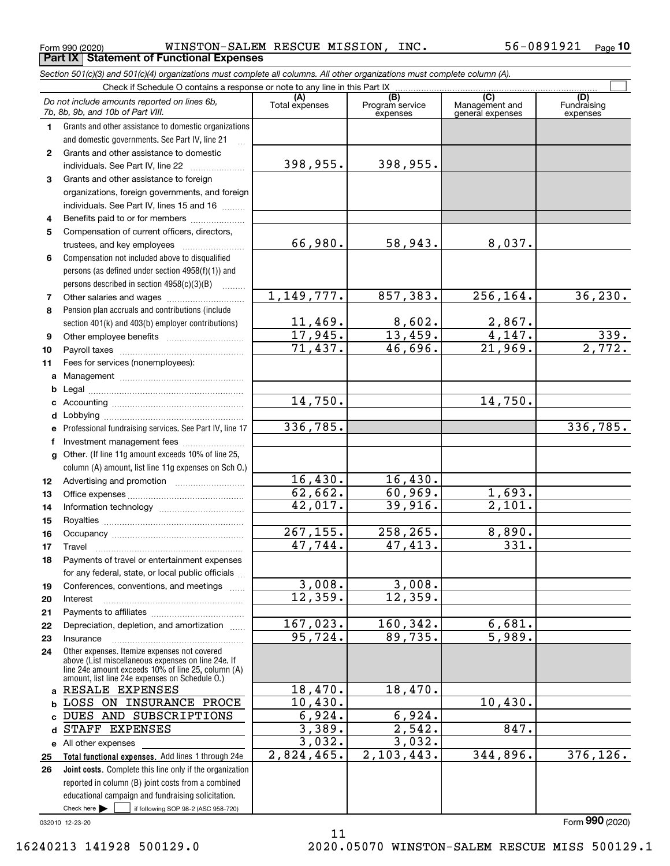Form 990 (2020) Page **Part IX Statement of Functional Expenses** WINSTON-SALEM RESCUE MISSION, INC. 56-0891921

*Section 501(c)(3) and 501(c)(4) organizations must complete all columns. All other organizations must complete column (A).*

|              | Do not include amounts reported on lines 6b,<br>7b, 8b, 9b, and 10b of Part VIII.                  | (A)<br>Total expenses | $\overline{(B)}$<br>Program service<br>expenses | $\overline{C}$<br>Management and<br>general expenses | (D)<br>Fundraising<br>expenses |  |
|--------------|----------------------------------------------------------------------------------------------------|-----------------------|-------------------------------------------------|------------------------------------------------------|--------------------------------|--|
| 1.           | Grants and other assistance to domestic organizations                                              |                       |                                                 |                                                      |                                |  |
|              | and domestic governments. See Part IV, line 21                                                     |                       |                                                 |                                                      |                                |  |
| $\mathbf{2}$ | Grants and other assistance to domestic                                                            |                       |                                                 |                                                      |                                |  |
|              | individuals. See Part IV, line 22                                                                  | 398,955.              | 398,955.                                        |                                                      |                                |  |
| 3            | Grants and other assistance to foreign                                                             |                       |                                                 |                                                      |                                |  |
|              | organizations, foreign governments, and foreign                                                    |                       |                                                 |                                                      |                                |  |
|              | individuals. See Part IV, lines 15 and 16                                                          |                       |                                                 |                                                      |                                |  |
| 4            | Benefits paid to or for members                                                                    |                       |                                                 |                                                      |                                |  |
| 5            | Compensation of current officers, directors,                                                       |                       |                                                 |                                                      |                                |  |
|              |                                                                                                    | 66,980.               | 58,943.                                         | 8,037.                                               |                                |  |
| 6            | Compensation not included above to disqualified                                                    |                       |                                                 |                                                      |                                |  |
|              | persons (as defined under section 4958(f)(1)) and                                                  |                       |                                                 |                                                      |                                |  |
|              | persons described in section 4958(c)(3)(B)                                                         |                       |                                                 |                                                      |                                |  |
| 7            |                                                                                                    | 1,149,777.            | 857,383.                                        | 256,164.                                             | 36, 230.                       |  |
| 8            | Pension plan accruals and contributions (include                                                   |                       |                                                 |                                                      |                                |  |
|              | section 401(k) and 403(b) employer contributions)                                                  | 11,469.               | 8,602.                                          | $\frac{2,867.}{4,147.}$                              |                                |  |
| 9            |                                                                                                    | 17,945.               | 13,459.                                         |                                                      | 339.                           |  |
| 10           |                                                                                                    | 71,437.               | 46,696.                                         | 21,969.                                              | 2,772.                         |  |
| 11           | Fees for services (nonemployees):                                                                  |                       |                                                 |                                                      |                                |  |
| a            |                                                                                                    |                       |                                                 |                                                      |                                |  |
| b            |                                                                                                    |                       |                                                 |                                                      |                                |  |
| c            |                                                                                                    | 14,750.               |                                                 | 14,750.                                              |                                |  |
| d            |                                                                                                    |                       |                                                 |                                                      |                                |  |
| е            | Professional fundraising services. See Part IV, line 17                                            | 336,785.              |                                                 |                                                      | 336,785.                       |  |
| f            | Investment management fees                                                                         |                       |                                                 |                                                      |                                |  |
| g            | Other. (If line 11g amount exceeds 10% of line 25,                                                 |                       |                                                 |                                                      |                                |  |
|              | column (A) amount, list line 11g expenses on Sch O.)                                               |                       |                                                 |                                                      |                                |  |
| 12           |                                                                                                    | 16,430.               | 16,430.                                         |                                                      |                                |  |
| 13           |                                                                                                    | 62,662.               | 60,969.                                         | 1,693.                                               |                                |  |
| 14           |                                                                                                    | 42,017.               | 39,916.                                         | 2,101.                                               |                                |  |
| 15           |                                                                                                    |                       |                                                 |                                                      |                                |  |
| 16           |                                                                                                    | 267, 155.             | 258,265.                                        | 8,890.                                               |                                |  |
| 17           | Travel                                                                                             | 47,744.               | 47,413.                                         | $\overline{331}$ .                                   |                                |  |
| 18           | Payments of travel or entertainment expenses                                                       |                       |                                                 |                                                      |                                |  |
|              | for any federal, state, or local public officials                                                  |                       |                                                 |                                                      |                                |  |
| 19           | Conferences, conventions, and meetings                                                             | 3,008.                | 3,008.                                          |                                                      |                                |  |
| 20           | Interest                                                                                           | 12,359.               | 12,359.                                         |                                                      |                                |  |
| 21           |                                                                                                    | 167,023.              | 160,342.                                        |                                                      |                                |  |
| 22           | Depreciation, depletion, and amortization                                                          | 95,724.               | 89,735.                                         | 6,681.<br>5,989.                                     |                                |  |
| 23           | Insurance                                                                                          |                       |                                                 |                                                      |                                |  |
| 24           | Other expenses. Itemize expenses not covered<br>above (List miscellaneous expenses on line 24e. If |                       |                                                 |                                                      |                                |  |
|              | line 24e amount exceeds 10% of line 25, column (A)                                                 |                       |                                                 |                                                      |                                |  |
|              | amount, list line 24e expenses on Schedule O.)<br>a RESALE EXPENSES                                | 18,470.               | 18,470.                                         |                                                      |                                |  |
| b            | LOSS ON INSURANCE PROCE                                                                            | 10,430.               |                                                 | 10,430.                                              |                                |  |
| c.           | DUES AND SUBSCRIPTIONS                                                                             | 6,924.                | 6,924.                                          |                                                      |                                |  |
| d            | STAFF EXPENSES                                                                                     | 3,389.                | 2,542.                                          | 847.                                                 |                                |  |
|              | e All other expenses                                                                               | 3,032.                | 3,032.                                          |                                                      |                                |  |
| 25           | Total functional expenses. Add lines 1 through 24e                                                 | $2,824,465$ .         | 2,103,443.                                      | 344,896.                                             | 376, 126.                      |  |
| 26           | Joint costs. Complete this line only if the organization                                           |                       |                                                 |                                                      |                                |  |
|              | reported in column (B) joint costs from a combined                                                 |                       |                                                 |                                                      |                                |  |
|              | educational campaign and fundraising solicitation.                                                 |                       |                                                 |                                                      |                                |  |
|              | Check here $\blacktriangleright$<br>if following SOP 98-2 (ASC 958-720)                            |                       |                                                 |                                                      |                                |  |

11

032010 12-23-20

Form (2020) **990**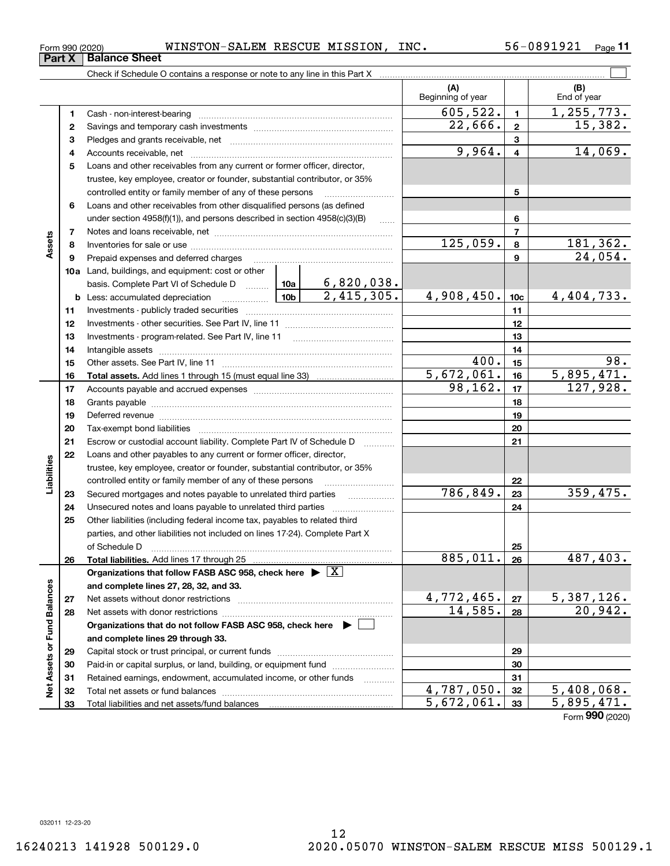Total liabilities and net assets/fund balances

### **678910a**Land, buildings, and equipment: cost or other **11121314151618192021222324252627282930315678910c11121314151617181920212223242526b** Less: accumulated depreciation  $\ldots$  **10b** basis. Complete Part VI of Schedule D will aller **Total assets.**  Add lines 1 through 15 (must equal line 33) **Total liabilities.**  Add lines 17 through 25 **Organizations that follow FASB ASC 958, check here** | X **and complete lines 27, 28, 32, and 33. 2728Organizations that do not follow FASB ASC 958, check here** | **and complete lines 29 through 33. 293031**controlled entity or family member of any of these persons ............................ Loans and other receivables from other disqualified persons (as defined under section  $4958(f)(1)$ , and persons described in section  $4958(c)(3)(B)$ Notes and loans receivable, net ~~~~~~~~~~~~~~~~~~~~~~~Inventories for sale or use ~~~~~~~~~~~~~~~~~~~~~~~~~~ Prepaid expenses and deferred charges ~~~~~~~~~~~~~~~~~~ Investments - publicly traded securities ~~~~~~~~~~~~~~~~~~~ Investments - other securities. See Part IV, line 11 ~~~~~~~~~~~~~~ Investments - program-related. See Part IV, line 11 ~~~~~~~~~~~~~Intangible assets ~~~~~~~~~~~~~~~~~~~~~~~~~~~~~~ Other assets. See Part IV, line 11 ~~~~~~~~~~~~~~~~~~~~~~ Accounts payable and accrued expenses ~~~~~~~~~~~~~~~~~~ Grants payable ~~~~~~~~~~~~~~~~~~~~~~~~~~~~~~~ Deferred revenue ~~~~~~~~~~~~~~~~~~~~~~~~~~~~~~ Tax-exempt bond liabilities …………………………………………………………… Escrow or custodial account liability. Complete Part IV of Schedule D Loans and other payables to any current or former officer, director, trustee, key employee, creator or founder, substantial contributor, or 35% controlled entity or family member of any of these persons ~~~~~~~~~Secured mortgages and notes payable to unrelated third parties Unsecured notes and loans payable to unrelated third parties Other liabilities (including federal income tax, payables to related third parties, and other liabilities not included on lines 17-24). Complete Part X of Schedule D ~~~~~~~~~~~~~~~~~~~~~~~~~~~~~~~ Net assets without donor restrictions ~~~~~~~~~~~~~~~~~~~~ Net assets with donor restrictions ~~~~~~~~~~~~~~~~~~~~~~ Capital stock or trust principal, or current funds ~~~~~~~~~~~~~~~Paid-in or capital surplus, or land, building, or equipment fund www.commun.com Retained earnings, endowment, accumulated income, or other funds Total net assets or fund balances ~~~~~~~~~~~~~~~~~~~~~~  $125,059.$  8 181,362. 24,054. 6,820,038. 2,415,305. 4,908,450. 4,404,733. 400. 98.  $5,672,061.$  16  $5,895,471.$  $98,162.$  17  $127,928.$ 786,849. 359,475.  $885,011. |26| 487,403.$  $4,772,465.$   $27$  5,387,126.  $14,585.$  28  $20,942.$

Form 990 (2020) WINSTON-SALEM RESCUE MISSION, INC. 56-0891921 <sub>Page</sub>

**3** Pledges and grants receivable, net  $\ldots$  **multimes contained and grants receivable**, net **multimes contained and grants receivable**, net **multimes contained and grants receivable** 

Cash - non-interest-bearing ~~~~~~~~~~~~~~~~~~~~~~~~~ Savings and temporary cash investments ~~~~~~~~~~~~~~~~~~

Accounts receivable, net ~~~~~~~~~~~~~~~~~~~~~~~~~~ Loans and other receivables from any current or former officer, director, trustee, key employee, creator or founder, substantial contributor, or 35%

Check if Schedule O contains a response or note to any line in this Part X

**(A) (B)**

Beginning of year | | End of year

 $605,522.$  1, 1, 255, 773.

 $22,666$ . | 2 | 15,382.

 $9,964. | 4 | 14,069.$ 

 $\mathcal{L}^{\text{max}}$ 

**3233**

 $4,787,050.$   $32$  | 5,408,068.  $5,672,061.$  33 5,895,471.

Form (2020) **990**

032011 12-23-20

**3233**

**Net Assets or Fund Balances**

ğ

Assets or Fund Balances

**12**

**Part X** Balance Sheet

**45**

**Assets**

**17**

**Liabilities**

iabilities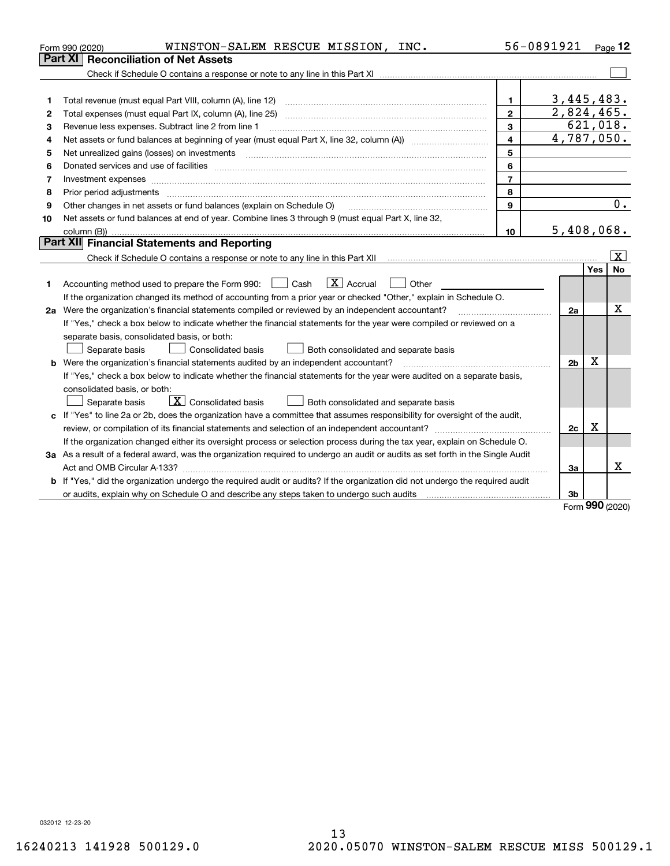|    | WINSTON-SALEM RESCUE MISSION, INC.<br>Form 990 (2020)                                                                           |                          | 56-0891921               |             | Page 12                 |
|----|---------------------------------------------------------------------------------------------------------------------------------|--------------------------|--------------------------|-------------|-------------------------|
|    | <b>Reconciliation of Net Assets</b><br>Part XI                                                                                  |                          |                          |             |                         |
|    |                                                                                                                                 |                          |                          |             |                         |
|    |                                                                                                                                 |                          |                          |             |                         |
| 1  |                                                                                                                                 | 1.                       | 3,445,483.               |             |                         |
| 2  |                                                                                                                                 | $\mathbf{2}$             | $\overline{2,824,465}$ . |             |                         |
| з  | Revenue less expenses. Subtract line 2 from line 1                                                                              | 3                        |                          |             | 621,018.                |
| 4  |                                                                                                                                 | $\overline{\mathbf{4}}$  | 4,787,050.               |             |                         |
| 5  |                                                                                                                                 | 5                        |                          |             |                         |
| 6  |                                                                                                                                 | 6                        |                          |             |                         |
| 7  | Investment expenses www.communication.com/www.communication.com/www.communication.com/www.com                                   | $\overline{\phantom{a}}$ |                          |             |                         |
| 8  |                                                                                                                                 | 8                        |                          |             |                         |
| 9  | Other changes in net assets or fund balances (explain on Schedule O)                                                            | 9                        |                          |             | 0.                      |
| 10 | Net assets or fund balances at end of year. Combine lines 3 through 9 (must equal Part X, line 32,                              |                          |                          |             |                         |
|    | column (B))                                                                                                                     | 10                       | 5,408,068.               |             |                         |
|    | Part XII Financial Statements and Reporting                                                                                     |                          |                          |             |                         |
|    |                                                                                                                                 |                          |                          |             | $\overline{\mathbf{x}}$ |
|    |                                                                                                                                 |                          |                          | <b>Yes</b>  | <b>No</b>               |
| 1  | $\mathbf{X}$ Accrual<br>Accounting method used to prepare the Form 990: <u>I</u> Cash<br>Other                                  |                          |                          |             |                         |
|    | If the organization changed its method of accounting from a prior year or checked "Other," explain in Schedule O.               |                          |                          |             |                         |
|    | 2a Were the organization's financial statements compiled or reviewed by an independent accountant?                              |                          | 2a                       |             | х                       |
|    | If "Yes," check a box below to indicate whether the financial statements for the year were compiled or reviewed on a            |                          |                          |             |                         |
|    | separate basis, consolidated basis, or both:                                                                                    |                          |                          |             |                         |
|    | Both consolidated and separate basis<br>Separate basis<br>Consolidated basis                                                    |                          |                          |             |                         |
|    | <b>b</b> Were the organization's financial statements audited by an independent accountant?                                     |                          | 2 <sub>b</sub>           | $\mathbf X$ |                         |
|    | If "Yes," check a box below to indicate whether the financial statements for the year were audited on a separate basis,         |                          |                          |             |                         |
|    | consolidated basis, or both:                                                                                                    |                          |                          |             |                         |
|    | $\overline{\mathbf{X}}$ Consolidated basis<br>Both consolidated and separate basis<br>Separate basis                            |                          |                          |             |                         |
|    | c If "Yes" to line 2a or 2b, does the organization have a committee that assumes responsibility for oversight of the audit,     |                          |                          |             |                         |
|    |                                                                                                                                 |                          | 2c                       | x           |                         |
|    | If the organization changed either its oversight process or selection process during the tax year, explain on Schedule O.       |                          |                          |             |                         |
|    | 3a As a result of a federal award, was the organization required to undergo an audit or audits as set forth in the Single Audit |                          |                          |             |                         |
|    |                                                                                                                                 |                          | 3a                       |             | x                       |
|    | b If "Yes," did the organization undergo the required audit or audits? If the organization did not undergo the required audit   |                          |                          |             |                         |
|    |                                                                                                                                 |                          | 3 <sub>b</sub>           |             |                         |
|    |                                                                                                                                 |                          |                          | 000         |                         |

Form (2020) **990**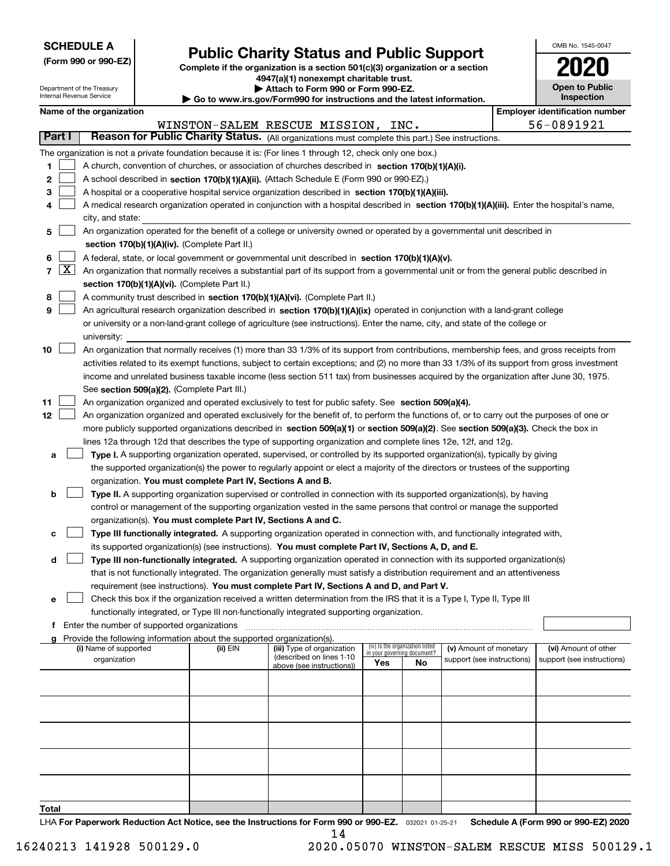| <b>SCHEDULE A</b> |
|-------------------|
|-------------------|

Department of the Treasury Internal Revenue Service

**(Form 990 or 990-EZ)**

### **Public Charity Status and Public Support**

**Complete if the organization is a section 501(c)(3) organization or a section 4947(a)(1) nonexempt charitable trust. | Attach to Form 990 or Form 990-EZ.** 

| ▶ Go to www.irs.gov/Form990 for instructions and the latest information |
|-------------------------------------------------------------------------|

| OMB No. 1545-0047                   |
|-------------------------------------|
| 2020                                |
| <b>Open to Public</b><br>Inspection |

|  | Name of the organization |
|--|--------------------------|
|--|--------------------------|

|       |                                                                              | Name of the organization                                                                                                                                                                                                 |          |                                                       |                             |                                 |                            |  | <b>Employer identification number</b> |
|-------|------------------------------------------------------------------------------|--------------------------------------------------------------------------------------------------------------------------------------------------------------------------------------------------------------------------|----------|-------------------------------------------------------|-----------------------------|---------------------------------|----------------------------|--|---------------------------------------|
|       |                                                                              |                                                                                                                                                                                                                          |          | WINSTON-SALEM RESCUE MISSION, INC.                    |                             |                                 |                            |  | 56-0891921                            |
|       | Part I                                                                       | Reason for Public Charity Status. (All organizations must complete this part.) See instructions.                                                                                                                         |          |                                                       |                             |                                 |                            |  |                                       |
|       |                                                                              | The organization is not a private foundation because it is: (For lines 1 through 12, check only one box.)                                                                                                                |          |                                                       |                             |                                 |                            |  |                                       |
| 1.    |                                                                              | A church, convention of churches, or association of churches described in section 170(b)(1)(A)(i).                                                                                                                       |          |                                                       |                             |                                 |                            |  |                                       |
| 2     |                                                                              | A school described in section 170(b)(1)(A)(ii). (Attach Schedule E (Form 990 or 990-EZ).)                                                                                                                                |          |                                                       |                             |                                 |                            |  |                                       |
| 3     |                                                                              | A hospital or a cooperative hospital service organization described in section 170(b)(1)(A)(iii).                                                                                                                        |          |                                                       |                             |                                 |                            |  |                                       |
| 4     |                                                                              | A medical research organization operated in conjunction with a hospital described in section 170(b)(1)(A)(iii). Enter the hospital's name,                                                                               |          |                                                       |                             |                                 |                            |  |                                       |
|       |                                                                              | city, and state:                                                                                                                                                                                                         |          |                                                       |                             |                                 |                            |  |                                       |
| 5     |                                                                              | An organization operated for the benefit of a college or university owned or operated by a governmental unit described in                                                                                                |          |                                                       |                             |                                 |                            |  |                                       |
|       |                                                                              | section 170(b)(1)(A)(iv). (Complete Part II.)                                                                                                                                                                            |          |                                                       |                             |                                 |                            |  |                                       |
| 6     |                                                                              | A federal, state, or local government or governmental unit described in section 170(b)(1)(A)(v).                                                                                                                         |          |                                                       |                             |                                 |                            |  |                                       |
|       |                                                                              | $7 \times$<br>An organization that normally receives a substantial part of its support from a governmental unit or from the general public described in                                                                  |          |                                                       |                             |                                 |                            |  |                                       |
|       |                                                                              | section 170(b)(1)(A)(vi). (Complete Part II.)                                                                                                                                                                            |          |                                                       |                             |                                 |                            |  |                                       |
| 8     | A community trust described in section 170(b)(1)(A)(vi). (Complete Part II.) |                                                                                                                                                                                                                          |          |                                                       |                             |                                 |                            |  |                                       |
| 9     |                                                                              | An agricultural research organization described in section 170(b)(1)(A)(ix) operated in conjunction with a land-grant college                                                                                            |          |                                                       |                             |                                 |                            |  |                                       |
|       |                                                                              | or university or a non-land-grant college of agriculture (see instructions). Enter the name, city, and state of the college or                                                                                           |          |                                                       |                             |                                 |                            |  |                                       |
|       |                                                                              | university:                                                                                                                                                                                                              |          |                                                       |                             |                                 |                            |  |                                       |
| 10    |                                                                              | An organization that normally receives (1) more than 33 1/3% of its support from contributions, membership fees, and gross receipts from                                                                                 |          |                                                       |                             |                                 |                            |  |                                       |
|       |                                                                              | activities related to its exempt functions, subject to certain exceptions; and (2) no more than 33 1/3% of its support from gross investment                                                                             |          |                                                       |                             |                                 |                            |  |                                       |
|       |                                                                              | income and unrelated business taxable income (less section 511 tax) from businesses acquired by the organization after June 30, 1975.                                                                                    |          |                                                       |                             |                                 |                            |  |                                       |
|       |                                                                              | See section 509(a)(2). (Complete Part III.)                                                                                                                                                                              |          |                                                       |                             |                                 |                            |  |                                       |
| 11    |                                                                              | An organization organized and operated exclusively to test for public safety. See section 509(a)(4).                                                                                                                     |          |                                                       |                             |                                 |                            |  |                                       |
| 12    |                                                                              | An organization organized and operated exclusively for the benefit of, to perform the functions of, or to carry out the purposes of one or                                                                               |          |                                                       |                             |                                 |                            |  |                                       |
|       |                                                                              | more publicly supported organizations described in section 509(a)(1) or section 509(a)(2). See section 509(a)(3). Check the box in                                                                                       |          |                                                       |                             |                                 |                            |  |                                       |
|       |                                                                              | lines 12a through 12d that describes the type of supporting organization and complete lines 12e, 12f, and 12g.                                                                                                           |          |                                                       |                             |                                 |                            |  |                                       |
| а     |                                                                              | Type I. A supporting organization operated, supervised, or controlled by its supported organization(s), typically by giving                                                                                              |          |                                                       |                             |                                 |                            |  |                                       |
|       |                                                                              | the supported organization(s) the power to regularly appoint or elect a majority of the directors or trustees of the supporting                                                                                          |          |                                                       |                             |                                 |                            |  |                                       |
|       |                                                                              | organization. You must complete Part IV, Sections A and B.                                                                                                                                                               |          |                                                       |                             |                                 |                            |  |                                       |
| b     |                                                                              | Type II. A supporting organization supervised or controlled in connection with its supported organization(s), by having                                                                                                  |          |                                                       |                             |                                 |                            |  |                                       |
|       |                                                                              | control or management of the supporting organization vested in the same persons that control or manage the supported                                                                                                     |          |                                                       |                             |                                 |                            |  |                                       |
|       |                                                                              | organization(s). You must complete Part IV, Sections A and C.                                                                                                                                                            |          |                                                       |                             |                                 |                            |  |                                       |
| с     |                                                                              | Type III functionally integrated. A supporting organization operated in connection with, and functionally integrated with,                                                                                               |          |                                                       |                             |                                 |                            |  |                                       |
|       |                                                                              | its supported organization(s) (see instructions). You must complete Part IV, Sections A, D, and E.                                                                                                                       |          |                                                       |                             |                                 |                            |  |                                       |
| d     |                                                                              | Type III non-functionally integrated. A supporting organization operated in connection with its supported organization(s)                                                                                                |          |                                                       |                             |                                 |                            |  |                                       |
|       |                                                                              | that is not functionally integrated. The organization generally must satisfy a distribution requirement and an attentiveness<br>requirement (see instructions). You must complete Part IV, Sections A and D, and Part V. |          |                                                       |                             |                                 |                            |  |                                       |
|       |                                                                              | Check this box if the organization received a written determination from the IRS that it is a Type I, Type II, Type III                                                                                                  |          |                                                       |                             |                                 |                            |  |                                       |
|       |                                                                              | functionally integrated, or Type III non-functionally integrated supporting organization.                                                                                                                                |          |                                                       |                             |                                 |                            |  |                                       |
|       |                                                                              | f Enter the number of supported organizations                                                                                                                                                                            |          |                                                       |                             |                                 |                            |  |                                       |
|       |                                                                              | g Provide the following information about the supported organization(s).                                                                                                                                                 |          |                                                       |                             |                                 |                            |  |                                       |
|       |                                                                              | (i) Name of supported                                                                                                                                                                                                    | (ii) EIN | (iii) Type of organization                            | in your governing document? | (iv) Is the organization listed | (v) Amount of monetary     |  | (vi) Amount of other                  |
|       |                                                                              | organization                                                                                                                                                                                                             |          | (described on lines 1-10<br>above (see instructions)) | Yes                         | No                              | support (see instructions) |  | support (see instructions)            |
|       |                                                                              |                                                                                                                                                                                                                          |          |                                                       |                             |                                 |                            |  |                                       |
|       |                                                                              |                                                                                                                                                                                                                          |          |                                                       |                             |                                 |                            |  |                                       |
|       |                                                                              |                                                                                                                                                                                                                          |          |                                                       |                             |                                 |                            |  |                                       |
|       |                                                                              |                                                                                                                                                                                                                          |          |                                                       |                             |                                 |                            |  |                                       |
|       |                                                                              |                                                                                                                                                                                                                          |          |                                                       |                             |                                 |                            |  |                                       |
|       |                                                                              |                                                                                                                                                                                                                          |          |                                                       |                             |                                 |                            |  |                                       |
|       |                                                                              |                                                                                                                                                                                                                          |          |                                                       |                             |                                 |                            |  |                                       |
|       |                                                                              |                                                                                                                                                                                                                          |          |                                                       |                             |                                 |                            |  |                                       |
|       |                                                                              |                                                                                                                                                                                                                          |          |                                                       |                             |                                 |                            |  |                                       |
|       |                                                                              |                                                                                                                                                                                                                          |          |                                                       |                             |                                 |                            |  |                                       |
| Total |                                                                              |                                                                                                                                                                                                                          |          |                                                       |                             |                                 |                            |  |                                       |

LHA For Paperwork Reduction Act Notice, see the Instructions for Form 990 or 990-EZ. <sub>032021</sub> o1-25-21 Schedule A (Form 990 or 990-EZ) 2020 14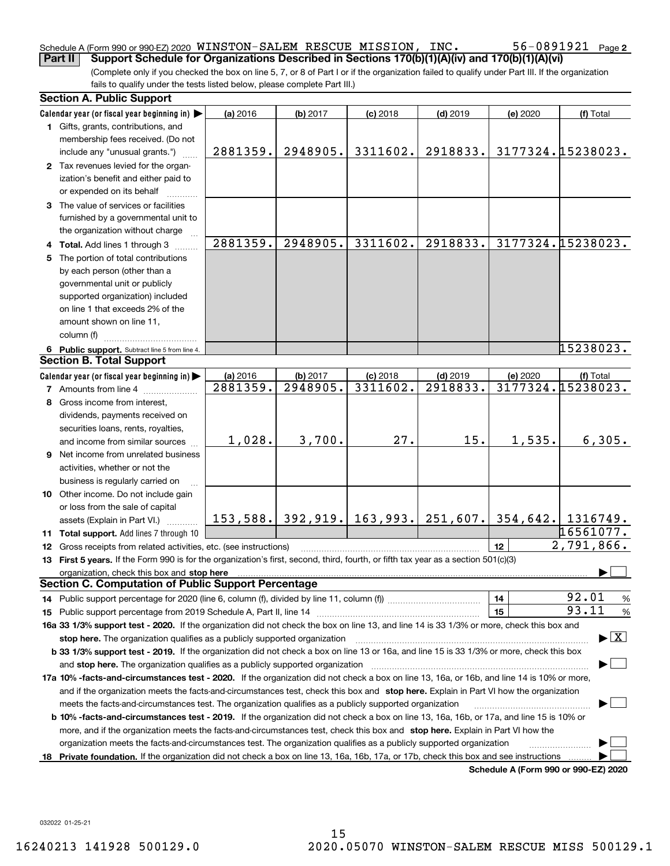### Schedule A (Form 990 or 990-EZ) 2020  $\,$  <code>WINSTON–SALEM RESCUE MISSION, INC</code> .  $\,$   $\,$   $\,$  56  $-$  0891921  $\,$  Page **Part II Support Schedule for Organizations Described in Sections 170(b)(1)(A)(iv) and 170(b)(1)(A)(vi)**

(Complete only if you checked the box on line 5, 7, or 8 of Part I or if the organization failed to qualify under Part III. If the organization fails to qualify under the tests listed below, please complete Part III.)

|    | <b>Section A. Public Support</b>                                                                                                               |          |                      |                                         |            |                                      |                                          |
|----|------------------------------------------------------------------------------------------------------------------------------------------------|----------|----------------------|-----------------------------------------|------------|--------------------------------------|------------------------------------------|
|    | Calendar year (or fiscal year beginning in)                                                                                                    | (a) 2016 | (b) 2017             | $(c)$ 2018                              | $(d)$ 2019 | (e) 2020                             | (f) Total                                |
|    | 1 Gifts, grants, contributions, and                                                                                                            |          |                      |                                         |            |                                      |                                          |
|    | membership fees received. (Do not                                                                                                              |          |                      |                                         |            |                                      |                                          |
|    | include any "unusual grants.")                                                                                                                 | 2881359. | 2948905.             | 3311602.                                | 2918833.   |                                      | 3177324.15238023.                        |
|    | 2 Tax revenues levied for the organ-                                                                                                           |          |                      |                                         |            |                                      |                                          |
|    | ization's benefit and either paid to                                                                                                           |          |                      |                                         |            |                                      |                                          |
|    | or expended on its behalf                                                                                                                      |          |                      |                                         |            |                                      |                                          |
|    | 3 The value of services or facilities                                                                                                          |          |                      |                                         |            |                                      |                                          |
|    | furnished by a governmental unit to                                                                                                            |          |                      |                                         |            |                                      |                                          |
|    | the organization without charge                                                                                                                |          |                      |                                         |            |                                      |                                          |
|    | 4 Total. Add lines 1 through 3                                                                                                                 | 2881359. | 2948905.             | 3311602.                                | 2918833.   |                                      | 3177324.15238023.                        |
|    | 5 The portion of total contributions                                                                                                           |          |                      |                                         |            |                                      |                                          |
|    | by each person (other than a                                                                                                                   |          |                      |                                         |            |                                      |                                          |
|    | governmental unit or publicly                                                                                                                  |          |                      |                                         |            |                                      |                                          |
|    | supported organization) included                                                                                                               |          |                      |                                         |            |                                      |                                          |
|    | on line 1 that exceeds 2% of the                                                                                                               |          |                      |                                         |            |                                      |                                          |
|    |                                                                                                                                                |          |                      |                                         |            |                                      |                                          |
|    | amount shown on line 11,<br>column (f)                                                                                                         |          |                      |                                         |            |                                      |                                          |
|    |                                                                                                                                                |          |                      |                                         |            |                                      | 15238023.                                |
|    | 6 Public support. Subtract line 5 from line 4.<br><b>Section B. Total Support</b>                                                              |          |                      |                                         |            |                                      |                                          |
|    |                                                                                                                                                |          |                      |                                         |            |                                      |                                          |
|    | Calendar year (or fiscal year beginning in)                                                                                                    | (a) 2016 | (b) 2017<br>2948905. | $(c)$ 2018                              | $(d)$ 2019 | (e) 2020                             | (f) Total                                |
|    | <b>7</b> Amounts from line 4                                                                                                                   | 2881359. |                      | 3311602.                                | 2918833.   |                                      | 3177324.15238023.                        |
|    | 8 Gross income from interest,                                                                                                                  |          |                      |                                         |            |                                      |                                          |
|    | dividends, payments received on                                                                                                                |          |                      |                                         |            |                                      |                                          |
|    | securities loans, rents, royalties,                                                                                                            |          |                      |                                         |            |                                      |                                          |
|    | and income from similar sources                                                                                                                | 1,028.   | 3,700.               | 27.                                     | 15.        | 1,535.                               | 6,305.                                   |
|    | <b>9</b> Net income from unrelated business                                                                                                    |          |                      |                                         |            |                                      |                                          |
|    | activities, whether or not the                                                                                                                 |          |                      |                                         |            |                                      |                                          |
|    | business is regularly carried on                                                                                                               |          |                      |                                         |            |                                      |                                          |
|    | 10 Other income. Do not include gain                                                                                                           |          |                      |                                         |            |                                      |                                          |
|    | or loss from the sale of capital                                                                                                               |          |                      |                                         |            |                                      |                                          |
|    | assets (Explain in Part VI.)                                                                                                                   |          |                      | 153, 588. 392, 919. 163, 993. 251, 607. |            | 354,642.  1316749.                   |                                          |
|    | 11 Total support. Add lines 7 through 10                                                                                                       |          |                      |                                         |            |                                      | 16561077.                                |
|    | 12 Gross receipts from related activities, etc. (see instructions)                                                                             |          |                      |                                         |            | 12                                   | 2,791,866.                               |
|    | 13 First 5 years. If the Form 990 is for the organization's first, second, third, fourth, or fifth tax year as a section 501(c)(3)             |          |                      |                                         |            |                                      |                                          |
|    | organization, check this box and stop here                                                                                                     |          |                      |                                         |            |                                      |                                          |
|    | <b>Section C. Computation of Public Support Percentage</b>                                                                                     |          |                      |                                         |            |                                      |                                          |
|    |                                                                                                                                                |          |                      |                                         |            | 14                                   | 92.01<br>%                               |
|    |                                                                                                                                                |          |                      |                                         |            | 15                                   | 93.11<br>$\%$                            |
|    | 16a 33 1/3% support test - 2020. If the organization did not check the box on line 13, and line 14 is 33 1/3% or more, check this box and      |          |                      |                                         |            |                                      |                                          |
|    | stop here. The organization qualifies as a publicly supported organization                                                                     |          |                      |                                         |            |                                      | $\blacktriangleright$ $\boxed{\text{X}}$ |
|    | b 33 1/3% support test - 2019. If the organization did not check a box on line 13 or 16a, and line 15 is 33 1/3% or more, check this box       |          |                      |                                         |            |                                      |                                          |
|    | and stop here. The organization qualifies as a publicly supported organization                                                                 |          |                      |                                         |            |                                      |                                          |
|    | 17a 10% -facts-and-circumstances test - 2020. If the organization did not check a box on line 13, 16a, or 16b, and line 14 is 10% or more,     |          |                      |                                         |            |                                      |                                          |
|    | and if the organization meets the facts-and-circumstances test, check this box and stop here. Explain in Part VI how the organization          |          |                      |                                         |            |                                      |                                          |
|    | meets the facts-and-circumstances test. The organization qualifies as a publicly supported organization                                        |          |                      |                                         |            |                                      |                                          |
|    | <b>b 10% -facts-and-circumstances test - 2019.</b> If the organization did not check a box on line 13, 16a, 16b, or 17a, and line 15 is 10% or |          |                      |                                         |            |                                      |                                          |
|    | more, and if the organization meets the facts-and-circumstances test, check this box and stop here. Explain in Part VI how the                 |          |                      |                                         |            |                                      |                                          |
|    | organization meets the facts-and-circumstances test. The organization qualifies as a publicly supported organization                           |          |                      |                                         |            |                                      |                                          |
| 18 | Private foundation. If the organization did not check a box on line 13, 16a, 16b, 17a, or 17b, check this box and see instructions             |          |                      |                                         |            |                                      |                                          |
|    |                                                                                                                                                |          |                      |                                         |            | Schedule A (Form 990 or 990-F7) 2020 |                                          |

**Schedule A (Form 990 or 990-EZ) 2020**

032022 01-25-21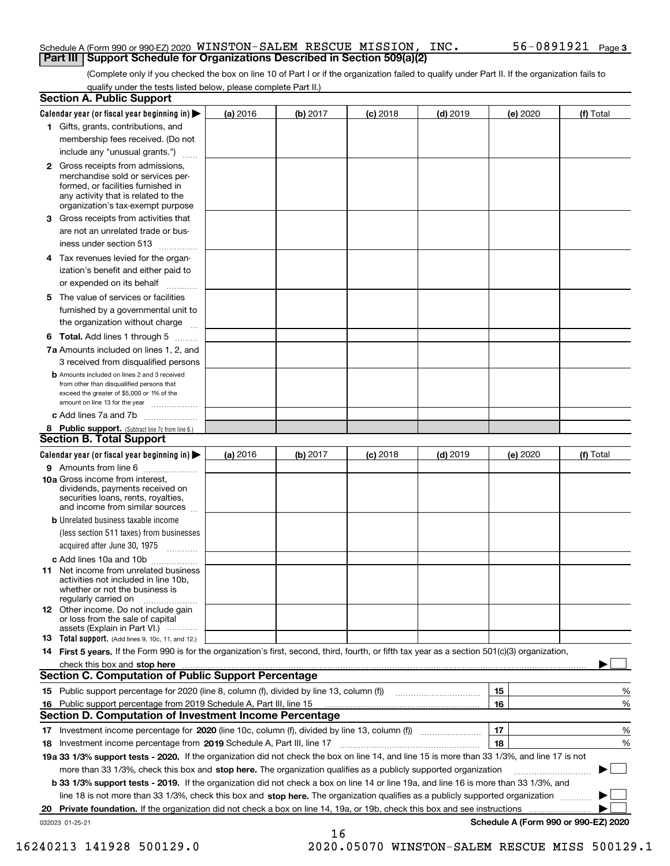### Schedule A (Form 990 or 990-EZ) 2020  $\,$  <code>WINSTON–SALEM RESCUE MISSION, INC</code> .  $\,$   $\,$   $\,$  56  $-$  0891921  $\,$  Page **Part III Support Schedule for Organizations Described in Section 509(a)(2)**

(Complete only if you checked the box on line 10 of Part I or if the organization failed to qualify under Part II. If the organization fails to qualify under the tests listed below, please complete Part II.)

|    | <b>Section A. Public Support</b>                                                                                                                                                                                                                                            |          |          |            |            |                                      |           |
|----|-----------------------------------------------------------------------------------------------------------------------------------------------------------------------------------------------------------------------------------------------------------------------------|----------|----------|------------|------------|--------------------------------------|-----------|
|    | Calendar year (or fiscal year beginning in) $\blacktriangleright$                                                                                                                                                                                                           | (a) 2016 | (b) 2017 | $(c)$ 2018 | $(d)$ 2019 | (e) 2020                             | (f) Total |
|    | 1 Gifts, grants, contributions, and                                                                                                                                                                                                                                         |          |          |            |            |                                      |           |
|    | membership fees received. (Do not                                                                                                                                                                                                                                           |          |          |            |            |                                      |           |
|    | include any "unusual grants.")                                                                                                                                                                                                                                              |          |          |            |            |                                      |           |
|    | 2 Gross receipts from admissions,<br>merchandise sold or services per-<br>formed, or facilities furnished in<br>any activity that is related to the<br>organization's tax-exempt purpose                                                                                    |          |          |            |            |                                      |           |
|    | 3 Gross receipts from activities that<br>are not an unrelated trade or bus-<br>iness under section 513                                                                                                                                                                      |          |          |            |            |                                      |           |
|    | 4 Tax revenues levied for the organ-                                                                                                                                                                                                                                        |          |          |            |            |                                      |           |
|    | ization's benefit and either paid to                                                                                                                                                                                                                                        |          |          |            |            |                                      |           |
|    | or expended on its behalf<br>.                                                                                                                                                                                                                                              |          |          |            |            |                                      |           |
|    | 5 The value of services or facilities<br>furnished by a governmental unit to<br>the organization without charge                                                                                                                                                             |          |          |            |            |                                      |           |
|    | <b>6 Total.</b> Add lines 1 through 5                                                                                                                                                                                                                                       |          |          |            |            |                                      |           |
|    | 7a Amounts included on lines 1, 2, and                                                                                                                                                                                                                                      |          |          |            |            |                                      |           |
|    | 3 received from disqualified persons                                                                                                                                                                                                                                        |          |          |            |            |                                      |           |
|    | <b>b</b> Amounts included on lines 2 and 3 received<br>from other than disqualified persons that                                                                                                                                                                            |          |          |            |            |                                      |           |
|    | exceed the greater of \$5,000 or 1% of the<br>amount on line 13 for the year                                                                                                                                                                                                |          |          |            |            |                                      |           |
|    | c Add lines 7a and 7b                                                                                                                                                                                                                                                       |          |          |            |            |                                      |           |
|    | 8 Public support. (Subtract line 7c from line 6.)                                                                                                                                                                                                                           |          |          |            |            |                                      |           |
|    | <b>Section B. Total Support</b>                                                                                                                                                                                                                                             |          |          |            |            |                                      |           |
|    | Calendar year (or fiscal year beginning in)                                                                                                                                                                                                                                 | (a) 2016 | (b) 2017 | $(c)$ 2018 | $(d)$ 2019 | (e) 2020                             | (f) Total |
|    | 9 Amounts from line 6                                                                                                                                                                                                                                                       |          |          |            |            |                                      |           |
|    | 10a Gross income from interest,<br>dividends, payments received on<br>securities loans, rents, royalties,<br>and income from similar sources                                                                                                                                |          |          |            |            |                                      |           |
|    | <b>b</b> Unrelated business taxable income                                                                                                                                                                                                                                  |          |          |            |            |                                      |           |
|    | (less section 511 taxes) from businesses<br>acquired after June 30, 1975                                                                                                                                                                                                    |          |          |            |            |                                      |           |
|    | c Add lines 10a and 10b                                                                                                                                                                                                                                                     |          |          |            |            |                                      |           |
|    | <b>11</b> Net income from unrelated business<br>activities not included in line 10b,<br>whether or not the business is<br>regularly carried on                                                                                                                              |          |          |            |            |                                      |           |
|    | <b>12</b> Other income. Do not include gain<br>or loss from the sale of capital<br>assets (Explain in Part VI.)                                                                                                                                                             |          |          |            |            |                                      |           |
|    | <b>13</b> Total support. (Add lines 9, 10c, 11, and 12.)                                                                                                                                                                                                                    |          |          |            |            |                                      |           |
|    | 14 First 5 years. If the Form 990 is for the organization's first, second, third, fourth, or fifth tax year as a section 501(c)(3) organization,                                                                                                                            |          |          |            |            |                                      |           |
|    | check this box and stop here <b>contract the contract of the contract of the state of the state of the state of the state of the state of the state of the state of the state of the state of the state of the state of the stat</b>                                        |          |          |            |            |                                      |           |
|    | <b>Section C. Computation of Public Support Percentage</b>                                                                                                                                                                                                                  |          |          |            |            |                                      |           |
|    |                                                                                                                                                                                                                                                                             |          |          |            |            | 15                                   | %         |
|    | 16 Public support percentage from 2019 Schedule A, Part III, line 15                                                                                                                                                                                                        |          |          |            |            | 16                                   | %         |
|    | <b>Section D. Computation of Investment Income Percentage</b>                                                                                                                                                                                                               |          |          |            |            |                                      |           |
|    | 17 Investment income percentage for 2020 (line 10c, column (f), divided by line 13, column (f))                                                                                                                                                                             |          |          |            |            | 17                                   | %         |
|    | 18 Investment income percentage from 2019 Schedule A, Part III, line 17                                                                                                                                                                                                     |          |          |            |            | 18                                   | %         |
|    | 19a 33 1/3% support tests - 2020. If the organization did not check the box on line 14, and line 15 is more than 33 1/3%, and line 17 is not                                                                                                                                |          |          |            |            |                                      |           |
|    | more than 33 1/3%, check this box and stop here. The organization qualifies as a publicly supported organization                                                                                                                                                            |          |          |            |            |                                      | ▶         |
|    | b 33 1/3% support tests - 2019. If the organization did not check a box on line 14 or line 19a, and line 16 is more than 33 1/3%, and                                                                                                                                       |          |          |            |            |                                      |           |
| 20 | line 18 is not more than 33 1/3%, check this box and stop here. The organization qualifies as a publicly supported organization <i>machi</i> on<br>Private foundation. If the organization did not check a box on line 14, 19a, or 19b, check this box and see instructions |          |          |            |            | .                                    |           |
|    | 032023 01-25-21                                                                                                                                                                                                                                                             |          |          |            |            | Schedule A (Form 990 or 990-EZ) 2020 |           |
|    |                                                                                                                                                                                                                                                                             |          |          |            |            |                                      |           |

16

16240213 141928 500129.0 2020.05070 WINSTON-SALEM RESCUE MISS 500129.1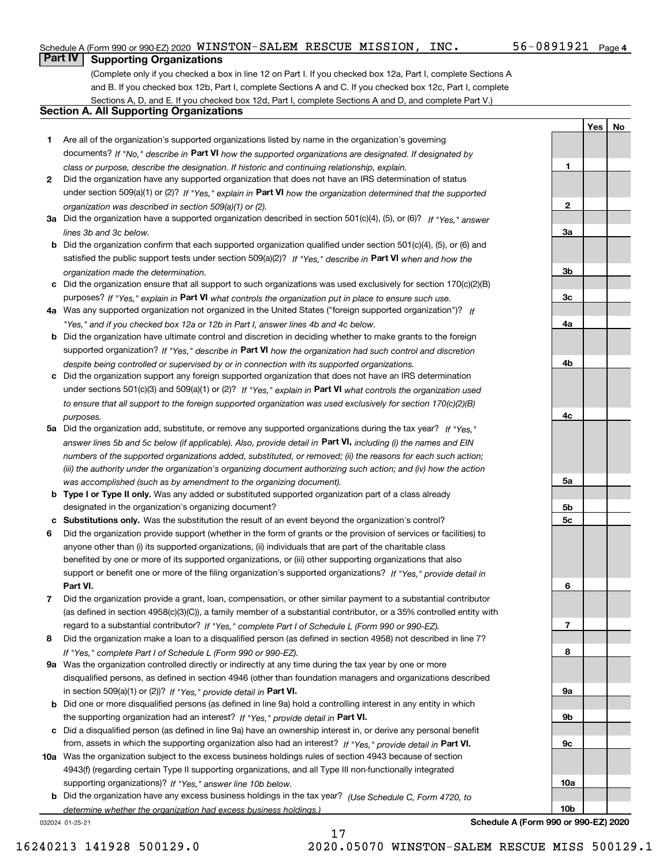### Schedule A (Form 990 or 990-EZ) 2020  $\,$  <code>WINSTON–SALEM RESCUE MISSION, INC</code> .  $\,$   $\,$   $\,$  56  $-$  0891921  $\,$  Page

**1**

**2**

**3a**

**3b**

**3c**

**4a**

**4b**

**4c**

**5a**

**5b5c**

**6**

**7**

**8**

**9a**

**9b**

**9c**

**10a**

**10b**

**YesNo**

### **Part IV Supporting Organizations**

(Complete only if you checked a box in line 12 on Part I. If you checked box 12a, Part I, complete Sections A and B. If you checked box 12b, Part I, complete Sections A and C. If you checked box 12c, Part I, complete Sections A, D, and E. If you checked box 12d, Part I, complete Sections A and D, and complete Part V.)

### **Section A. All Supporting Organizations**

- **1** Are all of the organization's supported organizations listed by name in the organization's governing documents? If "No," describe in **Part VI** how the supported organizations are designated. If designated by *class or purpose, describe the designation. If historic and continuing relationship, explain.*
- **2** Did the organization have any supported organization that does not have an IRS determination of status under section 509(a)(1) or (2)? If "Yes," explain in Part VI how the organization determined that the supported *organization was described in section 509(a)(1) or (2).*
- **3a** Did the organization have a supported organization described in section 501(c)(4), (5), or (6)? If "Yes," answer *lines 3b and 3c below.*
- **b** Did the organization confirm that each supported organization qualified under section 501(c)(4), (5), or (6) and satisfied the public support tests under section 509(a)(2)? If "Yes," describe in **Part VI** when and how the *organization made the determination.*
- **c**Did the organization ensure that all support to such organizations was used exclusively for section 170(c)(2)(B) purposes? If "Yes," explain in **Part VI** what controls the organization put in place to ensure such use.
- **4a***If* Was any supported organization not organized in the United States ("foreign supported organization")? *"Yes," and if you checked box 12a or 12b in Part I, answer lines 4b and 4c below.*
- **b** Did the organization have ultimate control and discretion in deciding whether to make grants to the foreign supported organization? If "Yes," describe in **Part VI** how the organization had such control and discretion *despite being controlled or supervised by or in connection with its supported organizations.*
- **c** Did the organization support any foreign supported organization that does not have an IRS determination under sections 501(c)(3) and 509(a)(1) or (2)? If "Yes," explain in **Part VI** what controls the organization used *to ensure that all support to the foreign supported organization was used exclusively for section 170(c)(2)(B) purposes.*
- **5a** Did the organization add, substitute, or remove any supported organizations during the tax year? If "Yes," answer lines 5b and 5c below (if applicable). Also, provide detail in **Part VI,** including (i) the names and EIN *numbers of the supported organizations added, substituted, or removed; (ii) the reasons for each such action; (iii) the authority under the organization's organizing document authorizing such action; and (iv) how the action was accomplished (such as by amendment to the organizing document).*
- **b** Type I or Type II only. Was any added or substituted supported organization part of a class already designated in the organization's organizing document?
- **cSubstitutions only.**  Was the substitution the result of an event beyond the organization's control?
- **6** Did the organization provide support (whether in the form of grants or the provision of services or facilities) to **Part VI.** *If "Yes," provide detail in* support or benefit one or more of the filing organization's supported organizations? anyone other than (i) its supported organizations, (ii) individuals that are part of the charitable class benefited by one or more of its supported organizations, or (iii) other supporting organizations that also
- **7**Did the organization provide a grant, loan, compensation, or other similar payment to a substantial contributor *If "Yes," complete Part I of Schedule L (Form 990 or 990-EZ).* regard to a substantial contributor? (as defined in section 4958(c)(3)(C)), a family member of a substantial contributor, or a 35% controlled entity with
- **8** Did the organization make a loan to a disqualified person (as defined in section 4958) not described in line 7? *If "Yes," complete Part I of Schedule L (Form 990 or 990-EZ).*
- **9a** Was the organization controlled directly or indirectly at any time during the tax year by one or more in section 509(a)(1) or (2))? If "Yes," *provide detail in* <code>Part VI.</code> disqualified persons, as defined in section 4946 (other than foundation managers and organizations described
- **b** Did one or more disqualified persons (as defined in line 9a) hold a controlling interest in any entity in which the supporting organization had an interest? If "Yes," provide detail in P**art VI**.
- **c**Did a disqualified person (as defined in line 9a) have an ownership interest in, or derive any personal benefit from, assets in which the supporting organization also had an interest? If "Yes," provide detail in P**art VI.**
- **10a** Was the organization subject to the excess business holdings rules of section 4943 because of section supporting organizations)? If "Yes," answer line 10b below. 4943(f) (regarding certain Type II supporting organizations, and all Type III non-functionally integrated
- **b** Did the organization have any excess business holdings in the tax year? (Use Schedule C, Form 4720, to *determine whether the organization had excess business holdings.)*

17

032024 01-25-21

**Schedule A (Form 990 or 990-EZ) 2020**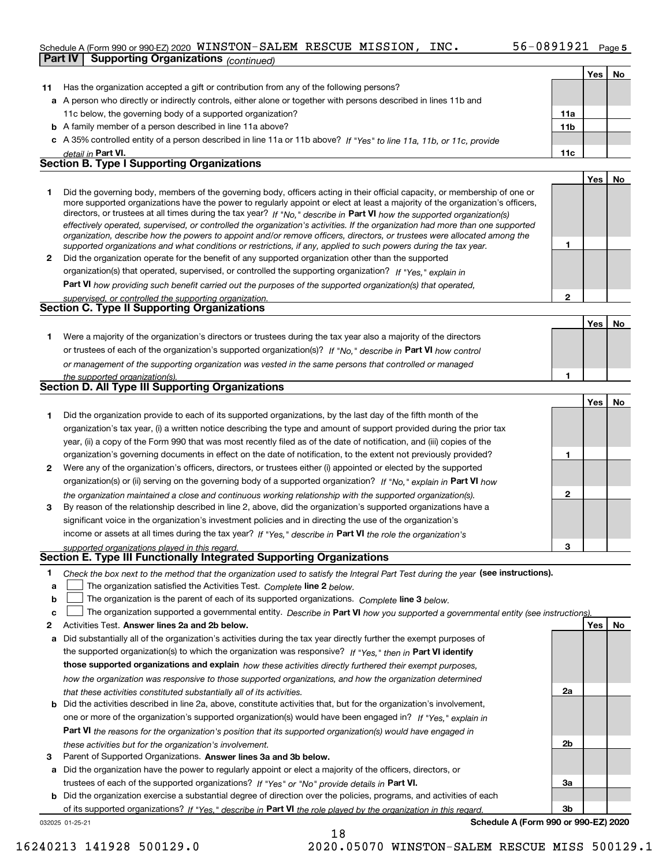### Schedule A (Form 990 or 990-EZ) 2020  $\,$  <code>WINSTON–SALEM RESCUE MISSION, INC</code> .  $\,$   $\,$   $\,$  56  $-$  0891921  $\,$  Page

| <b>Supporting Organizations (continued)</b>                                                                                                                                                                                                                                                                                                                                                                                                                                                                                                                                                                                                                |                                                                                                                                  |     |    |
|------------------------------------------------------------------------------------------------------------------------------------------------------------------------------------------------------------------------------------------------------------------------------------------------------------------------------------------------------------------------------------------------------------------------------------------------------------------------------------------------------------------------------------------------------------------------------------------------------------------------------------------------------------|----------------------------------------------------------------------------------------------------------------------------------|-----|----|
|                                                                                                                                                                                                                                                                                                                                                                                                                                                                                                                                                                                                                                                            |                                                                                                                                  | Yes | No |
| Has the organization accepted a gift or contribution from any of the following persons?<br>11                                                                                                                                                                                                                                                                                                                                                                                                                                                                                                                                                              |                                                                                                                                  |     |    |
| a A person who directly or indirectly controls, either alone or together with persons described in lines 11b and                                                                                                                                                                                                                                                                                                                                                                                                                                                                                                                                           |                                                                                                                                  |     |    |
| 11c below, the governing body of a supported organization?                                                                                                                                                                                                                                                                                                                                                                                                                                                                                                                                                                                                 | 11a                                                                                                                              |     |    |
| <b>b</b> A family member of a person described in line 11a above?                                                                                                                                                                                                                                                                                                                                                                                                                                                                                                                                                                                          | 11b                                                                                                                              |     |    |
| c A 35% controlled entity of a person described in line 11a or 11b above? If "Yes" to line 11a, 11b, or 11c, provide                                                                                                                                                                                                                                                                                                                                                                                                                                                                                                                                       |                                                                                                                                  |     |    |
| detail in Part VI.                                                                                                                                                                                                                                                                                                                                                                                                                                                                                                                                                                                                                                         | 11c                                                                                                                              |     |    |
| <b>Section B. Type I Supporting Organizations</b>                                                                                                                                                                                                                                                                                                                                                                                                                                                                                                                                                                                                          |                                                                                                                                  |     |    |
|                                                                                                                                                                                                                                                                                                                                                                                                                                                                                                                                                                                                                                                            |                                                                                                                                  | Yes | No |
| Did the governing body, members of the governing body, officers acting in their official capacity, or membership of one or<br>1.<br>more supported organizations have the power to regularly appoint or elect at least a majority of the organization's officers,<br>directors, or trustees at all times during the tax year? If "No," describe in Part VI how the supported organization(s)<br>effectively operated, supervised, or controlled the organization's activities. If the organization had more than one supported<br>organization, describe how the powers to appoint and/or remove officers, directors, or trustees were allocated among the |                                                                                                                                  |     |    |
| supported organizations and what conditions or restrictions, if any, applied to such powers during the tax year.                                                                                                                                                                                                                                                                                                                                                                                                                                                                                                                                           | 1                                                                                                                                |     |    |
| Did the organization operate for the benefit of any supported organization other than the supported<br>2                                                                                                                                                                                                                                                                                                                                                                                                                                                                                                                                                   |                                                                                                                                  |     |    |
| organization(s) that operated, supervised, or controlled the supporting organization? If "Yes," explain in                                                                                                                                                                                                                                                                                                                                                                                                                                                                                                                                                 |                                                                                                                                  |     |    |
| <b>Part VI</b> how providing such benefit carried out the purposes of the supported organization(s) that operated,                                                                                                                                                                                                                                                                                                                                                                                                                                                                                                                                         |                                                                                                                                  |     |    |
| supervised, or controlled the supporting organization.                                                                                                                                                                                                                                                                                                                                                                                                                                                                                                                                                                                                     | $\mathbf{2}$                                                                                                                     |     |    |
| <b>Section C. Type II Supporting Organizations</b>                                                                                                                                                                                                                                                                                                                                                                                                                                                                                                                                                                                                         |                                                                                                                                  |     |    |
|                                                                                                                                                                                                                                                                                                                                                                                                                                                                                                                                                                                                                                                            |                                                                                                                                  | Yes | No |
| Were a majority of the organization's directors or trustees during the tax year also a majority of the directors<br>1.                                                                                                                                                                                                                                                                                                                                                                                                                                                                                                                                     |                                                                                                                                  |     |    |
| or trustees of each of the organization's supported organization(s)? If "No," describe in Part VI how control                                                                                                                                                                                                                                                                                                                                                                                                                                                                                                                                              |                                                                                                                                  |     |    |
| or management of the supporting organization was vested in the same persons that controlled or managed                                                                                                                                                                                                                                                                                                                                                                                                                                                                                                                                                     |                                                                                                                                  |     |    |
| the supported organization(s).                                                                                                                                                                                                                                                                                                                                                                                                                                                                                                                                                                                                                             | 1                                                                                                                                |     |    |
| Section D. All Type III Supporting Organizations                                                                                                                                                                                                                                                                                                                                                                                                                                                                                                                                                                                                           |                                                                                                                                  |     |    |
|                                                                                                                                                                                                                                                                                                                                                                                                                                                                                                                                                                                                                                                            |                                                                                                                                  | Yes | No |
| Did the organization provide to each of its supported organizations, by the last day of the fifth month of the<br>1.                                                                                                                                                                                                                                                                                                                                                                                                                                                                                                                                       |                                                                                                                                  |     |    |
| organization's tax year, (i) a written notice describing the type and amount of support provided during the prior tax                                                                                                                                                                                                                                                                                                                                                                                                                                                                                                                                      |                                                                                                                                  |     |    |
| year, (ii) a copy of the Form 990 that was most recently filed as of the date of notification, and (iii) copies of the                                                                                                                                                                                                                                                                                                                                                                                                                                                                                                                                     |                                                                                                                                  |     |    |
| organization's governing documents in effect on the date of notification, to the extent not previously provided?                                                                                                                                                                                                                                                                                                                                                                                                                                                                                                                                           | 1                                                                                                                                |     |    |
| Were any of the organization's officers, directors, or trustees either (i) appointed or elected by the supported<br>2                                                                                                                                                                                                                                                                                                                                                                                                                                                                                                                                      |                                                                                                                                  |     |    |
| organization(s) or (ii) serving on the governing body of a supported organization? If "No," explain in Part VI how                                                                                                                                                                                                                                                                                                                                                                                                                                                                                                                                         |                                                                                                                                  |     |    |
| the organization maintained a close and continuous working relationship with the supported organization(s).                                                                                                                                                                                                                                                                                                                                                                                                                                                                                                                                                | 2                                                                                                                                |     |    |
| By reason of the relationship described in line 2, above, did the organization's supported organizations have a<br>3                                                                                                                                                                                                                                                                                                                                                                                                                                                                                                                                       |                                                                                                                                  |     |    |
| significant voice in the organization's investment policies and in directing the use of the organization's                                                                                                                                                                                                                                                                                                                                                                                                                                                                                                                                                 |                                                                                                                                  |     |    |
| income or assets at all times during the tax year? If "Yes," describe in Part VI the role the organization's                                                                                                                                                                                                                                                                                                                                                                                                                                                                                                                                               |                                                                                                                                  |     |    |
| supported organizations played in this regard.<br>Section E. Type III Functionally Integrated Supporting Organizations                                                                                                                                                                                                                                                                                                                                                                                                                                                                                                                                     | з                                                                                                                                |     |    |
|                                                                                                                                                                                                                                                                                                                                                                                                                                                                                                                                                                                                                                                            |                                                                                                                                  |     |    |
| 1.<br>Check the box next to the method that the organization used to satisfy the Integral Part Test during the year (see instructions).<br>The organization satisfied the Activities Test. Complete line 2 below.                                                                                                                                                                                                                                                                                                                                                                                                                                          |                                                                                                                                  |     |    |
| a<br>The organization is the parent of each of its supported organizations. Complete line 3 below.<br>b                                                                                                                                                                                                                                                                                                                                                                                                                                                                                                                                                    |                                                                                                                                  |     |    |
| c                                                                                                                                                                                                                                                                                                                                                                                                                                                                                                                                                                                                                                                          | The organization supported a governmental entity. Describe in Part VI how you supported a governmental entity (see instructions) |     |    |
| Activities Test. Answer lines 2a and 2b below.<br>2                                                                                                                                                                                                                                                                                                                                                                                                                                                                                                                                                                                                        |                                                                                                                                  | Yes | No |
| Did substantially all of the organization's activities during the tax year directly further the exempt purposes of<br>а                                                                                                                                                                                                                                                                                                                                                                                                                                                                                                                                    |                                                                                                                                  |     |    |
| the supported organization(s) to which the organization was responsive? If "Yes." then in Part VI identify                                                                                                                                                                                                                                                                                                                                                                                                                                                                                                                                                 |                                                                                                                                  |     |    |
| those supported organizations and explain how these activities directly furthered their exempt purposes,                                                                                                                                                                                                                                                                                                                                                                                                                                                                                                                                                   |                                                                                                                                  |     |    |
|                                                                                                                                                                                                                                                                                                                                                                                                                                                                                                                                                                                                                                                            |                                                                                                                                  |     |    |
| how the organization was responsive to those supported organizations, and how the organization determined                                                                                                                                                                                                                                                                                                                                                                                                                                                                                                                                                  | 2a                                                                                                                               |     |    |
| that these activities constituted substantially all of its activities.<br><b>b</b> Did the activities described in line 2a, above, constitute activities that, but for the organization's involvement,                                                                                                                                                                                                                                                                                                                                                                                                                                                     |                                                                                                                                  |     |    |
| one or more of the organization's supported organization(s) would have been engaged in? If "Yes," explain in                                                                                                                                                                                                                                                                                                                                                                                                                                                                                                                                               |                                                                                                                                  |     |    |

**3** Parent of Supported Organizations. Answer lines 3a and 3b below. *these activities but for the organization's involvement.*

**a** Did the organization have the power to regularly appoint or elect a majority of the officers, directors, or trustees of each of the supported organizations? If "Yes" or "No" provide details in **Part VI.** 

**Part VI**  *the reasons for the organization's position that its supported organization(s) would have engaged in*

**b** Did the organization exercise a substantial degree of direction over the policies, programs, and activities of each of its supported organizations? If "Yes," describe in Part VI the role played by the organization in this regard.

18

032025 01-25-21

**Schedule A (Form 990 or 990-EZ) 2020**

**2b**

**3a**

**3b**

16240213 141928 500129.0 2020.05070 WINSTON-SALEM RESCUE MISS 500129.1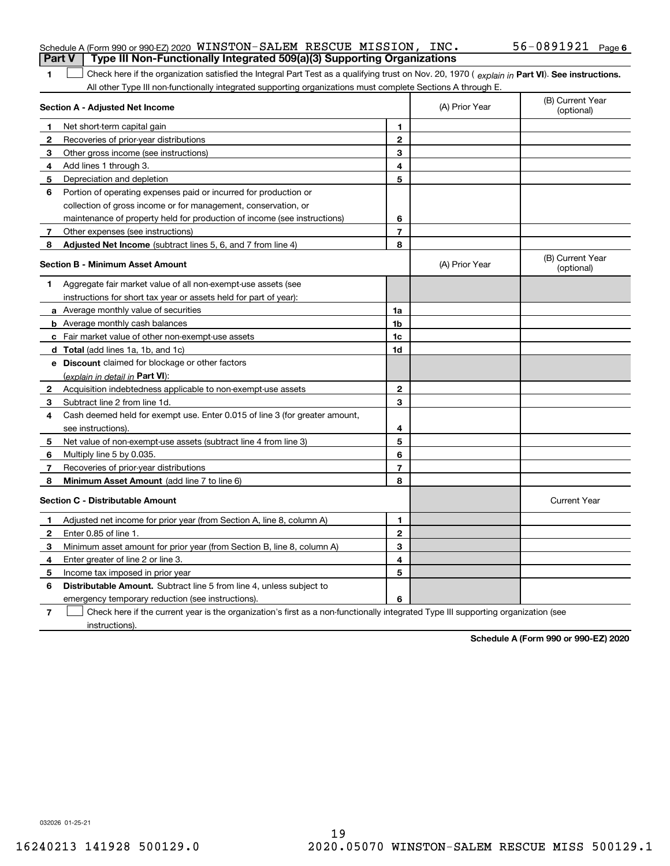|               | Schedule A (Form 990 or 990-EZ) 2020 WINSTON-SALEM RESCUE MISSION, INC.                                                                        |                |                | 56-0891921 $Page 6$            |
|---------------|------------------------------------------------------------------------------------------------------------------------------------------------|----------------|----------------|--------------------------------|
| <b>Part V</b> | Type III Non-Functionally Integrated 509(a)(3) Supporting Organizations                                                                        |                |                |                                |
| 1             | Check here if the organization satisfied the Integral Part Test as a qualifying trust on Nov. 20, 1970 (explain in Part VI). See instructions. |                |                |                                |
|               | All other Type III non-functionally integrated supporting organizations must complete Sections A through E.<br>Section A - Adjusted Net Income |                | (A) Prior Year | (B) Current Year<br>(optional) |
|               | Net short-term capital gain                                                                                                                    | 1              |                |                                |
| 2             | Recoveries of prior-year distributions                                                                                                         | $\mathbf{2}$   |                |                                |
| З             | Other gross income (see instructions)                                                                                                          | 3              |                |                                |
| 4             | Add lines 1 through 3.                                                                                                                         | 4              |                |                                |
| 5             | Depreciation and depletion                                                                                                                     | 5              |                |                                |
| 6             | Portion of operating expenses paid or incurred for production or                                                                               |                |                |                                |
|               | collection of gross income or for management, conservation, or                                                                                 |                |                |                                |
|               | maintenance of property held for production of income (see instructions)                                                                       | 6              |                |                                |
| 7             | Other expenses (see instructions)                                                                                                              | $\overline{7}$ |                |                                |
| 8             | Adjusted Net Income (subtract lines 5, 6, and 7 from line 4)                                                                                   | 8              |                |                                |
|               | <b>Section B - Minimum Asset Amount</b>                                                                                                        |                | (A) Prior Year | (B) Current Year<br>(optional) |
| 1             | Aggregate fair market value of all non-exempt-use assets (see                                                                                  |                |                |                                |
|               | instructions for short tax year or assets held for part of year):                                                                              |                |                |                                |
|               | a Average monthly value of securities                                                                                                          | 1a             |                |                                |
|               | <b>b</b> Average monthly cash balances                                                                                                         | 1b             |                |                                |
|               | c Fair market value of other non-exempt-use assets                                                                                             | 1c             |                |                                |
|               | d Total (add lines 1a, 1b, and 1c)                                                                                                             | 1d             |                |                                |
|               | <b>e</b> Discount claimed for blockage or other factors                                                                                        |                |                |                                |
|               | (explain in detail in Part VI):                                                                                                                |                |                |                                |
| 2             | Acquisition indebtedness applicable to non-exempt-use assets                                                                                   | $\mathbf 2$    |                |                                |
| 3             | Subtract line 2 from line 1d.                                                                                                                  | 3              |                |                                |
| 4             | Cash deemed held for exempt use. Enter 0.015 of line 3 (for greater amount,                                                                    |                |                |                                |
|               | see instructions).                                                                                                                             | 4              |                |                                |
| 5             | Net value of non-exempt-use assets (subtract line 4 from line 3)                                                                               | 5              |                |                                |
| 6             | Multiply line 5 by 0.035.                                                                                                                      | 6              |                |                                |
| 7             | Recoveries of prior-year distributions                                                                                                         | $\overline{7}$ |                |                                |
| 8             | Minimum Asset Amount (add line 7 to line 6)                                                                                                    | 8              |                |                                |
|               | <b>Section C - Distributable Amount</b>                                                                                                        |                |                | <b>Current Year</b>            |
|               | Adjusted net income for prior year (from Section A, line 8, column A)                                                                          | 1              |                |                                |
|               | Enter 0.85 of line 1.                                                                                                                          | 2              |                |                                |
| 3             | Minimum asset amount for prior year (from Section B, line 8, column A)                                                                         | 3              |                |                                |
| 4             | Enter greater of line 2 or line 3.                                                                                                             | 4              |                |                                |
| 5             | Income tax imposed in prior year                                                                                                               | 5              |                |                                |
| 6             | <b>Distributable Amount.</b> Subtract line 5 from line 4, unless subject to                                                                    |                |                |                                |
|               | emergency temporary reduction (see instructions).                                                                                              | 6              |                |                                |
| $\mathbf{7}$  | Check here if the current year is the organization's first as a non-functionally integrated Type III supporting organization (see              |                |                |                                |

instructions).

**Schedule A (Form 990 or 990-EZ) 2020**

032026 01-25-21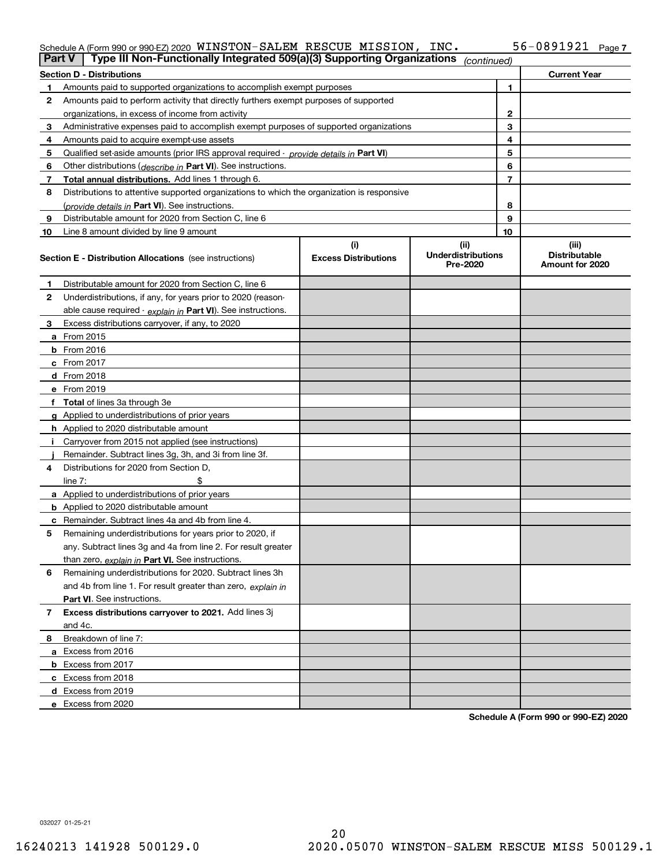### Schedule A (Form 990 or 990-EZ) 2020 WINS'I'ON~SALEM\_RESCUE\_MISSION,INC。 56~0891921 Page WINSTON-SALEM RESCUE MISSION, INC. 56-0891921

| Part V         | Type III Non-Functionally Integrated 509(a)(3) Supporting Organizations                    |                             | (continued)                           |    |                                         |
|----------------|--------------------------------------------------------------------------------------------|-----------------------------|---------------------------------------|----|-----------------------------------------|
|                | <b>Section D - Distributions</b>                                                           |                             |                                       |    | <b>Current Year</b>                     |
| 1              | Amounts paid to supported organizations to accomplish exempt purposes                      | 1                           |                                       |    |                                         |
| 2              | Amounts paid to perform activity that directly furthers exempt purposes of supported       |                             |                                       |    |                                         |
|                | organizations, in excess of income from activity                                           | $\mathbf{2}$                |                                       |    |                                         |
| 3              | Administrative expenses paid to accomplish exempt purposes of supported organizations      |                             |                                       | 3  |                                         |
| 4              | Amounts paid to acquire exempt-use assets                                                  |                             |                                       | 4  |                                         |
| 5              | Qualified set-aside amounts (prior IRS approval required - provide details in Part VI)     |                             |                                       | 5  |                                         |
| 6              | Other distributions ( <i>describe in</i> Part VI). See instructions.                       |                             |                                       | 6  |                                         |
| 7              | Total annual distributions. Add lines 1 through 6.                                         |                             |                                       | 7  |                                         |
| 8              | Distributions to attentive supported organizations to which the organization is responsive |                             |                                       |    |                                         |
|                | (provide details in Part VI). See instructions.                                            |                             |                                       | 8  |                                         |
| 9              | Distributable amount for 2020 from Section C, line 6                                       |                             |                                       | 9  |                                         |
| 10             | Line 8 amount divided by line 9 amount                                                     |                             |                                       | 10 |                                         |
|                |                                                                                            | (i)                         | (ii)                                  |    | (iii)                                   |
|                | <b>Section E - Distribution Allocations</b> (see instructions)                             | <b>Excess Distributions</b> | <b>Underdistributions</b><br>Pre-2020 |    | <b>Distributable</b><br>Amount for 2020 |
| 1              | Distributable amount for 2020 from Section C, line 6                                       |                             |                                       |    |                                         |
| 2              | Underdistributions, if any, for years prior to 2020 (reason-                               |                             |                                       |    |                                         |
|                | able cause required - explain in Part VI). See instructions.                               |                             |                                       |    |                                         |
| 3              | Excess distributions carryover, if any, to 2020                                            |                             |                                       |    |                                         |
|                | a From 2015                                                                                |                             |                                       |    |                                         |
|                | <b>b</b> From 2016                                                                         |                             |                                       |    |                                         |
|                | $c$ From 2017                                                                              |                             |                                       |    |                                         |
|                | <b>d</b> From 2018                                                                         |                             |                                       |    |                                         |
|                | e From 2019                                                                                |                             |                                       |    |                                         |
|                | f Total of lines 3a through 3e                                                             |                             |                                       |    |                                         |
|                | g Applied to underdistributions of prior years                                             |                             |                                       |    |                                         |
|                | <b>h</b> Applied to 2020 distributable amount                                              |                             |                                       |    |                                         |
|                | Carryover from 2015 not applied (see instructions)                                         |                             |                                       |    |                                         |
|                | Remainder. Subtract lines 3g, 3h, and 3i from line 3f.                                     |                             |                                       |    |                                         |
| 4              | Distributions for 2020 from Section D.                                                     |                             |                                       |    |                                         |
|                | line $7:$                                                                                  |                             |                                       |    |                                         |
|                | a Applied to underdistributions of prior years                                             |                             |                                       |    |                                         |
|                | <b>b</b> Applied to 2020 distributable amount                                              |                             |                                       |    |                                         |
|                | c Remainder. Subtract lines 4a and 4b from line 4.                                         |                             |                                       |    |                                         |
| 5              | Remaining underdistributions for years prior to 2020, if                                   |                             |                                       |    |                                         |
|                | any. Subtract lines 3g and 4a from line 2. For result greater                              |                             |                                       |    |                                         |
|                | than zero, explain in Part VI. See instructions.                                           |                             |                                       |    |                                         |
| 6              | Remaining underdistributions for 2020. Subtract lines 3h                                   |                             |                                       |    |                                         |
|                | and 4b from line 1. For result greater than zero, explain in                               |                             |                                       |    |                                         |
|                | <b>Part VI.</b> See instructions.                                                          |                             |                                       |    |                                         |
| $\overline{7}$ | Excess distributions carryover to 2021. Add lines 3j                                       |                             |                                       |    |                                         |
|                | and 4c.                                                                                    |                             |                                       |    |                                         |
| 8              | Breakdown of line 7:                                                                       |                             |                                       |    |                                         |
|                | a Excess from 2016                                                                         |                             |                                       |    |                                         |
|                | <b>b</b> Excess from 2017                                                                  |                             |                                       |    |                                         |
|                | c Excess from 2018                                                                         |                             |                                       |    |                                         |
|                | d Excess from 2019                                                                         |                             |                                       |    |                                         |
|                | e Excess from 2020                                                                         |                             |                                       |    |                                         |

**Schedule A (Form 990 or 990-EZ) 2020**

032027 01-25-21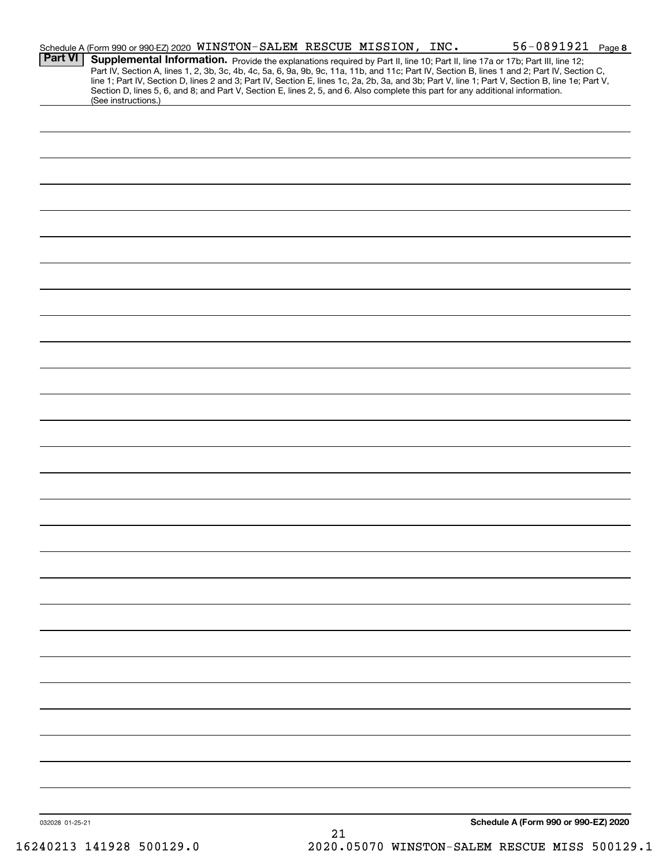|                 |                     | Schedule A (Form 990 or 990-EZ) 2020 WINSTON-SALEM RESCUE MISSION, INC.                                                                                                                                                                                                                                                                                                                                                                                                                                                                                              |                 | $56 - 0891921$ Page 8                |  |
|-----------------|---------------------|----------------------------------------------------------------------------------------------------------------------------------------------------------------------------------------------------------------------------------------------------------------------------------------------------------------------------------------------------------------------------------------------------------------------------------------------------------------------------------------------------------------------------------------------------------------------|-----------------|--------------------------------------|--|
| <b>Part VI</b>  |                     | Supplemental Information. Provide the explanations required by Part II, line 10; Part II, line 17a or 17b; Part III, line 12;<br>Part IV, Section A, lines 1, 2, 3b, 3c, 4b, 4c, 5a, 6, 9a, 9b, 9c, 11a, 11b, and 11c; Part IV, Section B, lines 1 and 2; Part IV, Section C,<br>line 1; Part IV, Section D, lines 2 and 3; Part IV, Section E, lines 1c, 2a, 2b, 3a, and 3b; Part V, line 1; Part V, Section B, line 1e; Part V,<br>Section D, lines 5, 6, and 8; and Part V, Section E, lines 2, 5, and 6. Also complete this part for any additional information. |                 |                                      |  |
|                 | (See instructions.) |                                                                                                                                                                                                                                                                                                                                                                                                                                                                                                                                                                      |                 |                                      |  |
|                 |                     |                                                                                                                                                                                                                                                                                                                                                                                                                                                                                                                                                                      |                 |                                      |  |
|                 |                     |                                                                                                                                                                                                                                                                                                                                                                                                                                                                                                                                                                      |                 |                                      |  |
|                 |                     |                                                                                                                                                                                                                                                                                                                                                                                                                                                                                                                                                                      |                 |                                      |  |
|                 |                     |                                                                                                                                                                                                                                                                                                                                                                                                                                                                                                                                                                      |                 |                                      |  |
|                 |                     |                                                                                                                                                                                                                                                                                                                                                                                                                                                                                                                                                                      |                 |                                      |  |
|                 |                     |                                                                                                                                                                                                                                                                                                                                                                                                                                                                                                                                                                      |                 |                                      |  |
|                 |                     |                                                                                                                                                                                                                                                                                                                                                                                                                                                                                                                                                                      |                 |                                      |  |
|                 |                     |                                                                                                                                                                                                                                                                                                                                                                                                                                                                                                                                                                      |                 |                                      |  |
|                 |                     |                                                                                                                                                                                                                                                                                                                                                                                                                                                                                                                                                                      |                 |                                      |  |
|                 |                     |                                                                                                                                                                                                                                                                                                                                                                                                                                                                                                                                                                      |                 |                                      |  |
|                 |                     |                                                                                                                                                                                                                                                                                                                                                                                                                                                                                                                                                                      |                 |                                      |  |
|                 |                     |                                                                                                                                                                                                                                                                                                                                                                                                                                                                                                                                                                      |                 |                                      |  |
|                 |                     |                                                                                                                                                                                                                                                                                                                                                                                                                                                                                                                                                                      |                 |                                      |  |
|                 |                     |                                                                                                                                                                                                                                                                                                                                                                                                                                                                                                                                                                      |                 |                                      |  |
|                 |                     |                                                                                                                                                                                                                                                                                                                                                                                                                                                                                                                                                                      |                 |                                      |  |
|                 |                     |                                                                                                                                                                                                                                                                                                                                                                                                                                                                                                                                                                      |                 |                                      |  |
|                 |                     |                                                                                                                                                                                                                                                                                                                                                                                                                                                                                                                                                                      |                 |                                      |  |
|                 |                     |                                                                                                                                                                                                                                                                                                                                                                                                                                                                                                                                                                      |                 |                                      |  |
|                 |                     |                                                                                                                                                                                                                                                                                                                                                                                                                                                                                                                                                                      |                 |                                      |  |
|                 |                     |                                                                                                                                                                                                                                                                                                                                                                                                                                                                                                                                                                      |                 |                                      |  |
|                 |                     |                                                                                                                                                                                                                                                                                                                                                                                                                                                                                                                                                                      |                 |                                      |  |
|                 |                     |                                                                                                                                                                                                                                                                                                                                                                                                                                                                                                                                                                      |                 |                                      |  |
|                 |                     |                                                                                                                                                                                                                                                                                                                                                                                                                                                                                                                                                                      |                 |                                      |  |
|                 |                     |                                                                                                                                                                                                                                                                                                                                                                                                                                                                                                                                                                      |                 |                                      |  |
|                 |                     |                                                                                                                                                                                                                                                                                                                                                                                                                                                                                                                                                                      |                 |                                      |  |
|                 |                     |                                                                                                                                                                                                                                                                                                                                                                                                                                                                                                                                                                      |                 |                                      |  |
|                 |                     |                                                                                                                                                                                                                                                                                                                                                                                                                                                                                                                                                                      |                 |                                      |  |
|                 |                     |                                                                                                                                                                                                                                                                                                                                                                                                                                                                                                                                                                      |                 |                                      |  |
|                 |                     |                                                                                                                                                                                                                                                                                                                                                                                                                                                                                                                                                                      |                 |                                      |  |
|                 |                     |                                                                                                                                                                                                                                                                                                                                                                                                                                                                                                                                                                      |                 |                                      |  |
|                 |                     |                                                                                                                                                                                                                                                                                                                                                                                                                                                                                                                                                                      |                 |                                      |  |
|                 |                     |                                                                                                                                                                                                                                                                                                                                                                                                                                                                                                                                                                      |                 |                                      |  |
|                 |                     |                                                                                                                                                                                                                                                                                                                                                                                                                                                                                                                                                                      |                 |                                      |  |
|                 |                     |                                                                                                                                                                                                                                                                                                                                                                                                                                                                                                                                                                      |                 |                                      |  |
|                 |                     |                                                                                                                                                                                                                                                                                                                                                                                                                                                                                                                                                                      |                 |                                      |  |
|                 |                     |                                                                                                                                                                                                                                                                                                                                                                                                                                                                                                                                                                      |                 |                                      |  |
| 032028 01-25-21 |                     |                                                                                                                                                                                                                                                                                                                                                                                                                                                                                                                                                                      | $\mathcal{D}$ 1 | Schedule A (Form 990 or 990-EZ) 2020 |  |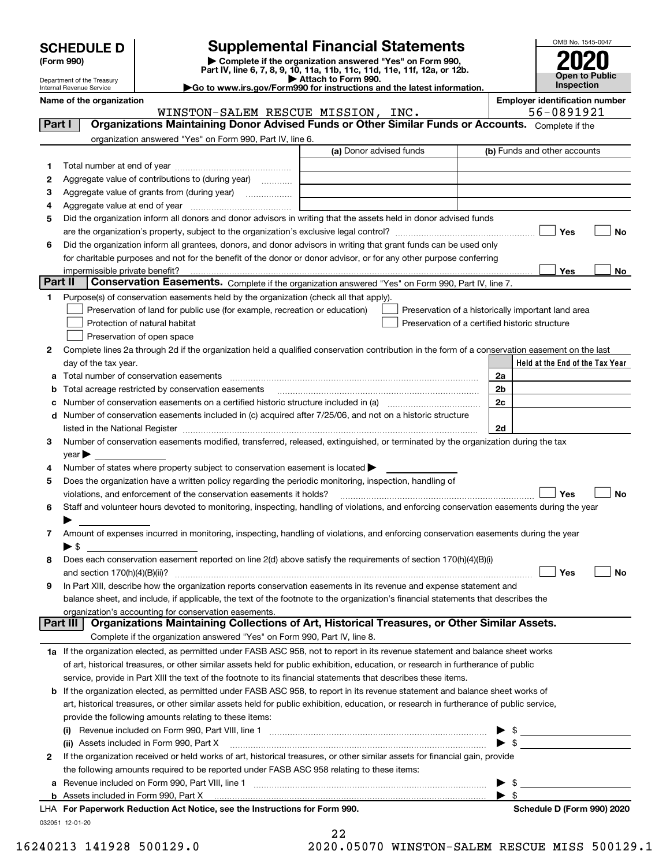| <b>SCHEDULE D</b> |  |
|-------------------|--|
|-------------------|--|

| (Form 990) |
|------------|
|            |

## **Supplemental Financial Statements**

(Form 990)<br>
Pepartment of the Treasury<br>
Department of the Treasury<br>
Department of the Treasury<br>
Department of the Treasury<br> **Co to www.irs.gov/Form990 for instructions and the latest information.**<br> **Co to www.irs.gov/Form9** 



Department of the Treasury Internal Revenue Service

**Name of the organization Employer identification number**

WINSTON-SALEM RESCUE MISSION, INC. 56-0891921

| Part I       | Organizations Maintaining Donor Advised Funds or Other Similar Funds or Accounts. Complete if the                                              |                         |                                                                                                                                                                                                                                                                                                                     |
|--------------|------------------------------------------------------------------------------------------------------------------------------------------------|-------------------------|---------------------------------------------------------------------------------------------------------------------------------------------------------------------------------------------------------------------------------------------------------------------------------------------------------------------|
|              | organization answered "Yes" on Form 990, Part IV, line 6.                                                                                      |                         |                                                                                                                                                                                                                                                                                                                     |
|              |                                                                                                                                                | (a) Donor advised funds | (b) Funds and other accounts                                                                                                                                                                                                                                                                                        |
| 1.           |                                                                                                                                                |                         |                                                                                                                                                                                                                                                                                                                     |
| 2            | Aggregate value of contributions to (during year)                                                                                              |                         |                                                                                                                                                                                                                                                                                                                     |
| з            | Aggregate value of grants from (during year)                                                                                                   |                         |                                                                                                                                                                                                                                                                                                                     |
| 4            |                                                                                                                                                |                         |                                                                                                                                                                                                                                                                                                                     |
| 5            | Did the organization inform all donors and donor advisors in writing that the assets held in donor advised funds                               |                         |                                                                                                                                                                                                                                                                                                                     |
|              |                                                                                                                                                |                         | Yes<br>No                                                                                                                                                                                                                                                                                                           |
| 6            | Did the organization inform all grantees, donors, and donor advisors in writing that grant funds can be used only                              |                         |                                                                                                                                                                                                                                                                                                                     |
|              | for charitable purposes and not for the benefit of the donor or donor advisor, or for any other purpose conferring                             |                         |                                                                                                                                                                                                                                                                                                                     |
|              |                                                                                                                                                |                         | Yes<br>No                                                                                                                                                                                                                                                                                                           |
| Part II      | Conservation Easements. Complete if the organization answered "Yes" on Form 990, Part IV, line 7.                                              |                         |                                                                                                                                                                                                                                                                                                                     |
| 1            | Purpose(s) of conservation easements held by the organization (check all that apply).                                                          |                         |                                                                                                                                                                                                                                                                                                                     |
|              | Preservation of land for public use (for example, recreation or education)                                                                     |                         | Preservation of a historically important land area                                                                                                                                                                                                                                                                  |
|              | Protection of natural habitat                                                                                                                  |                         | Preservation of a certified historic structure                                                                                                                                                                                                                                                                      |
|              | Preservation of open space                                                                                                                     |                         |                                                                                                                                                                                                                                                                                                                     |
| 2            | Complete lines 2a through 2d if the organization held a qualified conservation contribution in the form of a conservation easement on the last |                         |                                                                                                                                                                                                                                                                                                                     |
|              | day of the tax year.                                                                                                                           |                         | Held at the End of the Tax Year                                                                                                                                                                                                                                                                                     |
| а            | Total number of conservation easements                                                                                                         |                         | 2a                                                                                                                                                                                                                                                                                                                  |
|              | Total acreage restricted by conservation easements                                                                                             |                         | 2b                                                                                                                                                                                                                                                                                                                  |
| c            |                                                                                                                                                |                         | 2c                                                                                                                                                                                                                                                                                                                  |
| d            | Number of conservation easements included in (c) acquired after 7/25/06, and not on a historic structure                                       |                         |                                                                                                                                                                                                                                                                                                                     |
| З.           | Number of conservation easements modified, transferred, released, extinguished, or terminated by the organization during the tax               |                         | 2d                                                                                                                                                                                                                                                                                                                  |
|              | $year \blacktriangleright$                                                                                                                     |                         |                                                                                                                                                                                                                                                                                                                     |
| 4            | Number of states where property subject to conservation easement is located $\blacktriangleright$                                              |                         |                                                                                                                                                                                                                                                                                                                     |
| 5            | Does the organization have a written policy regarding the periodic monitoring, inspection, handling of                                         |                         |                                                                                                                                                                                                                                                                                                                     |
|              | violations, and enforcement of the conservation easements it holds?                                                                            |                         | Yes<br><b>No</b>                                                                                                                                                                                                                                                                                                    |
| 6            | Staff and volunteer hours devoted to monitoring, inspecting, handling of violations, and enforcing conservation easements during the year      |                         |                                                                                                                                                                                                                                                                                                                     |
|              |                                                                                                                                                |                         |                                                                                                                                                                                                                                                                                                                     |
| 7            | Amount of expenses incurred in monitoring, inspecting, handling of violations, and enforcing conservation easements during the year            |                         |                                                                                                                                                                                                                                                                                                                     |
|              | $\blacktriangleright$ \$                                                                                                                       |                         |                                                                                                                                                                                                                                                                                                                     |
| 8            | Does each conservation easement reported on line 2(d) above satisfy the requirements of section 170(h)(4)(B)(i)                                |                         |                                                                                                                                                                                                                                                                                                                     |
|              |                                                                                                                                                |                         | Yes<br>No                                                                                                                                                                                                                                                                                                           |
| 9            | In Part XIII, describe how the organization reports conservation easements in its revenue and expense statement and                            |                         |                                                                                                                                                                                                                                                                                                                     |
|              | balance sheet, and include, if applicable, the text of the footnote to the organization's financial statements that describes the              |                         |                                                                                                                                                                                                                                                                                                                     |
|              | organization's accounting for conservation easements.                                                                                          |                         |                                                                                                                                                                                                                                                                                                                     |
|              | Organizations Maintaining Collections of Art, Historical Treasures, or Other Similar Assets.<br>Part III                                       |                         |                                                                                                                                                                                                                                                                                                                     |
|              | Complete if the organization answered "Yes" on Form 990, Part IV, line 8.                                                                      |                         |                                                                                                                                                                                                                                                                                                                     |
|              | 1a If the organization elected, as permitted under FASB ASC 958, not to report in its revenue statement and balance sheet works                |                         |                                                                                                                                                                                                                                                                                                                     |
|              | of art, historical treasures, or other similar assets held for public exhibition, education, or research in furtherance of public              |                         |                                                                                                                                                                                                                                                                                                                     |
|              | service, provide in Part XIII the text of the footnote to its financial statements that describes these items.                                 |                         |                                                                                                                                                                                                                                                                                                                     |
| b            | If the organization elected, as permitted under FASB ASC 958, to report in its revenue statement and balance sheet works of                    |                         |                                                                                                                                                                                                                                                                                                                     |
|              | art, historical treasures, or other similar assets held for public exhibition, education, or research in furtherance of public service,        |                         |                                                                                                                                                                                                                                                                                                                     |
|              | provide the following amounts relating to these items:                                                                                         |                         |                                                                                                                                                                                                                                                                                                                     |
|              |                                                                                                                                                |                         | $\frac{1}{2}$                                                                                                                                                                                                                                                                                                       |
|              | (ii) Assets included in Form 990, Part X                                                                                                       |                         | $\triangleright$ \$                                                                                                                                                                                                                                                                                                 |
| $\mathbf{2}$ | If the organization received or held works of art, historical treasures, or other similar assets for financial gain, provide                   |                         |                                                                                                                                                                                                                                                                                                                     |
|              | the following amounts required to be reported under FASB ASC 958 relating to these items:                                                      |                         |                                                                                                                                                                                                                                                                                                                     |
| а            |                                                                                                                                                |                         | $\frac{1}{2}$ $\frac{1}{2}$ $\frac{1}{2}$ $\frac{1}{2}$ $\frac{1}{2}$ $\frac{1}{2}$ $\frac{1}{2}$ $\frac{1}{2}$ $\frac{1}{2}$ $\frac{1}{2}$ $\frac{1}{2}$ $\frac{1}{2}$ $\frac{1}{2}$ $\frac{1}{2}$ $\frac{1}{2}$ $\frac{1}{2}$ $\frac{1}{2}$ $\frac{1}{2}$ $\frac{1}{2}$ $\frac{1}{2}$ $\frac{1}{2}$ $\frac{1}{2}$ |
|              |                                                                                                                                                |                         | $\blacktriangleright$ \$                                                                                                                                                                                                                                                                                            |
|              | LHA For Paperwork Reduction Act Notice, see the Instructions for Form 990.                                                                     |                         | Schedule D (Form 990) 2020                                                                                                                                                                                                                                                                                          |
|              | 032051 12-01-20                                                                                                                                | 22                      |                                                                                                                                                                                                                                                                                                                     |

| 44 |                                |  |
|----|--------------------------------|--|
|    | ) הקודוב מחדש החיצות המוניקו ה |  |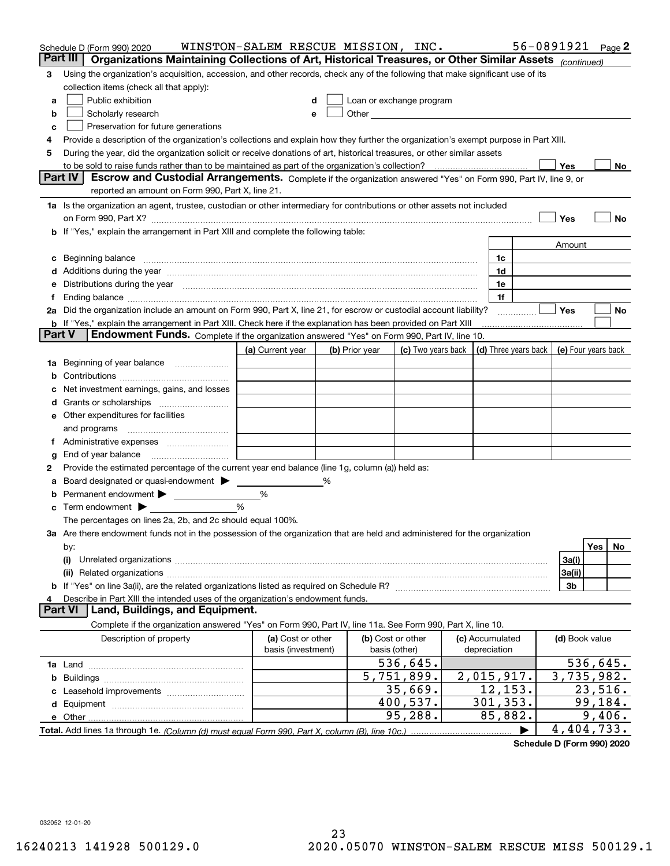|        | Schedule D (Form 990) 2020                                                                                                                                                                                                                  | WINSTON-SALEM RESCUE MISSION, INC. |   |                                                      |                    |                 |                      | 56-0891921          |          | Page 2 |
|--------|---------------------------------------------------------------------------------------------------------------------------------------------------------------------------------------------------------------------------------------------|------------------------------------|---|------------------------------------------------------|--------------------|-----------------|----------------------|---------------------|----------|--------|
|        | Part III<br>Organizations Maintaining Collections of Art, Historical Treasures, or Other Similar Assets (continued)                                                                                                                         |                                    |   |                                                      |                    |                 |                      |                     |          |        |
| 3      | Using the organization's acquisition, accession, and other records, check any of the following that make significant use of its                                                                                                             |                                    |   |                                                      |                    |                 |                      |                     |          |        |
|        | collection items (check all that apply):                                                                                                                                                                                                    |                                    |   |                                                      |                    |                 |                      |                     |          |        |
| a      | Public exhibition                                                                                                                                                                                                                           |                                    |   | Loan or exchange program                             |                    |                 |                      |                     |          |        |
| b      | Scholarly research                                                                                                                                                                                                                          |                                    | е | Other <b>Committee Committee Committee Committee</b> |                    |                 |                      |                     |          |        |
| с      | Preservation for future generations                                                                                                                                                                                                         |                                    |   |                                                      |                    |                 |                      |                     |          |        |
| 4      | Provide a description of the organization's collections and explain how they further the organization's exempt purpose in Part XIII.                                                                                                        |                                    |   |                                                      |                    |                 |                      |                     |          |        |
| 5      | During the year, did the organization solicit or receive donations of art, historical treasures, or other similar assets                                                                                                                    |                                    |   |                                                      |                    |                 |                      |                     |          |        |
|        | to be sold to raise funds rather than to be maintained as part of the organization's collection?                                                                                                                                            |                                    |   |                                                      |                    |                 |                      | Yes                 |          | No     |
|        | <b>Part IV</b><br>Escrow and Custodial Arrangements. Complete if the organization answered "Yes" on Form 990, Part IV, line 9, or                                                                                                           |                                    |   |                                                      |                    |                 |                      |                     |          |        |
|        | reported an amount on Form 990, Part X, line 21.                                                                                                                                                                                            |                                    |   |                                                      |                    |                 |                      |                     |          |        |
|        | 1a Is the organization an agent, trustee, custodian or other intermediary for contributions or other assets not included                                                                                                                    |                                    |   |                                                      |                    |                 |                      |                     |          |        |
|        | on Form 990, Part X? [11] matter contracts and contracts and contracts are contracted as a form 990, Part X?                                                                                                                                |                                    |   |                                                      |                    |                 |                      | Yes                 |          | No     |
|        | b If "Yes," explain the arrangement in Part XIII and complete the following table:                                                                                                                                                          |                                    |   |                                                      |                    |                 |                      |                     |          |        |
|        |                                                                                                                                                                                                                                             |                                    |   |                                                      |                    |                 |                      | Amount              |          |        |
| c      | Beginning balance material content contracts and content and content and content and content and content and content and content and content and content and content and content and content and content and content and conte              |                                    |   |                                                      |                    | 1c              |                      |                     |          |        |
|        | Additions during the year manufactured and an annual contract of the year manufactured and a set of the year manufactured and a set of the year manufactured and a set of the year manufactured and a set of the set of the se              |                                    |   |                                                      |                    | 1d              |                      |                     |          |        |
|        | Distributions during the year manufactured and an account of the year manufactured and the year manufactured and the year manufactured and the year manufactured and the year manufactured and the year manufactured and the y              |                                    |   |                                                      |                    | 1e              |                      |                     |          |        |
| Ť.     |                                                                                                                                                                                                                                             |                                    |   |                                                      |                    | 1f              |                      |                     |          |        |
|        | 2a Did the organization include an amount on Form 990, Part X, line 21, for escrow or custodial account liability?<br><b>b</b> If "Yes," explain the arrangement in Part XIII. Check here if the explanation has been provided on Part XIII |                                    |   |                                                      |                    |                 | .                    | Yes                 |          | No     |
| Part V | Endowment Funds. Complete if the organization answered "Yes" on Form 990, Part IV, line 10.                                                                                                                                                 |                                    |   |                                                      |                    |                 |                      |                     |          |        |
|        |                                                                                                                                                                                                                                             | (a) Current year                   |   | (b) Prior year                                       | (c) Two years back |                 | (d) Three years back | (e) Four years back |          |        |
| 1a     | Beginning of year balance                                                                                                                                                                                                                   |                                    |   |                                                      |                    |                 |                      |                     |          |        |
|        |                                                                                                                                                                                                                                             |                                    |   |                                                      |                    |                 |                      |                     |          |        |
|        | Net investment earnings, gains, and losses                                                                                                                                                                                                  |                                    |   |                                                      |                    |                 |                      |                     |          |        |
| d      |                                                                                                                                                                                                                                             |                                    |   |                                                      |                    |                 |                      |                     |          |        |
|        | e Other expenditures for facilities                                                                                                                                                                                                         |                                    |   |                                                      |                    |                 |                      |                     |          |        |
|        | and programs                                                                                                                                                                                                                                |                                    |   |                                                      |                    |                 |                      |                     |          |        |
|        |                                                                                                                                                                                                                                             |                                    |   |                                                      |                    |                 |                      |                     |          |        |
| g      | End of year balance                                                                                                                                                                                                                         |                                    |   |                                                      |                    |                 |                      |                     |          |        |
| 2      | Provide the estimated percentage of the current year end balance (line 1g, column (a)) held as:                                                                                                                                             |                                    |   |                                                      |                    |                 |                      |                     |          |        |
| а      | Board designated or quasi-endowment                                                                                                                                                                                                         |                                    | ℅ |                                                      |                    |                 |                      |                     |          |        |
|        | Permanent endowment > 1                                                                                                                                                                                                                     | %                                  |   |                                                      |                    |                 |                      |                     |          |        |
|        | Term endowment $\blacktriangleright$                                                                                                                                                                                                        | %                                  |   |                                                      |                    |                 |                      |                     |          |        |
|        | The percentages on lines 2a, 2b, and 2c should equal 100%.                                                                                                                                                                                  |                                    |   |                                                      |                    |                 |                      |                     |          |        |
|        | 3a Are there endowment funds not in the possession of the organization that are held and administered for the organization                                                                                                                  |                                    |   |                                                      |                    |                 |                      |                     |          |        |
|        | by:                                                                                                                                                                                                                                         |                                    |   |                                                      |                    |                 |                      |                     | Yes      | No.    |
|        | (i)                                                                                                                                                                                                                                         |                                    |   |                                                      |                    |                 |                      | 3a(i)               |          |        |
|        |                                                                                                                                                                                                                                             |                                    |   |                                                      |                    |                 |                      | 3a(ii)              |          |        |
|        |                                                                                                                                                                                                                                             |                                    |   |                                                      |                    |                 |                      | 3b                  |          |        |
|        | Describe in Part XIII the intended uses of the organization's endowment funds.                                                                                                                                                              |                                    |   |                                                      |                    |                 |                      |                     |          |        |
|        | Land, Buildings, and Equipment.<br>Part VI                                                                                                                                                                                                  |                                    |   |                                                      |                    |                 |                      |                     |          |        |
|        | Complete if the organization answered "Yes" on Form 990, Part IV, line 11a. See Form 990, Part X, line 10.                                                                                                                                  |                                    |   |                                                      |                    |                 |                      |                     |          |        |
|        | Description of property                                                                                                                                                                                                                     | (a) Cost or other                  |   | (b) Cost or other                                    |                    | (c) Accumulated |                      | (d) Book value      |          |        |
|        |                                                                                                                                                                                                                                             | basis (investment)                 |   | basis (other)                                        |                    | depreciation    |                      |                     |          |        |
|        |                                                                                                                                                                                                                                             |                                    |   |                                                      | 536,645.           |                 |                      |                     | 536,645. |        |
| b      |                                                                                                                                                                                                                                             |                                    |   |                                                      | 5,751,899.         | 2,015,917.      |                      | 3,735,982.          |          |        |
|        |                                                                                                                                                                                                                                             |                                    |   |                                                      | 35,669.            | 12, 153.        |                      |                     | 23,516.  |        |
|        |                                                                                                                                                                                                                                             |                                    |   |                                                      | 400,537.           | 301, 353.       |                      |                     | 99,184.  |        |
|        |                                                                                                                                                                                                                                             |                                    |   |                                                      | 95,288.            | 85,882.         |                      |                     | 9,406.   |        |
|        |                                                                                                                                                                                                                                             |                                    |   |                                                      |                    |                 |                      | 4,404,733.          |          |        |

**Schedule D (Form 990) 2020**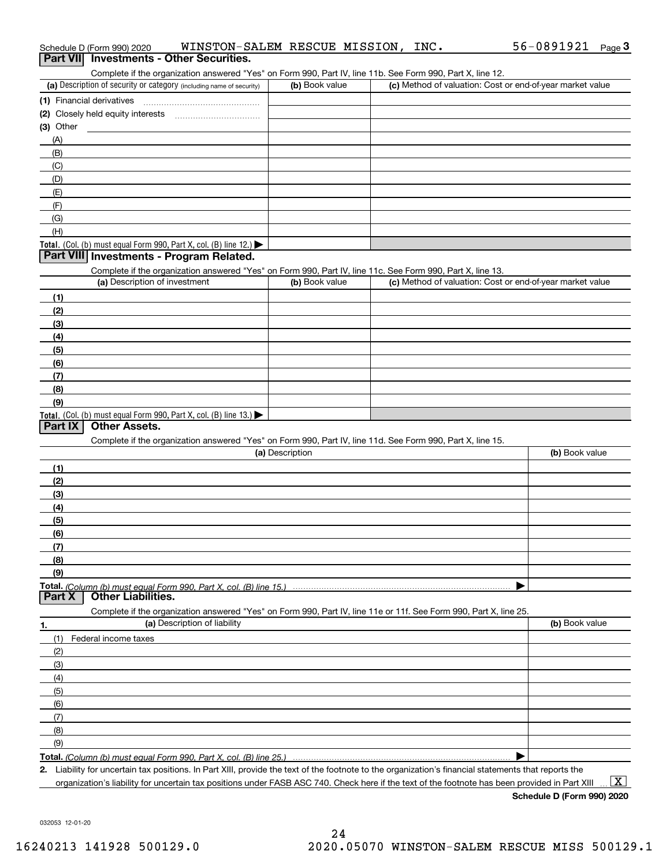| Complete if the organization answered "Yes" on Form 990, Part IV, line 11b. See Form 990, Part X, line 12.                                           |                 |                                                           |                |
|------------------------------------------------------------------------------------------------------------------------------------------------------|-----------------|-----------------------------------------------------------|----------------|
| (a) Description of security or category (including name of security)                                                                                 | (b) Book value  | (c) Method of valuation: Cost or end-of-year market value |                |
| (1) Financial derivatives                                                                                                                            |                 |                                                           |                |
|                                                                                                                                                      |                 |                                                           |                |
| $(3)$ Other                                                                                                                                          |                 |                                                           |                |
| (A)                                                                                                                                                  |                 |                                                           |                |
| (B)                                                                                                                                                  |                 |                                                           |                |
| (C)                                                                                                                                                  |                 |                                                           |                |
| (D)                                                                                                                                                  |                 |                                                           |                |
| (E)                                                                                                                                                  |                 |                                                           |                |
| (F)                                                                                                                                                  |                 |                                                           |                |
| (G)                                                                                                                                                  |                 |                                                           |                |
| (H)                                                                                                                                                  |                 |                                                           |                |
| Total. (Col. (b) must equal Form 990, Part X, col. (B) line 12.) $\blacktriangleright$                                                               |                 |                                                           |                |
| Part VIII Investments - Program Related.                                                                                                             |                 |                                                           |                |
| Complete if the organization answered "Yes" on Form 990, Part IV, line 11c. See Form 990, Part X, line 13.                                           |                 |                                                           |                |
| (a) Description of investment                                                                                                                        | (b) Book value  | (c) Method of valuation: Cost or end-of-year market value |                |
| (1)                                                                                                                                                  |                 |                                                           |                |
| (2)                                                                                                                                                  |                 |                                                           |                |
| (3)                                                                                                                                                  |                 |                                                           |                |
| (4)                                                                                                                                                  |                 |                                                           |                |
| (5)                                                                                                                                                  |                 |                                                           |                |
| (6)                                                                                                                                                  |                 |                                                           |                |
| (7)                                                                                                                                                  |                 |                                                           |                |
| (8)                                                                                                                                                  |                 |                                                           |                |
| (9)                                                                                                                                                  |                 |                                                           |                |
| Total. (Col. (b) must equal Form 990, Part X, col. (B) line $13.$                                                                                    |                 |                                                           |                |
| Part IX<br><b>Other Assets.</b>                                                                                                                      |                 |                                                           |                |
| Complete if the organization answered "Yes" on Form 990, Part IV, line 11d. See Form 990, Part X, line 15.                                           |                 |                                                           |                |
|                                                                                                                                                      | (a) Description |                                                           | (b) Book value |
| (1)                                                                                                                                                  |                 |                                                           |                |
| (2)                                                                                                                                                  |                 |                                                           |                |
| (3)                                                                                                                                                  |                 |                                                           |                |
| (4)                                                                                                                                                  |                 |                                                           |                |
| (5)                                                                                                                                                  |                 |                                                           |                |
| (6)                                                                                                                                                  |                 |                                                           |                |
| (7)                                                                                                                                                  |                 |                                                           |                |
| <u>(8)</u>                                                                                                                                           |                 |                                                           |                |
| (9)                                                                                                                                                  |                 |                                                           |                |
| Part X<br><b>Other Liabilities.</b>                                                                                                                  |                 |                                                           |                |
|                                                                                                                                                      |                 |                                                           |                |
| Complete if the organization answered "Yes" on Form 990, Part IV, line 11e or 11f. See Form 990, Part X, line 25.                                    |                 |                                                           |                |
| (a) Description of liability<br>1.                                                                                                                   |                 |                                                           | (b) Book value |
| Federal income taxes<br>(1)                                                                                                                          |                 |                                                           |                |
| (2)                                                                                                                                                  |                 |                                                           |                |
| (3)                                                                                                                                                  |                 |                                                           |                |
| (4)                                                                                                                                                  |                 |                                                           |                |
| (5)                                                                                                                                                  |                 |                                                           |                |
| (6)                                                                                                                                                  |                 |                                                           |                |
| (7)                                                                                                                                                  |                 |                                                           |                |
| (8)                                                                                                                                                  |                 |                                                           |                |
| (9)                                                                                                                                                  |                 |                                                           |                |
|                                                                                                                                                      |                 |                                                           |                |
| 2. Liability for uncertain tax positions. In Part XIII, provide the text of the footnote to the organization's financial statements that reports the |                 |                                                           |                |

organization's liability for uncertain tax positions under FASB ASC 740. Check here if the text of the footnote has been provided in Part XIII

 $\boxed{\text{X}}$ 

032053 12-01-20

# Schedule D (Form 990) 2020 WINSTON-SALEM RESCUE MISSION, INC**.** 56-0891921 <sub>Page</sub> 3<br>| **Part VII** | Investments - Other Securities.

| (a) Description of security or category (including name of security)                  | (b) Book value | (c) Method of valuation: Cost or end-of-year market value |
|---------------------------------------------------------------------------------------|----------------|-----------------------------------------------------------|
| 1) Financial derivatives                                                              |                |                                                           |
|                                                                                       |                |                                                           |
| 3) Other                                                                              |                |                                                           |
| (A)                                                                                   |                |                                                           |
| (B)                                                                                   |                |                                                           |
| (C)                                                                                   |                |                                                           |
| (D)                                                                                   |                |                                                           |
| (E)                                                                                   |                |                                                           |
| (F)                                                                                   |                |                                                           |
| (G)                                                                                   |                |                                                           |
| (H)                                                                                   |                |                                                           |
| $\int$ otel $\int$ (Col $\int$ (b) must equal Form 000 Dart Y col $\int$ (R) line 12) |                |                                                           |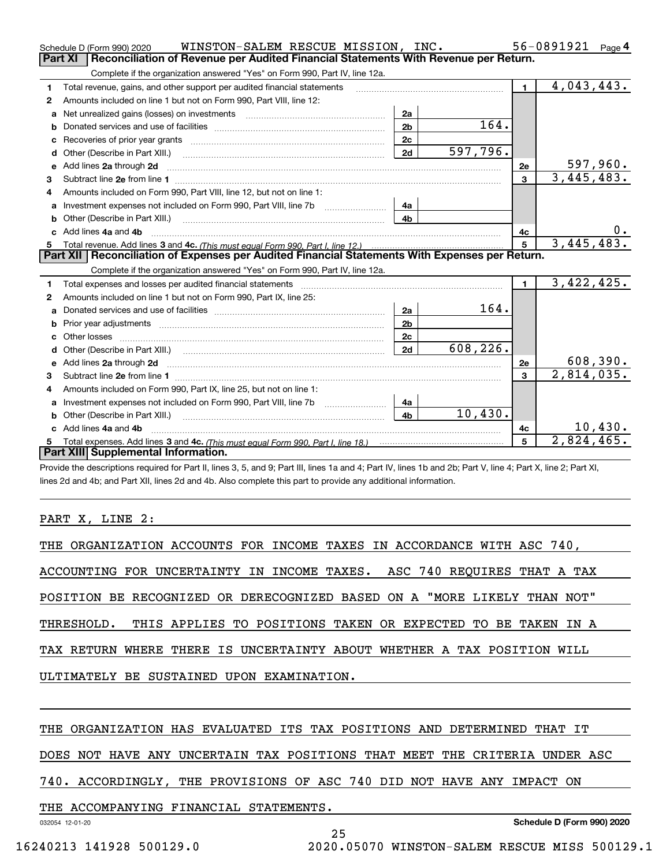|    | WINSTON-SALEM RESCUE MISSION, INC.<br>Schedule D (Form 990) 2020                                                                                                                                                                    |                |                    |                | 56-0891921<br>Page 4      |
|----|-------------------------------------------------------------------------------------------------------------------------------------------------------------------------------------------------------------------------------------|----------------|--------------------|----------------|---------------------------|
|    | <b>Part XI</b><br>Reconciliation of Revenue per Audited Financial Statements With Revenue per Return.                                                                                                                               |                |                    |                |                           |
|    | Complete if the organization answered "Yes" on Form 990, Part IV, line 12a.                                                                                                                                                         |                |                    |                |                           |
| 1  | Total revenue, gains, and other support per audited financial statements                                                                                                                                                            |                |                    | $\blacksquare$ | 4,043,443.                |
| 2  | Amounts included on line 1 but not on Form 990, Part VIII, line 12:                                                                                                                                                                 |                |                    |                |                           |
| a  | Net unrealized gains (losses) on investments [11] matter contracts and the unrealized gains (losses) on investments                                                                                                                 | 2a             |                    |                |                           |
| b  |                                                                                                                                                                                                                                     | 2 <sub>b</sub> | $\overline{1}$ 64. |                |                           |
|    |                                                                                                                                                                                                                                     | 2c             |                    |                |                           |
| d  | Other (Describe in Part XIII.)                                                                                                                                                                                                      | 2d             | 597,796.           |                |                           |
| е  | Add lines 2a through 2d                                                                                                                                                                                                             |                |                    | 2е             | <u>597,960.</u>           |
| 3  |                                                                                                                                                                                                                                     |                |                    | $\overline{3}$ | 3,445,483.                |
| 4  | Amounts included on Form 990, Part VIII, line 12, but not on line 1:                                                                                                                                                                |                |                    |                |                           |
|    |                                                                                                                                                                                                                                     | 4а             |                    |                |                           |
|    |                                                                                                                                                                                                                                     | 4b             |                    |                |                           |
| c. | Add lines 4a and 4b                                                                                                                                                                                                                 |                |                    | 4c             |                           |
|    |                                                                                                                                                                                                                                     |                |                    | 5              | 3,445,483.                |
|    |                                                                                                                                                                                                                                     |                |                    |                |                           |
|    | Part XII   Reconciliation of Expenses per Audited Financial Statements With Expenses per Return.                                                                                                                                    |                |                    |                |                           |
|    | Complete if the organization answered "Yes" on Form 990, Part IV, line 12a.                                                                                                                                                         |                |                    |                |                           |
| 1  | Total expenses and losses per audited financial statements                                                                                                                                                                          |                |                    | $\mathbf{1}$   | 3,422,425.                |
| 2  | Amounts included on line 1 but not on Form 990, Part IX, line 25:                                                                                                                                                                   |                |                    |                |                           |
| a  |                                                                                                                                                                                                                                     | 2a             | 164.               |                |                           |
|    |                                                                                                                                                                                                                                     | 2 <sub>b</sub> |                    |                |                           |
| c  |                                                                                                                                                                                                                                     | 2 <sub>c</sub> |                    |                |                           |
|    |                                                                                                                                                                                                                                     | 2d             | 608,226.           |                |                           |
|    | Add lines 2a through 2d <b>contained a contained a contained a contained a</b> contained a contained a contained a contained a contained a contained a contained a contained a contained a contained a contained a contained a cont |                |                    | 2е             | <u>608,390.</u>           |
| 3  |                                                                                                                                                                                                                                     |                |                    | 3              | 2,814,035.                |
| 4  | Amounts included on Form 990, Part IX, line 25, but not on line 1:                                                                                                                                                                  |                |                    |                |                           |
| a  |                                                                                                                                                                                                                                     | 4a             |                    |                |                           |
|    | <b>b</b> Other (Describe in Part XIII.)                                                                                                                                                                                             | 4 <sub>b</sub> | 10,430.            |                |                           |
| c. | Add lines 4a and 4b                                                                                                                                                                                                                 |                |                    | 4c             | 10,430.                   |
|    | Part XIII Supplemental Information.                                                                                                                                                                                                 |                |                    | 5              | $\overline{2,824}$ , 465. |

Provide the descriptions required for Part II, lines 3, 5, and 9; Part III, lines 1a and 4; Part IV, lines 1b and 2b; Part V, line 4; Part X, line 2; Part XI, lines 2d and 4b; and Part XII, lines 2d and 4b. Also complete this part to provide any additional information.

### PART X, LINE 2:

|                                           |  |  |  | THE ORGANIZATION ACCOUNTS FOR INCOME TAXES IN ACCORDANCE WITH ASC 740,   |  |  |  |  |
|-------------------------------------------|--|--|--|--------------------------------------------------------------------------|--|--|--|--|
|                                           |  |  |  | ACCOUNTING FOR UNCERTAINTY IN INCOME TAXES. ASC 740 REOUIRES THAT A TAX  |  |  |  |  |
|                                           |  |  |  | POSITION BE RECOGNIZED OR DERECOGNIZED BASED ON A "MORE LIKELY THAN NOT" |  |  |  |  |
|                                           |  |  |  | THRESHOLD. THIS APPLIES TO POSITIONS TAKEN OR EXPECTED TO BE TAKEN IN A  |  |  |  |  |
|                                           |  |  |  | TAX RETURN WHERE THERE IS UNCERTAINTY ABOUT WHETHER A TAX POSITION WILL  |  |  |  |  |
| ULTIMATELY BE SUSTAINED UPON EXAMINATION. |  |  |  |                                                                          |  |  |  |  |
|                                           |  |  |  |                                                                          |  |  |  |  |

### THE ORGANIZATION HAS EVALUATED ITS TAX POSITIONS AND DETERMINED THAT IT

DOES NOT HAVE ANY UNCERTAIN TAX POSITIONS THAT MEET THE CRITERIA UNDER ASC

25

### 740. ACCORDINGLY, THE PROVISIONS OF ASC 740 DID NOT HAVE ANY IMPACT ON

THE ACCOMPANYING FINANCIAL STATEMENTS.

032054 12-01-20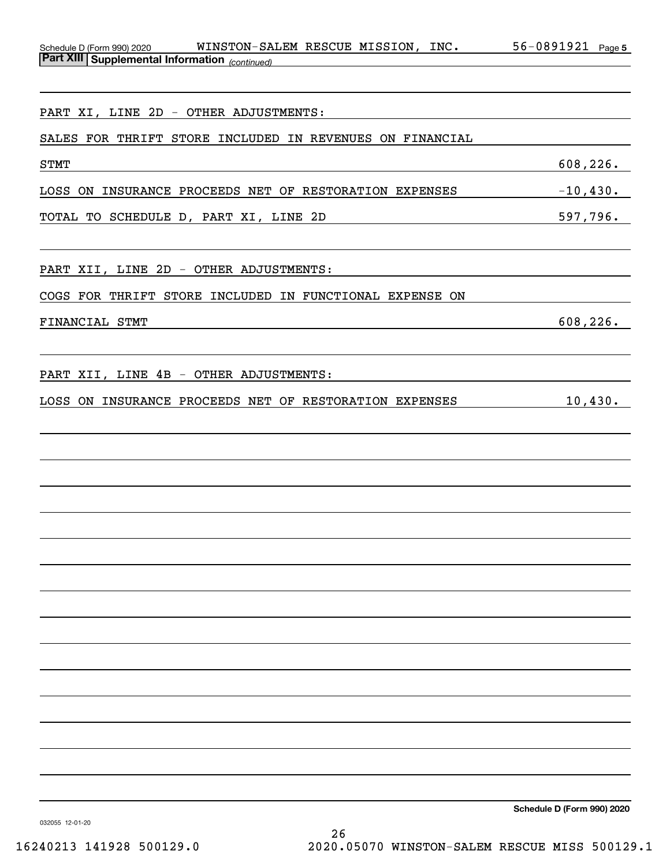| WINSTON-SALEM RESCUE MISSION, INC.<br>Schedule D (Form 990) 2020<br><b>Part XIII Supplemental Information</b> (continued) | 56-0891921<br>Page 5 |
|---------------------------------------------------------------------------------------------------------------------------|----------------------|
|                                                                                                                           |                      |
| PART XI, LINE 2D - OTHER ADJUSTMENTS:                                                                                     |                      |
| SALES FOR THRIFT STORE INCLUDED IN REVENUES ON FINANCIAL                                                                  |                      |
| <b>STMT</b>                                                                                                               | 608, 226.            |
| INSURANCE PROCEEDS NET OF RESTORATION EXPENSES<br>LOSS ON                                                                 | $-10,430.$           |
| TOTAL TO SCHEDULE D, PART XI, LINE 2D                                                                                     | 597,796.             |
|                                                                                                                           |                      |
| PART XII, LINE 2D - OTHER ADJUSTMENTS:                                                                                    |                      |
| COGS FOR THRIFT STORE INCLUDED IN FUNCTIONAL EXPENSE ON                                                                   |                      |
| FINANCIAL STMT                                                                                                            | 608,226.             |
|                                                                                                                           |                      |
| PART XII, LINE 4B - OTHER ADJUSTMENTS:                                                                                    |                      |
| LOSS ON INSURANCE PROCEEDS NET OF RESTORATION EXPENSES                                                                    | 10,430.              |
|                                                                                                                           |                      |
|                                                                                                                           |                      |
|                                                                                                                           |                      |
|                                                                                                                           |                      |
|                                                                                                                           |                      |
|                                                                                                                           |                      |
|                                                                                                                           |                      |
|                                                                                                                           |                      |
|                                                                                                                           |                      |
|                                                                                                                           |                      |
|                                                                                                                           |                      |
|                                                                                                                           |                      |
|                                                                                                                           |                      |
|                                                                                                                           |                      |
|                                                                                                                           |                      |

032055 12-01-20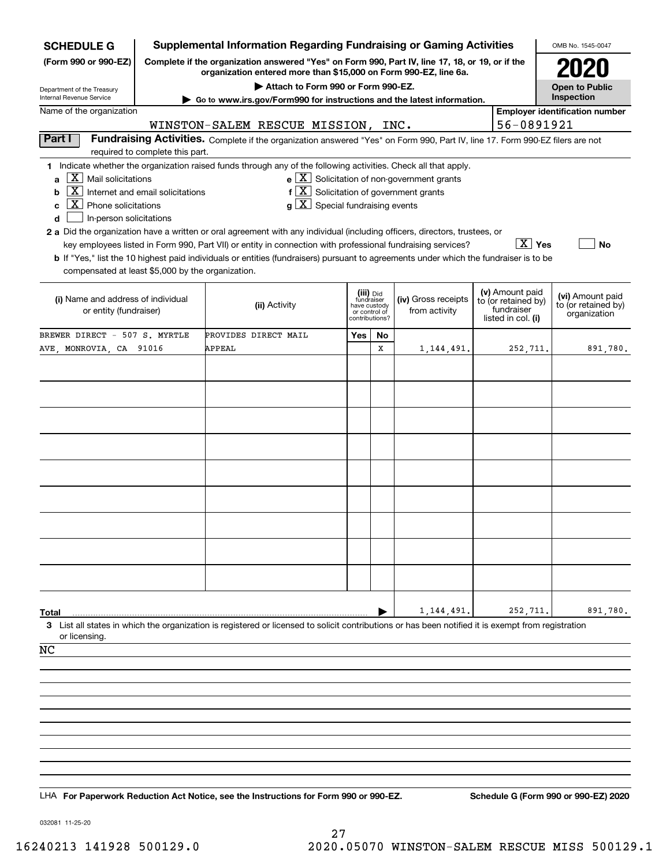| <b>SCHEDULE G</b>                                                                                                                                                | <b>Supplemental Information Regarding Fundraising or Gaming Activities</b><br>OMB No. 1545-0047                                                                     |                                                                                                                                                                                                                                                                                                                                                                                                                                                                                                                                                                                                  |                                                                            |    |                                                       |  |                                                                            |                                                         |  |  |  |  |  |
|------------------------------------------------------------------------------------------------------------------------------------------------------------------|---------------------------------------------------------------------------------------------------------------------------------------------------------------------|--------------------------------------------------------------------------------------------------------------------------------------------------------------------------------------------------------------------------------------------------------------------------------------------------------------------------------------------------------------------------------------------------------------------------------------------------------------------------------------------------------------------------------------------------------------------------------------------------|----------------------------------------------------------------------------|----|-------------------------------------------------------|--|----------------------------------------------------------------------------|---------------------------------------------------------|--|--|--|--|--|
| (Form 990 or 990-EZ)                                                                                                                                             | Complete if the organization answered "Yes" on Form 990, Part IV, line 17, 18, or 19, or if the<br>organization entered more than \$15,000 on Form 990-EZ, line 6a. |                                                                                                                                                                                                                                                                                                                                                                                                                                                                                                                                                                                                  |                                                                            |    |                                                       |  |                                                                            |                                                         |  |  |  |  |  |
|                                                                                                                                                                  |                                                                                                                                                                     |                                                                                                                                                                                                                                                                                                                                                                                                                                                                                                                                                                                                  | <b>Open to Public</b>                                                      |    |                                                       |  |                                                                            |                                                         |  |  |  |  |  |
| Department of the Treasury<br>Internal Revenue Service                                                                                                           | Go to www.irs.gov/Form990 for instructions and the latest information.                                                                                              |                                                                                                                                                                                                                                                                                                                                                                                                                                                                                                                                                                                                  | Inspection                                                                 |    |                                                       |  |                                                                            |                                                         |  |  |  |  |  |
| Name of the organization                                                                                                                                         | <b>Employer identification number</b><br>56-0891921<br>WINSTON-SALEM RESCUE MISSION, INC.                                                                           |                                                                                                                                                                                                                                                                                                                                                                                                                                                                                                                                                                                                  |                                                                            |    |                                                       |  |                                                                            |                                                         |  |  |  |  |  |
| Part I                                                                                                                                                           |                                                                                                                                                                     |                                                                                                                                                                                                                                                                                                                                                                                                                                                                                                                                                                                                  |                                                                            |    |                                                       |  |                                                                            |                                                         |  |  |  |  |  |
| Fundraising Activities. Complete if the organization answered "Yes" on Form 990, Part IV, line 17. Form 990-EZ filers are not<br>required to complete this part. |                                                                                                                                                                     |                                                                                                                                                                                                                                                                                                                                                                                                                                                                                                                                                                                                  |                                                                            |    |                                                       |  |                                                                            |                                                         |  |  |  |  |  |
| $\lfloor X \rfloor$ Mail solicitations<br>a<br> X <br>b<br>$ X $ Phone solicitations<br>c<br>d<br>In-person solicitations                                        | Internet and email solicitations                                                                                                                                    | 1 Indicate whether the organization raised funds through any of the following activities. Check all that apply.<br>$f[X]$ Solicitation of government grants<br>$g\mid X$ Special fundraising events<br>2 a Did the organization have a written or oral agreement with any individual (including officers, directors, trustees, or<br>key employees listed in Form 990, Part VII) or entity in connection with professional fundraising services?<br><b>b</b> If "Yes," list the 10 highest paid individuals or entities (fundraisers) pursuant to agreements under which the fundraiser is to be |                                                                            |    | $e$ $\boxed{X}$ Solicitation of non-government grants |  | $\boxed{\text{X}}$ Yes                                                     | <b>No</b>                                               |  |  |  |  |  |
| compensated at least \$5,000 by the organization.                                                                                                                |                                                                                                                                                                     |                                                                                                                                                                                                                                                                                                                                                                                                                                                                                                                                                                                                  |                                                                            |    |                                                       |  |                                                                            |                                                         |  |  |  |  |  |
| (i) Name and address of individual<br>or entity (fundraiser)                                                                                                     |                                                                                                                                                                     | (ii) Activity                                                                                                                                                                                                                                                                                                                                                                                                                                                                                                                                                                                    | (iii) Did<br>fundraiser<br>have custody<br>or control of<br>contributions? |    | (iv) Gross receipts<br>from activity                  |  | (v) Amount paid<br>to (or retained by)<br>fundraiser<br>listed in col. (i) | (vi) Amount paid<br>to (or retained by)<br>organization |  |  |  |  |  |
| BREWER DIRECT - 507 S. MYRTLE                                                                                                                                    |                                                                                                                                                                     | PROVIDES DIRECT MAIL                                                                                                                                                                                                                                                                                                                                                                                                                                                                                                                                                                             | Yes                                                                        | No |                                                       |  |                                                                            |                                                         |  |  |  |  |  |
| AVE, MONROVIA, CA 91016                                                                                                                                          |                                                                                                                                                                     | APPEAL                                                                                                                                                                                                                                                                                                                                                                                                                                                                                                                                                                                           |                                                                            | x  | 1,144,491.                                            |  | 252,711.                                                                   | 891,780.                                                |  |  |  |  |  |
|                                                                                                                                                                  |                                                                                                                                                                     |                                                                                                                                                                                                                                                                                                                                                                                                                                                                                                                                                                                                  |                                                                            |    |                                                       |  |                                                                            |                                                         |  |  |  |  |  |
|                                                                                                                                                                  |                                                                                                                                                                     |                                                                                                                                                                                                                                                                                                                                                                                                                                                                                                                                                                                                  |                                                                            |    |                                                       |  |                                                                            |                                                         |  |  |  |  |  |
|                                                                                                                                                                  |                                                                                                                                                                     |                                                                                                                                                                                                                                                                                                                                                                                                                                                                                                                                                                                                  |                                                                            |    |                                                       |  |                                                                            |                                                         |  |  |  |  |  |
|                                                                                                                                                                  |                                                                                                                                                                     |                                                                                                                                                                                                                                                                                                                                                                                                                                                                                                                                                                                                  |                                                                            |    |                                                       |  |                                                                            |                                                         |  |  |  |  |  |
|                                                                                                                                                                  |                                                                                                                                                                     |                                                                                                                                                                                                                                                                                                                                                                                                                                                                                                                                                                                                  |                                                                            |    |                                                       |  |                                                                            |                                                         |  |  |  |  |  |
|                                                                                                                                                                  |                                                                                                                                                                     |                                                                                                                                                                                                                                                                                                                                                                                                                                                                                                                                                                                                  |                                                                            |    |                                                       |  |                                                                            |                                                         |  |  |  |  |  |
|                                                                                                                                                                  |                                                                                                                                                                     |                                                                                                                                                                                                                                                                                                                                                                                                                                                                                                                                                                                                  |                                                                            |    |                                                       |  |                                                                            |                                                         |  |  |  |  |  |
|                                                                                                                                                                  |                                                                                                                                                                     |                                                                                                                                                                                                                                                                                                                                                                                                                                                                                                                                                                                                  |                                                                            |    |                                                       |  |                                                                            |                                                         |  |  |  |  |  |
|                                                                                                                                                                  |                                                                                                                                                                     |                                                                                                                                                                                                                                                                                                                                                                                                                                                                                                                                                                                                  |                                                                            |    |                                                       |  |                                                                            |                                                         |  |  |  |  |  |
|                                                                                                                                                                  |                                                                                                                                                                     |                                                                                                                                                                                                                                                                                                                                                                                                                                                                                                                                                                                                  |                                                                            |    |                                                       |  |                                                                            |                                                         |  |  |  |  |  |
|                                                                                                                                                                  |                                                                                                                                                                     |                                                                                                                                                                                                                                                                                                                                                                                                                                                                                                                                                                                                  |                                                                            |    |                                                       |  |                                                                            |                                                         |  |  |  |  |  |
|                                                                                                                                                                  |                                                                                                                                                                     |                                                                                                                                                                                                                                                                                                                                                                                                                                                                                                                                                                                                  |                                                                            |    |                                                       |  |                                                                            |                                                         |  |  |  |  |  |
|                                                                                                                                                                  |                                                                                                                                                                     |                                                                                                                                                                                                                                                                                                                                                                                                                                                                                                                                                                                                  |                                                                            |    |                                                       |  |                                                                            |                                                         |  |  |  |  |  |
|                                                                                                                                                                  |                                                                                                                                                                     |                                                                                                                                                                                                                                                                                                                                                                                                                                                                                                                                                                                                  |                                                                            |    |                                                       |  |                                                                            |                                                         |  |  |  |  |  |
|                                                                                                                                                                  |                                                                                                                                                                     |                                                                                                                                                                                                                                                                                                                                                                                                                                                                                                                                                                                                  |                                                                            |    |                                                       |  |                                                                            |                                                         |  |  |  |  |  |
| Total                                                                                                                                                            |                                                                                                                                                                     | 3 List all states in which the organization is registered or licensed to solicit contributions or has been notified it is exempt from registration                                                                                                                                                                                                                                                                                                                                                                                                                                               |                                                                            |    | 1,144,491.                                            |  | 252,711.                                                                   | 891,780.                                                |  |  |  |  |  |
| or licensing.                                                                                                                                                    |                                                                                                                                                                     |                                                                                                                                                                                                                                                                                                                                                                                                                                                                                                                                                                                                  |                                                                            |    |                                                       |  |                                                                            |                                                         |  |  |  |  |  |
| NC                                                                                                                                                               |                                                                                                                                                                     |                                                                                                                                                                                                                                                                                                                                                                                                                                                                                                                                                                                                  |                                                                            |    |                                                       |  |                                                                            |                                                         |  |  |  |  |  |
|                                                                                                                                                                  |                                                                                                                                                                     |                                                                                                                                                                                                                                                                                                                                                                                                                                                                                                                                                                                                  |                                                                            |    |                                                       |  |                                                                            |                                                         |  |  |  |  |  |
|                                                                                                                                                                  |                                                                                                                                                                     |                                                                                                                                                                                                                                                                                                                                                                                                                                                                                                                                                                                                  |                                                                            |    |                                                       |  |                                                                            |                                                         |  |  |  |  |  |
|                                                                                                                                                                  |                                                                                                                                                                     |                                                                                                                                                                                                                                                                                                                                                                                                                                                                                                                                                                                                  |                                                                            |    |                                                       |  |                                                                            |                                                         |  |  |  |  |  |
|                                                                                                                                                                  |                                                                                                                                                                     |                                                                                                                                                                                                                                                                                                                                                                                                                                                                                                                                                                                                  |                                                                            |    |                                                       |  |                                                                            |                                                         |  |  |  |  |  |
|                                                                                                                                                                  |                                                                                                                                                                     |                                                                                                                                                                                                                                                                                                                                                                                                                                                                                                                                                                                                  |                                                                            |    |                                                       |  |                                                                            |                                                         |  |  |  |  |  |
|                                                                                                                                                                  |                                                                                                                                                                     |                                                                                                                                                                                                                                                                                                                                                                                                                                                                                                                                                                                                  |                                                                            |    |                                                       |  |                                                                            |                                                         |  |  |  |  |  |
|                                                                                                                                                                  |                                                                                                                                                                     |                                                                                                                                                                                                                                                                                                                                                                                                                                                                                                                                                                                                  |                                                                            |    |                                                       |  |                                                                            |                                                         |  |  |  |  |  |
|                                                                                                                                                                  |                                                                                                                                                                     |                                                                                                                                                                                                                                                                                                                                                                                                                                                                                                                                                                                                  |                                                                            |    |                                                       |  |                                                                            |                                                         |  |  |  |  |  |
|                                                                                                                                                                  |                                                                                                                                                                     | LHA For Paperwork Reduction Act Notice, see the Instructions for Form 990 or 990-EZ.                                                                                                                                                                                                                                                                                                                                                                                                                                                                                                             |                                                                            |    |                                                       |  |                                                                            | Schedule G (Form 990 or 990-EZ) 2020                    |  |  |  |  |  |

032081 11-25-20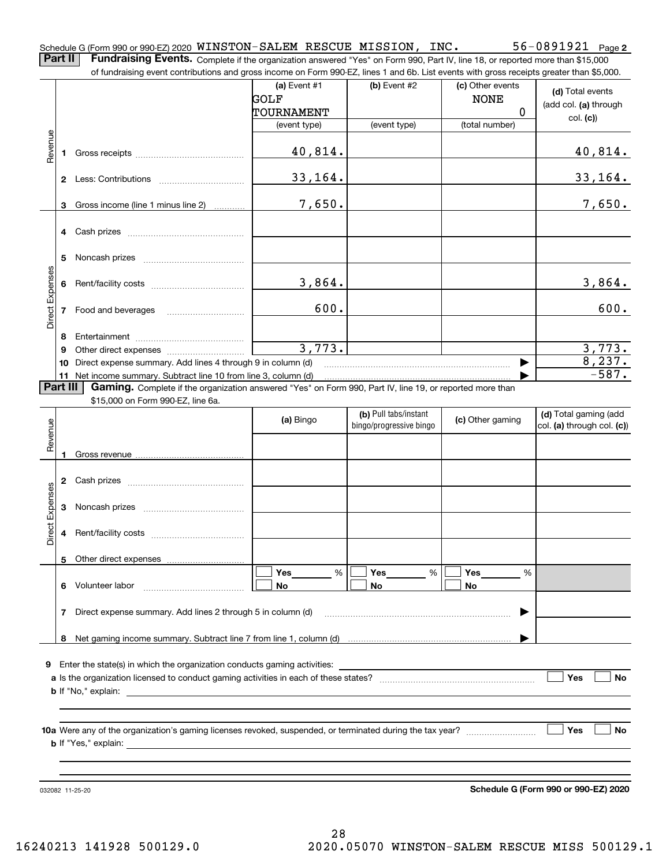**2** Schedule G (Form 990 or 990-EZ) 2020 <code>WINSTON–SALEM</code> <code>RESCUE MISSION, INC.</code>  $56-0891921$  <code>Page</code> **Part II** | Fundraising Events. Complete if the organization answered "Yes" on Form 990, Part IV, line 18, or reported more than \$15,000

of fundraising event contributions and gross income on Form 990-EZ, lines 1 and 6b. List events with gross receipts greater than \$5,000.

|                 |    |                                                                                                          |                               | ovent continuations and gross inserito on Form oco EE, illics T and ob. Elst events with gross receipts greater than φ0,000. |                                 |                                                     |
|-----------------|----|----------------------------------------------------------------------------------------------------------|-------------------------------|------------------------------------------------------------------------------------------------------------------------------|---------------------------------|-----------------------------------------------------|
|                 |    |                                                                                                          | (a) Event $#1$<br><b>GOLF</b> | $(b)$ Event #2                                                                                                               | (c) Other events<br><b>NONE</b> | (d) Total events<br>(add col. (a) through           |
|                 |    |                                                                                                          | TOURNAMENT                    |                                                                                                                              | $\Omega$                        | col. (c)                                            |
|                 |    |                                                                                                          | (event type)                  | (event type)                                                                                                                 | (total number)                  |                                                     |
| Revenue         | 1. |                                                                                                          | 40,814.                       |                                                                                                                              |                                 | 40,814.                                             |
|                 |    |                                                                                                          | 33,164.                       |                                                                                                                              |                                 | 33,164.                                             |
|                 | 3  | Gross income (line 1 minus line 2)                                                                       | 7,650.                        |                                                                                                                              |                                 | 7,650.                                              |
|                 |    |                                                                                                          |                               |                                                                                                                              |                                 |                                                     |
|                 | 5  |                                                                                                          |                               |                                                                                                                              |                                 |                                                     |
| Direct Expenses | 6  |                                                                                                          | 3,864.                        |                                                                                                                              |                                 | 3,864.                                              |
|                 | 7  |                                                                                                          | 600.                          |                                                                                                                              |                                 | 600.                                                |
|                 | 8  |                                                                                                          |                               |                                                                                                                              |                                 |                                                     |
|                 | 9  |                                                                                                          | 3,773.                        |                                                                                                                              |                                 | 3,773.                                              |
|                 | 10 | Direct expense summary. Add lines 4 through 9 in column (d)                                              |                               |                                                                                                                              | ▶                               | 8,237.                                              |
|                 |    |                                                                                                          |                               |                                                                                                                              |                                 | $-587.$                                             |
| Part III        |    | Gaming. Complete if the organization answered "Yes" on Form 990, Part IV, line 19, or reported more than |                               |                                                                                                                              |                                 |                                                     |
|                 |    | \$15,000 on Form 990-EZ, line 6a.                                                                        |                               |                                                                                                                              |                                 |                                                     |
| Revenue         |    |                                                                                                          | (a) Bingo                     | (b) Pull tabs/instant<br>bingo/progressive bingo                                                                             | (c) Other gaming                | (d) Total gaming (add<br>col. (a) through col. (c)) |
|                 |    |                                                                                                          |                               |                                                                                                                              |                                 |                                                     |
|                 |    |                                                                                                          |                               |                                                                                                                              |                                 |                                                     |
| Direct Expenses | 3  |                                                                                                          |                               |                                                                                                                              |                                 |                                                     |
|                 | 4  |                                                                                                          |                               |                                                                                                                              |                                 |                                                     |
|                 |    |                                                                                                          |                               |                                                                                                                              |                                 |                                                     |
|                 |    |                                                                                                          | Yes<br>%                      | Yes<br>%                                                                                                                     | Yes<br>%                        |                                                     |
|                 | 6  | Volunteer labor                                                                                          | No                            | No                                                                                                                           | No                              |                                                     |
|                 | 7  | Direct expense summary. Add lines 2 through 5 in column (d)                                              |                               |                                                                                                                              |                                 |                                                     |
|                 | 8  |                                                                                                          |                               |                                                                                                                              |                                 |                                                     |
|                 |    |                                                                                                          |                               |                                                                                                                              |                                 |                                                     |
| 9               |    | Enter the state(s) in which the organization conducts gaming activities:                                 |                               |                                                                                                                              |                                 |                                                     |
|                 |    |                                                                                                          |                               |                                                                                                                              |                                 | Yes<br><b>No</b>                                    |
|                 |    | <b>b</b> If "No," explain:                                                                               |                               |                                                                                                                              |                                 |                                                     |
|                 |    |                                                                                                          |                               |                                                                                                                              |                                 |                                                     |
|                 |    |                                                                                                          |                               |                                                                                                                              |                                 | Yes<br>No                                           |
|                 |    |                                                                                                          |                               |                                                                                                                              |                                 |                                                     |
|                 |    | 032082 11-25-20                                                                                          |                               |                                                                                                                              |                                 | Schedule G (Form 990 or 990-EZ) 2020                |

28 16240213 141928 500129.0 2020.05070 WINSTON-SALEM RESCUE MISS 500129.1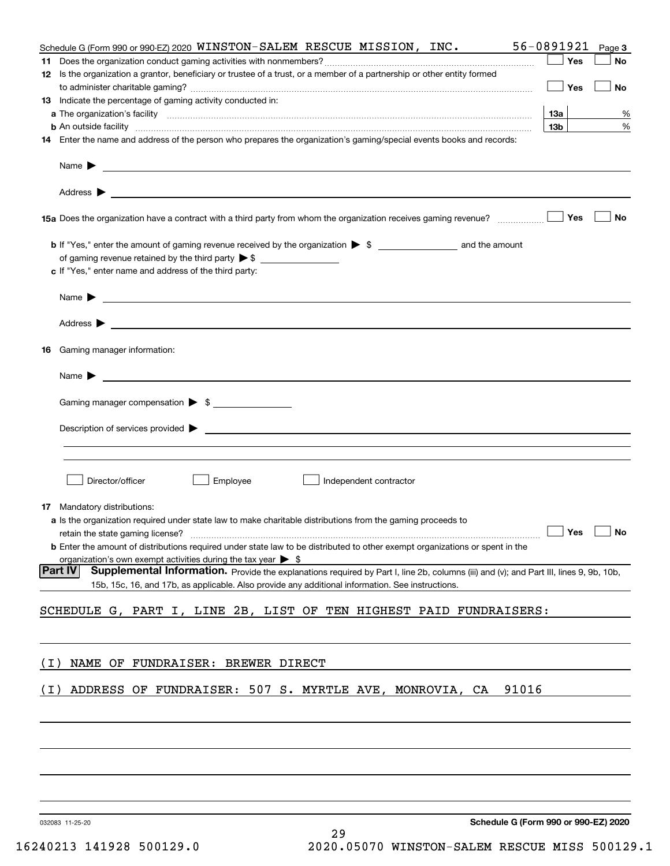|    | Schedule G (Form 990 or 990-EZ) 2020 WINSTON-SALEM RESCUE MISSION, INC.                                                                                                                                                                                               | 56-0891921                                         | Page 3 |
|----|-----------------------------------------------------------------------------------------------------------------------------------------------------------------------------------------------------------------------------------------------------------------------|----------------------------------------------------|--------|
|    |                                                                                                                                                                                                                                                                       | Yes                                                | No     |
|    | 12 Is the organization a grantor, beneficiary or trustee of a trust, or a member of a partnership or other entity formed                                                                                                                                              |                                                    |        |
|    |                                                                                                                                                                                                                                                                       | Yes                                                | No     |
|    | <b>13</b> Indicate the percentage of gaming activity conducted in:                                                                                                                                                                                                    |                                                    |        |
|    |                                                                                                                                                                                                                                                                       | 13а                                                | %      |
|    | <b>b</b> An outside facility <i>www.communically.communically.communically.communically.communically.communically.communically.communically.communically.communically.communically.communically.communically.communically.communicall</i>                             | 13 <sub>b</sub>                                    | %      |
|    | 14 Enter the name and address of the person who prepares the organization's gaming/special events books and records:                                                                                                                                                  |                                                    |        |
|    | Name $\blacktriangleright$                                                                                                                                                                                                                                            |                                                    |        |
|    | Address $\blacktriangleright$<br><u>state and the state of the state of the state of the state of the state of the state of the state of the state of the state of the state of the state of the state of the state of the state of the state of the state of the</u> |                                                    |        |
|    |                                                                                                                                                                                                                                                                       | Yes                                                | No     |
|    |                                                                                                                                                                                                                                                                       |                                                    |        |
|    |                                                                                                                                                                                                                                                                       |                                                    |        |
|    | c If "Yes," enter name and address of the third party:                                                                                                                                                                                                                |                                                    |        |
|    |                                                                                                                                                                                                                                                                       |                                                    |        |
|    | <u> 1989 - Andrea Stadt Britain, amerikansk politiker (</u><br>Name $\blacktriangleright$                                                                                                                                                                             |                                                    |        |
|    |                                                                                                                                                                                                                                                                       |                                                    |        |
|    |                                                                                                                                                                                                                                                                       |                                                    |        |
| 16 | Gaming manager information:                                                                                                                                                                                                                                           |                                                    |        |
|    | Name $\blacktriangleright$                                                                                                                                                                                                                                            |                                                    |        |
|    |                                                                                                                                                                                                                                                                       |                                                    |        |
|    | Gaming manager compensation > \$                                                                                                                                                                                                                                      |                                                    |        |
|    | Description of services provided $\blacktriangleright$                                                                                                                                                                                                                |                                                    |        |
|    |                                                                                                                                                                                                                                                                       |                                                    |        |
|    |                                                                                                                                                                                                                                                                       |                                                    |        |
|    | Director/officer                                                                                                                                                                                                                                                      |                                                    |        |
|    | Employee<br>Independent contractor                                                                                                                                                                                                                                    |                                                    |        |
|    | 17 Mandatory distributions:                                                                                                                                                                                                                                           |                                                    |        |
|    | a Is the organization required under state law to make charitable distributions from the gaming proceeds to                                                                                                                                                           |                                                    |        |
|    | retain the state gaming license?                                                                                                                                                                                                                                      | $\boxed{\phantom{1}}$ Yes $\boxed{\phantom{1}}$ No |        |
|    | <b>b</b> Enter the amount of distributions required under state law to be distributed to other exempt organizations or spent in the                                                                                                                                   |                                                    |        |
|    | organization's own exempt activities during the tax year $\triangleright$ \$<br> Part IV<br>Supplemental Information. Provide the explanations required by Part I, line 2b, columns (iii) and (v); and Part III, lines 9, 9b, 10b,                                    |                                                    |        |
|    | 15b, 15c, 16, and 17b, as applicable. Also provide any additional information. See instructions.                                                                                                                                                                      |                                                    |        |
|    |                                                                                                                                                                                                                                                                       |                                                    |        |
|    | SCHEDULE G, PART I, LINE 2B, LIST OF TEN HIGHEST PAID FUNDRAISERS:                                                                                                                                                                                                    |                                                    |        |
|    |                                                                                                                                                                                                                                                                       |                                                    |        |
|    |                                                                                                                                                                                                                                                                       |                                                    |        |
| (I | FUNDRAISER: BREWER DIRECT<br>NAME<br>OF                                                                                                                                                                                                                               |                                                    |        |
| (I | ADDRESS OF FUNDRAISER: 507 S. MYRTLE AVE, MONROVIA, CA<br>91016                                                                                                                                                                                                       |                                                    |        |
|    |                                                                                                                                                                                                                                                                       |                                                    |        |
|    |                                                                                                                                                                                                                                                                       |                                                    |        |
|    |                                                                                                                                                                                                                                                                       |                                                    |        |
|    |                                                                                                                                                                                                                                                                       |                                                    |        |
|    |                                                                                                                                                                                                                                                                       |                                                    |        |
|    |                                                                                                                                                                                                                                                                       |                                                    |        |
|    |                                                                                                                                                                                                                                                                       |                                                    |        |
|    | Schedule G (Form 990 or 990-EZ) 2020<br>032083 11-25-20                                                                                                                                                                                                               |                                                    |        |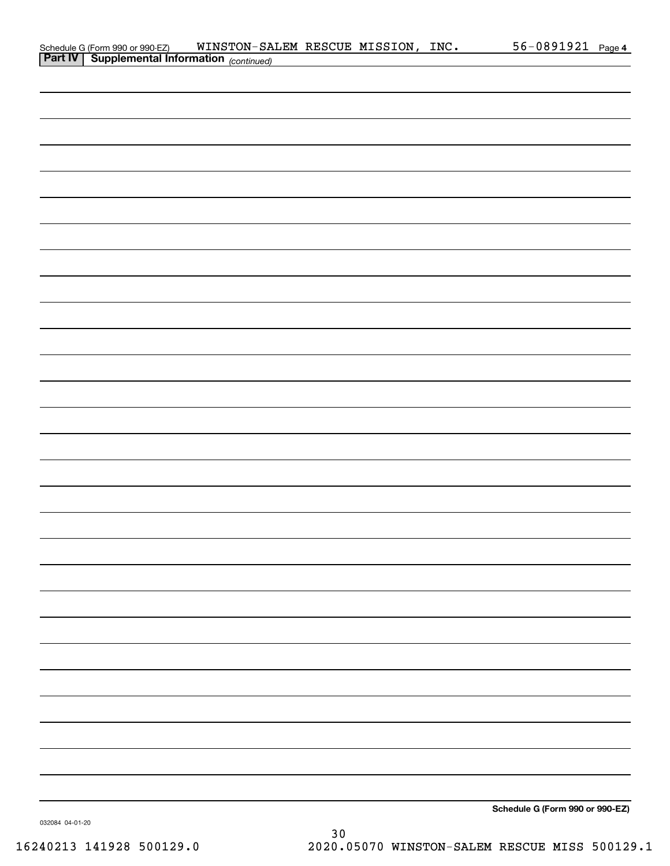|                                                                                                                    |  |  | 56-0891921 Page 4               |  |
|--------------------------------------------------------------------------------------------------------------------|--|--|---------------------------------|--|
| Schedule G (Form 990 or 990-EZ) WINSTON-SALEM RESCUE MISSION, INC.<br>Part IV Supplemental Information (continued) |  |  |                                 |  |
|                                                                                                                    |  |  |                                 |  |
|                                                                                                                    |  |  |                                 |  |
|                                                                                                                    |  |  |                                 |  |
|                                                                                                                    |  |  |                                 |  |
|                                                                                                                    |  |  |                                 |  |
|                                                                                                                    |  |  |                                 |  |
|                                                                                                                    |  |  |                                 |  |
|                                                                                                                    |  |  |                                 |  |
|                                                                                                                    |  |  |                                 |  |
|                                                                                                                    |  |  |                                 |  |
|                                                                                                                    |  |  |                                 |  |
|                                                                                                                    |  |  |                                 |  |
|                                                                                                                    |  |  |                                 |  |
|                                                                                                                    |  |  |                                 |  |
|                                                                                                                    |  |  |                                 |  |
|                                                                                                                    |  |  |                                 |  |
|                                                                                                                    |  |  |                                 |  |
|                                                                                                                    |  |  |                                 |  |
|                                                                                                                    |  |  |                                 |  |
|                                                                                                                    |  |  |                                 |  |
|                                                                                                                    |  |  |                                 |  |
|                                                                                                                    |  |  |                                 |  |
|                                                                                                                    |  |  |                                 |  |
|                                                                                                                    |  |  |                                 |  |
|                                                                                                                    |  |  |                                 |  |
|                                                                                                                    |  |  |                                 |  |
|                                                                                                                    |  |  |                                 |  |
|                                                                                                                    |  |  |                                 |  |
|                                                                                                                    |  |  |                                 |  |
|                                                                                                                    |  |  |                                 |  |
|                                                                                                                    |  |  |                                 |  |
|                                                                                                                    |  |  |                                 |  |
|                                                                                                                    |  |  |                                 |  |
|                                                                                                                    |  |  |                                 |  |
|                                                                                                                    |  |  |                                 |  |
|                                                                                                                    |  |  |                                 |  |
|                                                                                                                    |  |  |                                 |  |
|                                                                                                                    |  |  |                                 |  |
|                                                                                                                    |  |  |                                 |  |
|                                                                                                                    |  |  |                                 |  |
|                                                                                                                    |  |  |                                 |  |
|                                                                                                                    |  |  |                                 |  |
|                                                                                                                    |  |  |                                 |  |
|                                                                                                                    |  |  |                                 |  |
|                                                                                                                    |  |  |                                 |  |
|                                                                                                                    |  |  |                                 |  |
|                                                                                                                    |  |  |                                 |  |
|                                                                                                                    |  |  |                                 |  |
|                                                                                                                    |  |  |                                 |  |
|                                                                                                                    |  |  |                                 |  |
|                                                                                                                    |  |  |                                 |  |
|                                                                                                                    |  |  |                                 |  |
|                                                                                                                    |  |  |                                 |  |
|                                                                                                                    |  |  |                                 |  |
|                                                                                                                    |  |  |                                 |  |
|                                                                                                                    |  |  | Schedule G (Form 990 or 990-EZ) |  |

032084 04-01-20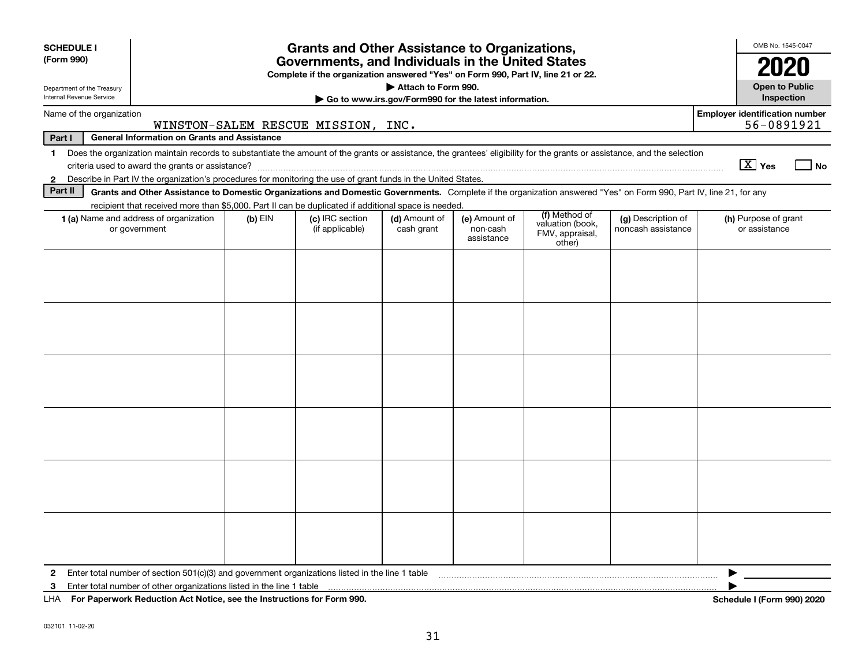| <b>SCHEDULE I</b>                                                                                                                                                                                                                                                                    |                                                                                                   |           | <b>Grants and Other Assistance to Organizations,</b>                             |                     |                        |                                               |                    |  | OMB No. 1545-0047          |  |  |  |
|--------------------------------------------------------------------------------------------------------------------------------------------------------------------------------------------------------------------------------------------------------------------------------------|---------------------------------------------------------------------------------------------------|-----------|----------------------------------------------------------------------------------|---------------------|------------------------|-----------------------------------------------|--------------------|--|----------------------------|--|--|--|
| (Form 990)                                                                                                                                                                                                                                                                           |                                                                                                   |           | Governments, and Individuals in the United States                                |                     |                        |                                               |                    |  | 2020                       |  |  |  |
| Department of the Treasury                                                                                                                                                                                                                                                           |                                                                                                   |           | Complete if the organization answered "Yes" on Form 990, Part IV, line 21 or 22. | Attach to Form 990. |                        |                                               |                    |  | <b>Open to Public</b>      |  |  |  |
| Internal Revenue Service                                                                                                                                                                                                                                                             | Inspection<br>Go to www.irs.gov/Form990 for the latest information.                               |           |                                                                                  |                     |                        |                                               |                    |  |                            |  |  |  |
| <b>Employer identification number</b><br>Name of the organization<br>56-0891921<br>WINSTON-SALEM RESCUE MISSION, INC.                                                                                                                                                                |                                                                                                   |           |                                                                                  |                     |                        |                                               |                    |  |                            |  |  |  |
| <b>General Information on Grants and Assistance</b><br>Part I                                                                                                                                                                                                                        |                                                                                                   |           |                                                                                  |                     |                        |                                               |                    |  |                            |  |  |  |
| Does the organization maintain records to substantiate the amount of the grants or assistance, the grantees' eligibility for the grants or assistance, and the selection<br>$\mathbf 1$                                                                                              |                                                                                                   |           |                                                                                  |                     |                        |                                               |                    |  |                            |  |  |  |
| $\boxed{\text{X}}$ Yes<br>l No<br>Describe in Part IV the organization's procedures for monitoring the use of grant funds in the United States.                                                                                                                                      |                                                                                                   |           |                                                                                  |                     |                        |                                               |                    |  |                            |  |  |  |
| $\mathbf{2}$                                                                                                                                                                                                                                                                         |                                                                                                   |           |                                                                                  |                     |                        |                                               |                    |  |                            |  |  |  |
| Part II<br>Grants and Other Assistance to Domestic Organizations and Domestic Governments. Complete if the organization answered "Yes" on Form 990, Part IV, line 21, for any<br>recipient that received more than \$5,000. Part II can be duplicated if additional space is needed. |                                                                                                   |           |                                                                                  |                     |                        |                                               |                    |  |                            |  |  |  |
|                                                                                                                                                                                                                                                                                      | 1 (a) Name and address of organization                                                            | $(b)$ EIN | (c) IRC section                                                                  | (d) Amount of       | (e) Amount of          | (f) Method of                                 | (g) Description of |  | (h) Purpose of grant       |  |  |  |
|                                                                                                                                                                                                                                                                                      | or government                                                                                     |           | (if applicable)                                                                  | cash grant          | non-cash<br>assistance | valuation (book,<br>FMV, appraisal,<br>other) | noncash assistance |  | or assistance              |  |  |  |
|                                                                                                                                                                                                                                                                                      |                                                                                                   |           |                                                                                  |                     |                        |                                               |                    |  |                            |  |  |  |
|                                                                                                                                                                                                                                                                                      |                                                                                                   |           |                                                                                  |                     |                        |                                               |                    |  |                            |  |  |  |
|                                                                                                                                                                                                                                                                                      |                                                                                                   |           |                                                                                  |                     |                        |                                               |                    |  |                            |  |  |  |
|                                                                                                                                                                                                                                                                                      |                                                                                                   |           |                                                                                  |                     |                        |                                               |                    |  |                            |  |  |  |
|                                                                                                                                                                                                                                                                                      |                                                                                                   |           |                                                                                  |                     |                        |                                               |                    |  |                            |  |  |  |
|                                                                                                                                                                                                                                                                                      |                                                                                                   |           |                                                                                  |                     |                        |                                               |                    |  |                            |  |  |  |
|                                                                                                                                                                                                                                                                                      |                                                                                                   |           |                                                                                  |                     |                        |                                               |                    |  |                            |  |  |  |
|                                                                                                                                                                                                                                                                                      |                                                                                                   |           |                                                                                  |                     |                        |                                               |                    |  |                            |  |  |  |
|                                                                                                                                                                                                                                                                                      |                                                                                                   |           |                                                                                  |                     |                        |                                               |                    |  |                            |  |  |  |
|                                                                                                                                                                                                                                                                                      |                                                                                                   |           |                                                                                  |                     |                        |                                               |                    |  |                            |  |  |  |
|                                                                                                                                                                                                                                                                                      |                                                                                                   |           |                                                                                  |                     |                        |                                               |                    |  |                            |  |  |  |
|                                                                                                                                                                                                                                                                                      |                                                                                                   |           |                                                                                  |                     |                        |                                               |                    |  |                            |  |  |  |
|                                                                                                                                                                                                                                                                                      |                                                                                                   |           |                                                                                  |                     |                        |                                               |                    |  |                            |  |  |  |
|                                                                                                                                                                                                                                                                                      |                                                                                                   |           |                                                                                  |                     |                        |                                               |                    |  |                            |  |  |  |
|                                                                                                                                                                                                                                                                                      |                                                                                                   |           |                                                                                  |                     |                        |                                               |                    |  |                            |  |  |  |
|                                                                                                                                                                                                                                                                                      |                                                                                                   |           |                                                                                  |                     |                        |                                               |                    |  |                            |  |  |  |
|                                                                                                                                                                                                                                                                                      |                                                                                                   |           |                                                                                  |                     |                        |                                               |                    |  |                            |  |  |  |
|                                                                                                                                                                                                                                                                                      |                                                                                                   |           |                                                                                  |                     |                        |                                               |                    |  |                            |  |  |  |
|                                                                                                                                                                                                                                                                                      |                                                                                                   |           |                                                                                  |                     |                        |                                               |                    |  |                            |  |  |  |
|                                                                                                                                                                                                                                                                                      |                                                                                                   |           |                                                                                  |                     |                        |                                               |                    |  |                            |  |  |  |
| $\mathbf{2}$                                                                                                                                                                                                                                                                         | Enter total number of section $501(c)(3)$ and government organizations listed in the line 1 table |           |                                                                                  |                     |                        |                                               |                    |  |                            |  |  |  |
| 3                                                                                                                                                                                                                                                                                    | Enter total number of other organizations listed in the line 1 table                              |           |                                                                                  |                     |                        |                                               |                    |  |                            |  |  |  |
|                                                                                                                                                                                                                                                                                      | LHA For Paperwork Reduction Act Notice, see the Instructions for Form 990.                        |           |                                                                                  |                     |                        |                                               |                    |  | Schedule I (Form 990) 2020 |  |  |  |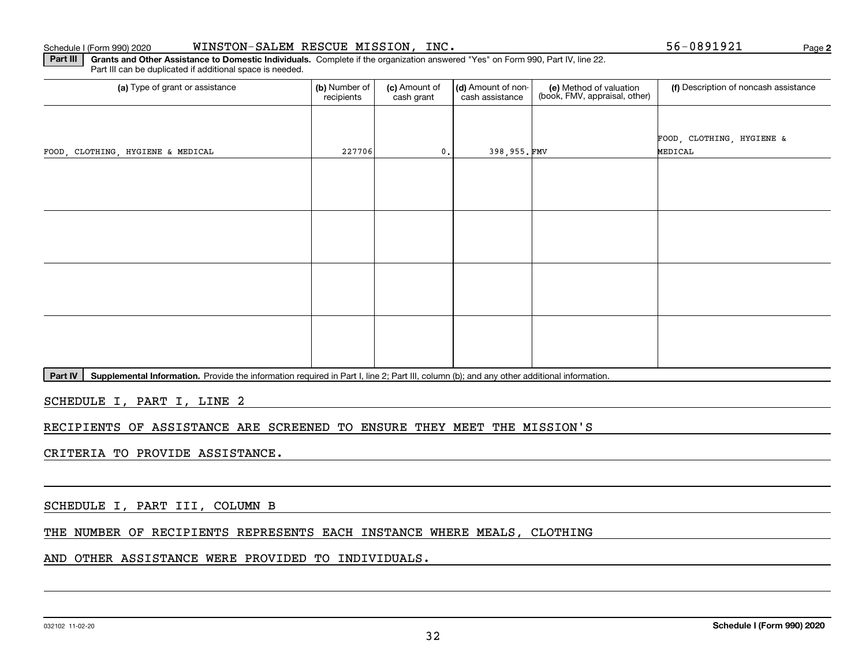### 032102 11-02-20

**Schedule I (Form 990) 2020**

### Schedule I (Form 990) 2020 WINSTON-SALEM RESCUE MISSION,INC。 56-0891921 Page

**Part III | Grants and Other Assistance to Domestic Individuals. Complete if the organization answered "Yes" on Form 990, Part IV, line 22.** Part III can be duplicated if additional space is needed.

| (a) Type of grant or assistance   | (b) Number of<br>recipients | (c) Amount of<br>cash grant | (d) Amount of non-<br>cash assistance | (e) Method of valuation<br>(book, FMV, appraisal, other) | (f) Description of noncash assistance |
|-----------------------------------|-----------------------------|-----------------------------|---------------------------------------|----------------------------------------------------------|---------------------------------------|
|                                   |                             |                             |                                       |                                                          |                                       |
|                                   |                             |                             |                                       |                                                          | FOOD, CLOTHING, HYGIENE &             |
| FOOD, CLOTHING, HYGIENE & MEDICAL | 227706                      | $\mathfrak{o}$ .            | 398,955.FMV                           |                                                          | MEDICAL                               |
|                                   |                             |                             |                                       |                                                          |                                       |
|                                   |                             |                             |                                       |                                                          |                                       |
|                                   |                             |                             |                                       |                                                          |                                       |
|                                   |                             |                             |                                       |                                                          |                                       |
|                                   |                             |                             |                                       |                                                          |                                       |
|                                   |                             |                             |                                       |                                                          |                                       |
|                                   |                             |                             |                                       |                                                          |                                       |
|                                   |                             |                             |                                       |                                                          |                                       |
|                                   |                             |                             |                                       |                                                          |                                       |
|                                   |                             |                             |                                       |                                                          |                                       |
|                                   |                             |                             |                                       |                                                          |                                       |
|                                   |                             |                             |                                       |                                                          |                                       |

Part IV | Supplemental Information. Provide the information required in Part I, line 2; Part III, column (b); and any other additional information.

SCHEDULE I, PART I, LINE 2

### RECIPIENTS OF ASSISTANCE ARE SCREENED TO ENSURE THEY MEET THE MISSION'S

### CRITERIA TO PROVIDE ASSISTANCE.

SCHEDULE I, PART III, COLUMN B

### THE NUMBER OF RECIPIENTS REPRESENTS EACH INSTANCE WHERE MEALS, CLOTHING

### AND OTHER ASSISTANCE WERE PROVIDED TO INDIVIDUALS.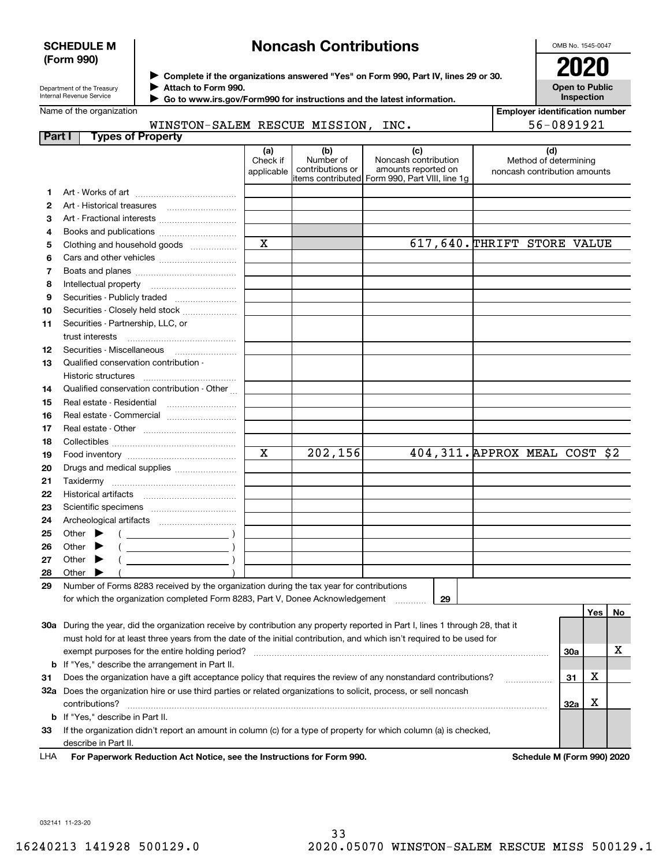### **SCHEDULE M (Form 990)**

# **Noncash Contributions**

OMB No. 1545-0047

**Open to Public Inspection**

| Department of the Treasury |
|----------------------------|
| Internal Revenue Service   |

**Complete if the organizations answered "Yes" on Form 990, Part IV, lines 29 or 30.** <sup>J</sup>**2020**

**Attach to Form 990.** J

 **Go to www.irs.gov/Form990 for instructions and the latest information.** J

Name of the organization

| <b>Employer identification number</b> |
|---------------------------------------|
| 56-0891921                            |

| WINSTON-SALEM RESCUE MISSION, INC. |  |  |
|------------------------------------|--|--|
|                                    |  |  |

| Part I | <b>Types of Property</b>                                                                                                       |                        |                               |                                                  |                                                       |     |     |    |
|--------|--------------------------------------------------------------------------------------------------------------------------------|------------------------|-------------------------------|--------------------------------------------------|-------------------------------------------------------|-----|-----|----|
|        |                                                                                                                                | (a)                    | (b)                           | (c)                                              | (d)                                                   |     |     |    |
|        |                                                                                                                                | Check if<br>applicable | Number of<br>contributions or | Noncash contribution<br>amounts reported on      | Method of determining<br>noncash contribution amounts |     |     |    |
|        |                                                                                                                                |                        |                               | litems contributed  Form 990, Part VIII, line 1g |                                                       |     |     |    |
| 1      |                                                                                                                                |                        |                               |                                                  |                                                       |     |     |    |
| 2      | Art - Historical treasures                                                                                                     |                        |                               |                                                  |                                                       |     |     |    |
| З      | Art - Fractional interests                                                                                                     |                        |                               |                                                  |                                                       |     |     |    |
| 4      | Books and publications                                                                                                         |                        |                               |                                                  |                                                       |     |     |    |
| 5      | Clothing and household goods                                                                                                   | X                      |                               |                                                  | 617,640. THRIFT STORE VALUE                           |     |     |    |
| 6      |                                                                                                                                |                        |                               |                                                  |                                                       |     |     |    |
| 7      |                                                                                                                                |                        |                               |                                                  |                                                       |     |     |    |
| 8      | Intellectual property                                                                                                          |                        |                               |                                                  |                                                       |     |     |    |
| 9      | Securities - Publicly traded                                                                                                   |                        |                               |                                                  |                                                       |     |     |    |
| 10     | Securities - Closely held stock                                                                                                |                        |                               |                                                  |                                                       |     |     |    |
| 11     | Securities - Partnership, LLC, or                                                                                              |                        |                               |                                                  |                                                       |     |     |    |
|        | trust interests                                                                                                                |                        |                               |                                                  |                                                       |     |     |    |
| 12     |                                                                                                                                |                        |                               |                                                  |                                                       |     |     |    |
| 13     | Qualified conservation contribution -                                                                                          |                        |                               |                                                  |                                                       |     |     |    |
|        | Historic structures                                                                                                            |                        |                               |                                                  |                                                       |     |     |    |
| 14     | Qualified conservation contribution - Other                                                                                    |                        |                               |                                                  |                                                       |     |     |    |
| 15     | Real estate - Residential                                                                                                      |                        |                               |                                                  |                                                       |     |     |    |
| 16     |                                                                                                                                |                        |                               |                                                  |                                                       |     |     |    |
| 17     |                                                                                                                                |                        |                               |                                                  |                                                       |     |     |    |
| 18     |                                                                                                                                |                        |                               |                                                  |                                                       |     |     |    |
| 19     |                                                                                                                                | X                      | 202,156                       |                                                  | 404, 311. APPROX MEAL COST \$2                        |     |     |    |
| 20     | Drugs and medical supplies                                                                                                     |                        |                               |                                                  |                                                       |     |     |    |
| 21     |                                                                                                                                |                        |                               |                                                  |                                                       |     |     |    |
| 22     | Historical artifacts                                                                                                           |                        |                               |                                                  |                                                       |     |     |    |
| 23     |                                                                                                                                |                        |                               |                                                  |                                                       |     |     |    |
| 24     |                                                                                                                                |                        |                               |                                                  |                                                       |     |     |    |
| 25     | Other                                                                                                                          |                        |                               |                                                  |                                                       |     |     |    |
| 26     | Other<br>$\overline{\phantom{a}}$ ( $\overline{\phantom{a}}$ )                                                                 |                        |                               |                                                  |                                                       |     |     |    |
| 27     | Other<br>$\overline{\phantom{a}}$ ( )                                                                                          |                        |                               |                                                  |                                                       |     |     |    |
| 28     | Other                                                                                                                          |                        |                               |                                                  |                                                       |     |     |    |
| 29     | Number of Forms 8283 received by the organization during the tax year for contributions                                        |                        |                               |                                                  |                                                       |     |     |    |
|        | for which the organization completed Form 8283, Part V, Donee Acknowledgement                                                  |                        |                               | 29                                               |                                                       |     |     |    |
|        |                                                                                                                                |                        |                               |                                                  |                                                       |     | Yes | No |
|        | 30a During the year, did the organization receive by contribution any property reported in Part I, lines 1 through 28, that it |                        |                               |                                                  |                                                       |     |     |    |
|        | must hold for at least three years from the date of the initial contribution, and which isn't required to be used for          |                        |                               |                                                  |                                                       |     |     |    |
|        | exempt purposes for the entire holding period?                                                                                 |                        |                               |                                                  |                                                       | 30a |     | х  |
|        | <b>b</b> If "Yes," describe the arrangement in Part II.                                                                        |                        |                               |                                                  |                                                       |     |     |    |
| 31     | Does the organization have a gift acceptance policy that requires the review of any nonstandard contributions?                 |                        |                               |                                                  |                                                       | 31  | х   |    |
|        | 32a Does the organization hire or use third parties or related organizations to solicit, process, or sell noncash              |                        |                               |                                                  |                                                       |     |     |    |
|        | contributions?                                                                                                                 |                        |                               |                                                  |                                                       | 32a | х   |    |
|        | <b>b</b> If "Yes," describe in Part II.                                                                                        |                        |                               |                                                  |                                                       |     |     |    |
| 33     | If the organization didn't report an amount in column (c) for a type of property for which column (a) is checked,              |                        |                               |                                                  |                                                       |     |     |    |
|        | describe in Part II.                                                                                                           |                        |                               |                                                  |                                                       |     |     |    |

For Paperwork Reduction Act Notice, see the Instructions for Form 990. Schedule M (Form 990) 2020 LHA

032141 11-23-20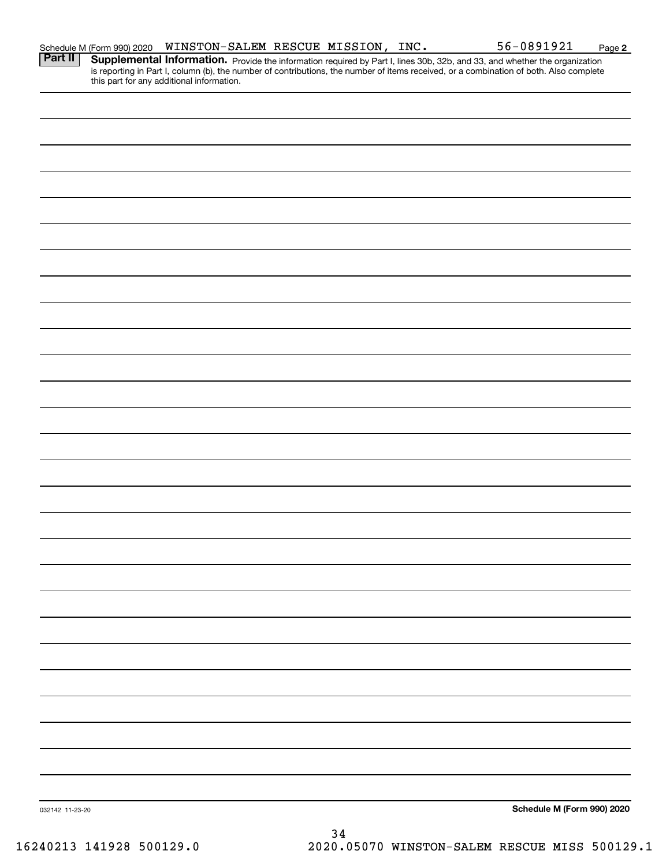|                 | Schedule M (Form 990) 2020 | WINSTON-SALEM RESCUE MISSION, INC.        |  |  | 56-0891921                                                                                                                                                                                                                          | Page 2 |
|-----------------|----------------------------|-------------------------------------------|--|--|-------------------------------------------------------------------------------------------------------------------------------------------------------------------------------------------------------------------------------------|--------|
| Part II         |                            | this part for any additional information. |  |  | <b>Supplemental Information.</b> Provide the information required by Part I, lines 30b, 32b, and 33, and whether the organization is reporting in Part I, column (b), the number of contributions, the number of items received, or |        |
|                 |                            |                                           |  |  |                                                                                                                                                                                                                                     |        |
|                 |                            |                                           |  |  |                                                                                                                                                                                                                                     |        |
|                 |                            |                                           |  |  |                                                                                                                                                                                                                                     |        |
|                 |                            |                                           |  |  |                                                                                                                                                                                                                                     |        |
|                 |                            |                                           |  |  |                                                                                                                                                                                                                                     |        |
|                 |                            |                                           |  |  |                                                                                                                                                                                                                                     |        |
|                 |                            |                                           |  |  |                                                                                                                                                                                                                                     |        |
|                 |                            |                                           |  |  |                                                                                                                                                                                                                                     |        |
|                 |                            |                                           |  |  |                                                                                                                                                                                                                                     |        |
|                 |                            |                                           |  |  |                                                                                                                                                                                                                                     |        |
|                 |                            |                                           |  |  |                                                                                                                                                                                                                                     |        |
|                 |                            |                                           |  |  |                                                                                                                                                                                                                                     |        |
|                 |                            |                                           |  |  |                                                                                                                                                                                                                                     |        |
|                 |                            |                                           |  |  |                                                                                                                                                                                                                                     |        |
|                 |                            |                                           |  |  |                                                                                                                                                                                                                                     |        |
|                 |                            |                                           |  |  |                                                                                                                                                                                                                                     |        |
|                 |                            |                                           |  |  |                                                                                                                                                                                                                                     |        |
|                 |                            |                                           |  |  |                                                                                                                                                                                                                                     |        |
|                 |                            |                                           |  |  |                                                                                                                                                                                                                                     |        |
|                 |                            |                                           |  |  |                                                                                                                                                                                                                                     |        |
|                 |                            |                                           |  |  |                                                                                                                                                                                                                                     |        |
|                 |                            |                                           |  |  |                                                                                                                                                                                                                                     |        |
|                 |                            |                                           |  |  |                                                                                                                                                                                                                                     |        |
|                 |                            |                                           |  |  |                                                                                                                                                                                                                                     |        |
|                 |                            |                                           |  |  |                                                                                                                                                                                                                                     |        |
|                 |                            |                                           |  |  |                                                                                                                                                                                                                                     |        |
|                 |                            |                                           |  |  |                                                                                                                                                                                                                                     |        |
|                 |                            |                                           |  |  |                                                                                                                                                                                                                                     |        |
|                 |                            |                                           |  |  |                                                                                                                                                                                                                                     |        |
|                 |                            |                                           |  |  |                                                                                                                                                                                                                                     |        |
| 032142 11-23-20 |                            |                                           |  |  | Schedule M (Form 990) 2020                                                                                                                                                                                                          |        |
|                 |                            |                                           |  |  |                                                                                                                                                                                                                                     |        |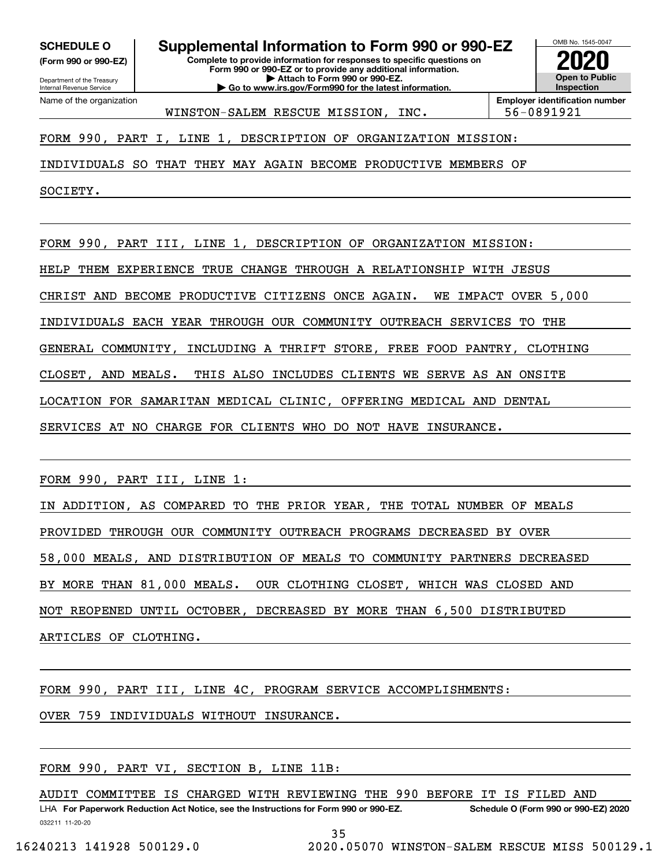**(Form 990 or 990-EZ)**

Department of the Treasury Internal Revenue Service Name of the organization

**SCHEDULE O Supplemental Information to Form 990 or 990-EZ**

**Complete to provide information for responses to specific questions on Form 990 or 990-EZ or to provide any additional information. | Attach to Form 990 or 990-EZ. | Go to www.irs.gov/Form990 for the latest information.**



WINSTON-SALEM RESCUE MISSION, INC. 56-0891921

FORM 990, PART I, LINE 1, DESCRIPTION OF ORGANIZATION MISSION:

INDIVIDUALS SO THAT THEY MAY AGAIN BECOME PRODUCTIVE MEMBERS OF

SOCIETY.

FORM 990, PART III, LINE 1, DESCRIPTION OF ORGANIZATION MISSION:

HELP THEM EXPERIENCE TRUE CHANGE THROUGH A RELATIONSHIP WITH JESUS

CHRIST AND BECOME PRODUCTIVE CITIZENS ONCE AGAIN. WE IMPACT OVER 5,000

INDIVIDUALS EACH YEAR THROUGH OUR COMMUNITY OUTREACH SERVICES TO THE

GENERAL COMMUNITY, INCLUDING A THRIFT STORE, FREE FOOD PANTRY, CLOTHING

CLOSET, AND MEALS. THIS ALSO INCLUDES CLIENTS WE SERVE AS AN ONSITE

LOCATION FOR SAMARITAN MEDICAL CLINIC, OFFERING MEDICAL AND DENTAL

SERVICES AT NO CHARGE FOR CLIENTS WHO DO NOT HAVE INSURANCE.

FORM 990, PART III, LINE 1:

IN ADDITION, AS COMPARED TO THE PRIOR YEAR, THE TOTAL NUMBER OF MEALS PROVIDED THROUGH OUR COMMUNITY OUTREACH PROGRAMS DECREASED BY OVER 58,000 MEALS, AND DISTRIBUTION OF MEALS TO COMMUNITY PARTNERS DECREASED BY MORE THAN 81,000 MEALS. OUR CLOTHING CLOSET, WHICH WAS CLOSED AND NOT REOPENED UNTIL OCTOBER, DECREASED BY MORE THAN 6,500 DISTRIBUTED ARTICLES OF CLOTHING.

FORM 990, PART III, LINE 4C, PROGRAM SERVICE ACCOMPLISHMENTS:

OVER 759 INDIVIDUALS WITHOUT INSURANCE.

FORM 990, PART VI, SECTION B, LINE 11B:

LHA For Paperwork Reduction Act Notice, see the Instructions for Form 990 or 990-EZ. Schedule O (Form 990 or 990-EZ) 2020 AUDIT COMMITTEE IS CHARGED WITH REVIEWING THE 990 BEFORE IT IS FILED AND

032211 11-20-20

35